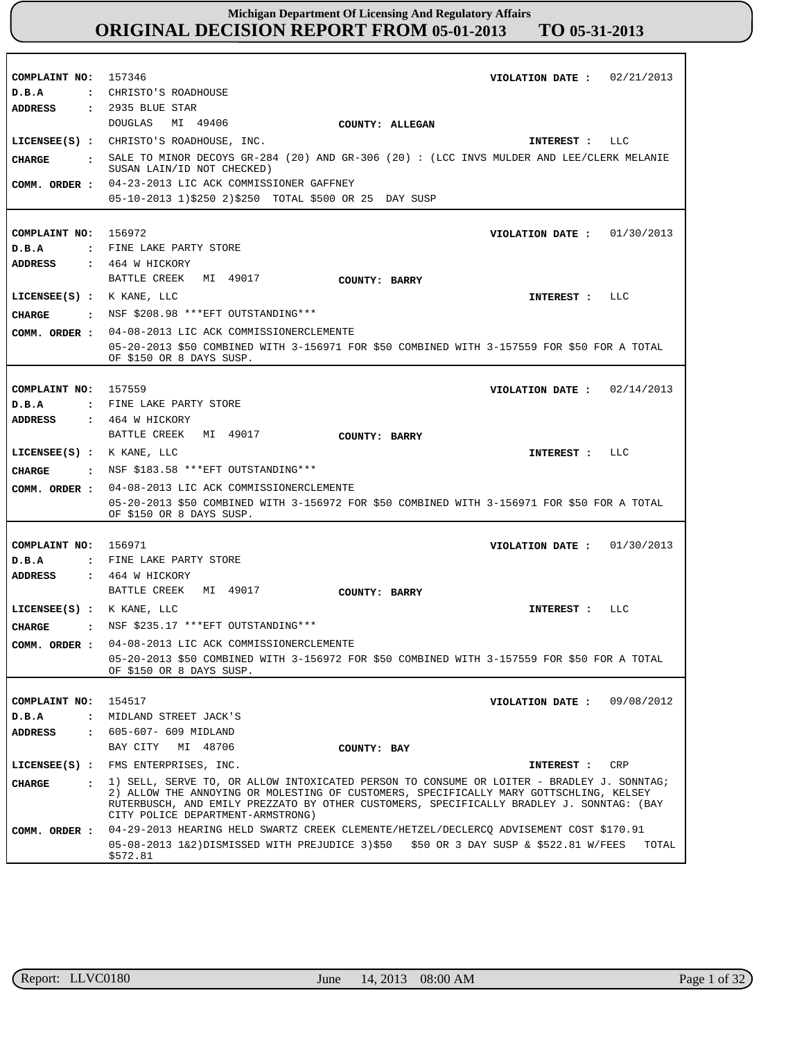| COMPLAINT NO:                 | 157346<br>02/21/2013<br>VIOLATION DATE :                                                                                                                                                                                |
|-------------------------------|-------------------------------------------------------------------------------------------------------------------------------------------------------------------------------------------------------------------------|
| D.B.A                         | : CHRISTO'S ROADHOUSE                                                                                                                                                                                                   |
| ADDRESS                       | : 2935 BLUE STAR                                                                                                                                                                                                        |
|                               | DOUGLAS<br>MI 49406<br>COUNTY: ALLEGAN                                                                                                                                                                                  |
|                               | LICENSEE(S) : CHRISTO'S ROADHOUSE, INC.<br>INTEREST : LLC                                                                                                                                                               |
| CHARGE                        | : SALE TO MINOR DECOYS GR-284 (20) AND GR-306 (20): (LCC INVS MULDER AND LEE/CLERK MELANIE<br>SUSAN LAIN/ID NOT CHECKED)                                                                                                |
| COMM. ORDER :                 | 04-23-2013 LIC ACK COMMISSIONER GAFFNEY                                                                                                                                                                                 |
|                               | 05-10-2013 1)\$250 2)\$250 TOTAL \$500 OR 25 DAY SUSP                                                                                                                                                                   |
|                               |                                                                                                                                                                                                                         |
| COMPLAINT NO: 156972          | VIOLATION DATE: $01/30/2013$                                                                                                                                                                                            |
| D.B.A                         | : FINE LAKE PARTY STORE                                                                                                                                                                                                 |
| <b>ADDRESS</b>                | $: 464$ W HICKORY                                                                                                                                                                                                       |
|                               | BATTLE CREEK MI 49017<br>COUNTY: BARRY                                                                                                                                                                                  |
| LICENSE (S) : K KANE, LLC     | INTEREST : LLC                                                                                                                                                                                                          |
| <b>CHARGE</b>                 | : NSF \$208.98 *** EFT OUTSTANDING***                                                                                                                                                                                   |
|                               |                                                                                                                                                                                                                         |
| COMM. ORDER :                 | 04-08-2013 LIC ACK COMMISSIONERCLEMENTE                                                                                                                                                                                 |
|                               | 05-20-2013 \$50 COMBINED WITH 3-156971 FOR \$50 COMBINED WITH 3-157559 FOR \$50 FOR A TOTAL<br>OF \$150 OR 8 DAYS SUSP.                                                                                                 |
|                               |                                                                                                                                                                                                                         |
| COMPLAINT NO: 157559          | VIOLATION DATE : $02/14/2013$                                                                                                                                                                                           |
| D.B.A                         | : FINE LAKE PARTY STORE                                                                                                                                                                                                 |
| <b>ADDRESS</b>                | $: 464$ W HICKORY                                                                                                                                                                                                       |
|                               | BATTLE CREEK MI 49017<br>COUNTY: BARRY                                                                                                                                                                                  |
| LICENSEE(S) : K KANE, LLC     | INTEREST : LLC                                                                                                                                                                                                          |
|                               | : NSF \$183.58 *** EFT OUTSTANDING***                                                                                                                                                                                   |
| CHARGE                        |                                                                                                                                                                                                                         |
| COMM. ORDER :                 | 04-08-2013 LIC ACK COMMISSIONERCLEMENTE                                                                                                                                                                                 |
|                               | 05-20-2013 \$50 COMBINED WITH 3-156972 FOR \$50 COMBINED WITH 3-156971 FOR \$50 FOR A TOTAL<br>OF \$150 OR 8 DAYS SUSP.                                                                                                 |
|                               |                                                                                                                                                                                                                         |
| COMPLAINT NO: 156971          | VIOLATION DATE: $01/30/2013$                                                                                                                                                                                            |
| D.B.A                         | : FINE LAKE PARTY STORE                                                                                                                                                                                                 |
| <b>ADDRESS</b>                | $: 464$ W HICKORY                                                                                                                                                                                                       |
|                               | BATTLE CREEK MI 49017<br>COUNTY: BARRY                                                                                                                                                                                  |
| LICENSEE(S) : K KANE, LLC     | <b>LLC</b><br>INTEREST :                                                                                                                                                                                                |
| <b>CHARGE</b>                 | : NSF \$235.17 *** EFT OUTSTANDING ***                                                                                                                                                                                  |
|                               |                                                                                                                                                                                                                         |
| COMM. ORDER :                 | 04-08-2013 LIC ACK COMMISSIONERCLEMENTE<br>05-20-2013 \$50 COMBINED WITH 3-156972 FOR \$50 COMBINED WITH 3-157559 FOR \$50 FOR A TOTAL                                                                                  |
|                               | OF \$150 OR 8 DAYS SUSP.                                                                                                                                                                                                |
|                               |                                                                                                                                                                                                                         |
| COMPLAINT NO:                 | 154517<br>VIOLATION DATE: $09/08/2012$                                                                                                                                                                                  |
| D.B.A<br>$\mathbf{r}$         | MIDLAND STREET JACK'S                                                                                                                                                                                                   |
| ADDRESS                       | : 605-607- 609 MIDLAND                                                                                                                                                                                                  |
|                               | BAY CITY MI 48706<br>COUNTY: BAY                                                                                                                                                                                        |
|                               | LICENSEE(S) : FMS ENTERPRISES, INC.<br><b>INTEREST :</b><br>CRP                                                                                                                                                         |
| <b>CHARGE</b><br>$\mathbf{r}$ | 1) SELL, SERVE TO, OR ALLOW INTOXICATED PERSON TO CONSUME OR LOITER - BRADLEY J. SONNTAG;                                                                                                                               |
|                               | 2) ALLOW THE ANNOYING OR MOLESTING OF CUSTOMERS, SPECIFICALLY MARY GOTTSCHLING, KELSEY<br>RUTERBUSCH, AND EMILY PREZZATO BY OTHER CUSTOMERS, SPECIFICALLY BRADLEY J. SONNTAG: (BAY<br>CITY POLICE DEPARTMENT-ARMSTRONG) |
| COMM. ORDER :                 | 04-29-2013 HEARING HELD SWARTZ CREEK CLEMENTE/HETZEL/DECLERCQ ADVISEMENT COST \$170.91                                                                                                                                  |
|                               | 05-08-2013 1&2)DISMISSED WITH PREJUDICE 3)\$50 \$50 OR 3 DAY SUSP & \$522.81 W/FEES<br>TOTAL<br>\$572.81                                                                                                                |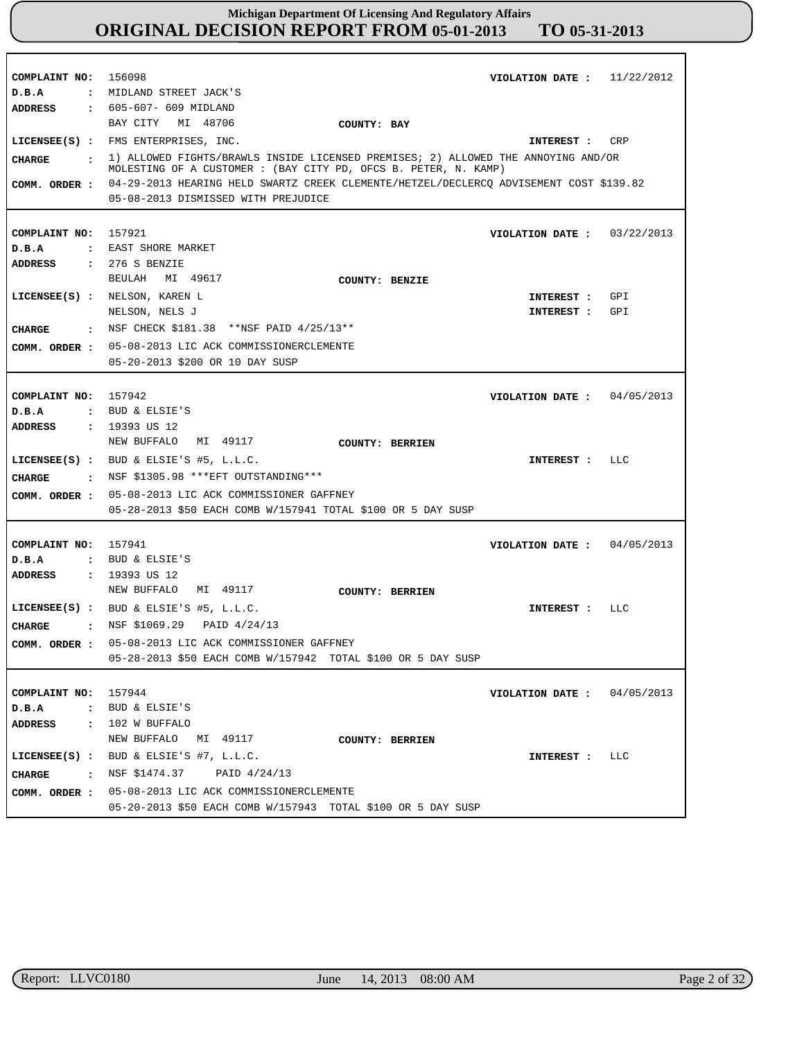**COMPLAINT NO:** 156098 **COMPLAINT NO:** 157921 **COMPLAINT NO:** 157942 **COMPLAINT NO:** 157941 **COMPLAINT NO:** 157944 **VIOLATION DATE : VIOLATION DATE :** 03/22/2013 **VIOLATION DATE :** 04/05/2013 **VIOLATION DATE : VIOLATION DATE :** 11/22/2012 04/05/2013 04/05/2013 **D.B.A : D.B.A : D.B.A : D.B.A : D.B.A :** MIDLAND STREET JACK'S EAST SHORE MARKET BUD & ELSIE'S BUD & ELSIE'S BUD & ELSIE'S **ADDRESS : ADDRESS : ADDRESS : ADDRESS : ADDRESS :** 605-607- 609 MIDLAND 276 S BENZIE : 19393 US 12 : 19393 US 12 102 W BUFFALO BAY CITY MI 48706 BEULAH MI 49617 NEW BUFFALO MI 49117 NEW BUFFALO MI 49117 NEW BUFFALO MI 49117 04-29-2013 HEARING HELD SWARTZ CREEK CLEMENTE/HETZEL/DECLERCQ ADVISEMENT COST \$139.82 **COMM. ORDER :** 05-08-2013 DISMISSED WITH PREJUDICE 05-08-2013 LIC ACK COMMISSIONERCLEMENTE **COMM. ORDER :** 05-20-2013 \$200 OR 10 DAY SUSP 05-08-2013 LIC ACK COMMISSIONER GAFFNEY **COMM. ORDER :** 05-28-2013 \$50 EACH COMB W/157941 TOTAL \$100 OR 5 DAY SUSP 05-08-2013 LIC ACK COMMISSIONER GAFFNEY **COMM. ORDER :** 05-28-2013 \$50 EACH COMB W/157942 TOTAL \$100 OR 5 DAY SUSP 05-08-2013 LIC ACK COMMISSIONERCLEMENTE **COMM. ORDER :** 05-20-2013 \$50 EACH COMB W/157943 TOTAL \$100 OR 5 DAY SUSP **LICENSEE(S) :** FMS ENTERPRISES, INC. **LICENSEE(S) :** NELSON, KAREN L **LICENSEE(S) :** BUD & ELSIE'S #5, L.L.C. **LICENSEE(S) :** BUD & ELSIE'S #5, L.L.C. **LICENSEE(S) :** BUD & ELSIE'S #7, L.L.C. NELSON, NELS J CRP GPI GPI LLC  $T.T.C$ LLC **CHARGE : CHARGE : CHARGE : CHARGE : CHARGE :** 1) ALLOWED FIGHTS/BRAWLS INSIDE LICENSED PREMISES; 2) ALLOWED THE ANNOYING AND/OR MOLESTING OF A CUSTOMER : (BAY CITY PD, OFCS B. PETER, N. KAMP) : NSF CHECK \$181.38 \*\*NSF PAID 4/25/13\*\* NSF \$1305.98 \*\*\*EFT OUTSTANDING\*\*\* NSF \$1069.29 PAID 4/24/13 NSF \$1474.37 PAID 4/24/13 **INTEREST : INTEREST : INTEREST : INTEREST : INTEREST : INTEREST : COUNTY: BAY COUNTY: BENZIE COUNTY: BERRIEN COUNTY: BERRIEN COUNTY: BERRIEN**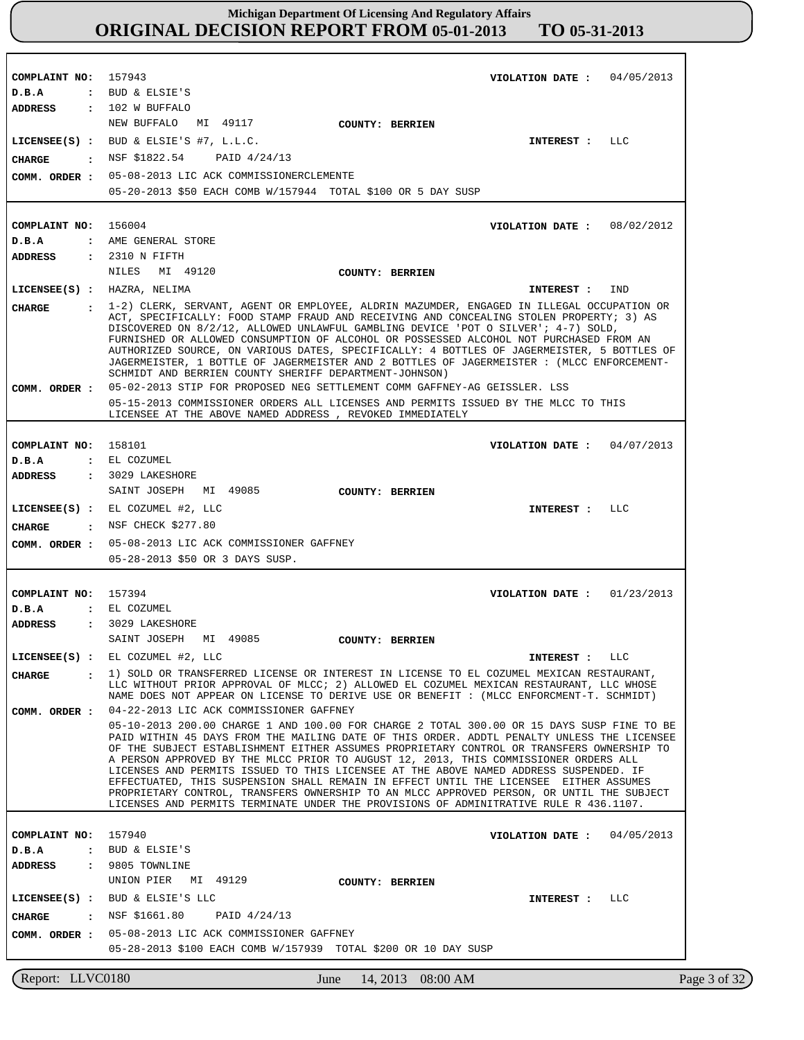**COMPLAINT NO:** 157943 **COMPLAINT NO:** 156004 **COMPLAINT NO:** 158101 **COMPLAINT NO:** 157394 **COMPLAINT NO:** 157940 **VIOLATION DATE : VIOLATION DATE :** 08/02/2012 **VIOLATION DATE :** 04/07/2013 **VIOLATION DATE :** 01/23/2013 **VIOLATION DATE :** 04/05/2013 04/05/2013 **D.B.A : D.B.A : D.B.A : D.B.A : D.B.A :** BUD & ELSIE'S AME GENERAL STORE EL COZUMEL EL COZUMEL BUD & ELSIE'S **ADDRESS : ADDRESS : ADDRESS : ADDRESS : ADDRESS :** 102 W BUFFALO 2310 N FIFTH 3029 LAKESHORE 3029 LAKESHORE 9805 TOWNLINE NEW BUFFALO MI 49117 NILES MI 49120 SAINT JOSEPH MI 49085 SAINT JOSEPH MI 49085 UNION PIER MI 49129 05-08-2013 LIC ACK COMMISSIONERCLEMENTE 05-20-2013 \$50 EACH COMB W/157944 TOTAL \$100 OR 5 DAY SUSP 05-02-2013 STIP FOR PROPOSED NEG SETTLEMENT COMM GAFFNEY-AG GEISSLER. LSS 05-15-2013 COMMISSIONER ORDERS ALL LICENSES AND PERMITS ISSUED BY THE MLCC TO THIS LICENSEE AT THE ABOVE NAMED ADDRESS , REVOKED IMMEDIATELY 05-08-2013 LIC ACK COMMISSIONER GAFFNEY **COMM. ORDER :** 05-28-2013 \$50 OR 3 DAYS SUSP. 04-22-2013 LIC ACK COMMISSIONER GAFFNEY 05-10-2013 200.00 CHARGE 1 AND 100.00 FOR CHARGE 2 TOTAL 300.00 OR 15 DAYS SUSP FINE TO BE PAID WITHIN 45 DAYS FROM THE MAILING DATE OF THIS ORDER. ADDTL PENALTY UNLESS THE LICENSEE OF THE SUBJECT ESTABLISHMENT EITHER ASSUMES PROPRIETARY CONTROL OR TRANSFERS OWNERSHIP TO A PERSON APPROVED BY THE MLCC PRIOR TO AUGUST 12, 2013, THIS COMMISSIONER ORDERS ALL LICENSES AND PERMITS ISSUED TO THIS LICENSEE AT THE ABOVE NAMED ADDRESS SUSPENDED. IF EFFECTUATED, THIS SUSPENSION SHALL REMAIN IN EFFECT UNTIL THE LICENSEE EITHER ASSUMES PROPRIETARY CONTROL, TRANSFERS OWNERSHIP TO AN MLCC APPROVED PERSON, OR UNTIL THE SUBJECT LICENSES AND PERMITS TERMINATE UNDER THE PROVISIONS OF ADMINITRATIVE RULE R 436.1107. 05-08-2013 LIC ACK COMMISSIONER GAFFNEY **COMM. ORDER :** 05-28-2013 \$100 EACH COMB W/157939 TOTAL \$200 OR 10 DAY SUSP **LICENSEE(S) :** BUD & ELSIE'S #7, L.L.C. **LICENSEE(S) :** HAZRA, NELIMA **LICENSEE(S) :** EL COZUMEL #2, LLC **LICENSEE(S) :** EL COZUMEL #2, LLC **LICENSEE(S) :** BUD & ELSIE'S LLC LLC IND LLC LLC LLC CHARGE : NSF \$1822.54 **CHARGE : CHARGE : CHARGE : CHARGE :** PAID 4/24/13 1-2) CLERK, SERVANT, AGENT OR EMPLOYEE, ALDRIN MAZUMDER, ENGAGED IN ILLEGAL OCCUPATION OR ACT, SPECIFICALLY: FOOD STAMP FRAUD AND RECEIVING AND CONCEALING STOLEN PROPERTY; 3) AS DISCOVERED ON 8/2/12, ALLOWED UNLAWFUL GAMBLING DEVICE 'POT O SILVER'; 4-7) SOLD, FURNISHED OR ALLOWED CONSUMPTION OF ALCOHOL OR POSSESSED ALCOHOL NOT PURCHASED FROM AN AUTHORIZED SOURCE, ON VARIOUS DATES, SPECIFICALLY: 4 BOTTLES OF JAGERMEISTER, 5 BOTTLES OF JAGERMEISTER, 1 BOTTLE OF JAGERMEISTER AND 2 BOTTLES OF JAGERMEISTER : (MLCC ENFORCEMENT-SCHMIDT AND BERRIEN COUNTY SHERIFF DEPARTMENT-JOHNSON) : NSF CHECK \$277.80 1) SOLD OR TRANSFERRED LICENSE OR INTEREST IN LICENSE TO EL COZUMEL MEXICAN RESTAURANT, LLC WITHOUT PRIOR APPROVAL OF MLCC; 2) ALLOWED EL COZUMEL MEXICAN RESTAURANT, LLC WHOSE NAME DOES NOT APPEAR ON LICENSE TO DERIVE USE OR BENEFIT : (MLCC ENFORCMENT-T. SCHMIDT) NSF \$1661.80 PAID 4/24/13 **INTEREST : INTEREST : INTEREST : INTEREST : INTEREST : COMM. ORDER : COMM. ORDER : COMM. ORDER : COUNTY: BERRIEN COUNTY: BERRIEN COUNTY: BERRIEN COUNTY: BERRIEN COUNTY: BERRIEN**

Report: LLVC0180 June 14, 2013 08:00 AM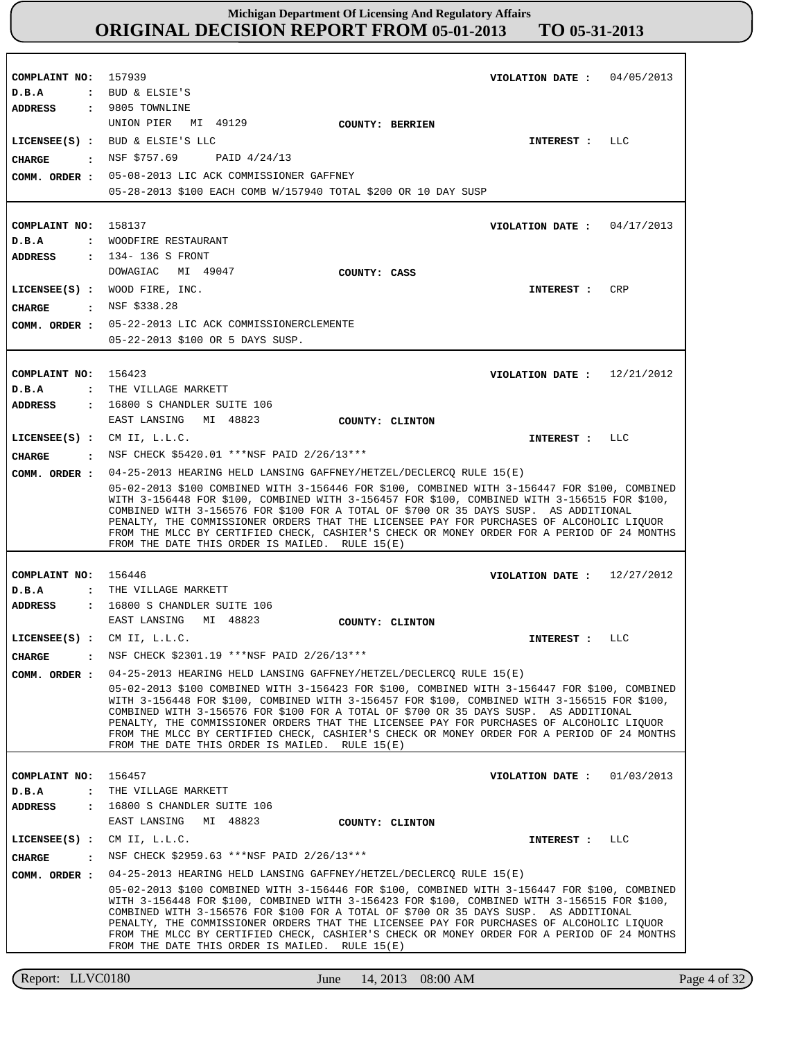| COMPLAINT NO: 157939<br>D.B.A<br>ADDRESS : 9805 TOWNLINE                           | 04/05/2013<br>VIOLATION DATE :<br>: BUD & ELSIE'S                                                                                                                                                                                                                                                                                                                                                                                                                                                                                                                                                                                                       |
|------------------------------------------------------------------------------------|---------------------------------------------------------------------------------------------------------------------------------------------------------------------------------------------------------------------------------------------------------------------------------------------------------------------------------------------------------------------------------------------------------------------------------------------------------------------------------------------------------------------------------------------------------------------------------------------------------------------------------------------------------|
| CHARGE                                                                             | UNION PIER MI 49129<br>COUNTY: BERRIEN<br>LICENSEE(S) : BUD & ELSIE'S LLC<br>LLC<br>INTEREST :<br>$\cdot$ NSF \$757.69 PAID 4/24/13<br>COMM. ORDER : 05-08-2013 LIC ACK COMMISSIONER GAFFNEY<br>05-28-2013 \$100 EACH COMB W/157940 TOTAL \$200 OR 10 DAY SUSP                                                                                                                                                                                                                                                                                                                                                                                          |
| COMPLAINT NO: 158137<br>D.B.A                                                      | 04/17/2013<br>VIOLATION DATE :<br>: WOODFIRE RESTAURANT                                                                                                                                                                                                                                                                                                                                                                                                                                                                                                                                                                                                 |
| ADDRESS<br>CHARGE                                                                  | : 134-136 S FRONT<br>DOWAGIAC MI 49047<br>COUNTY: CASS<br>LICENSEE(S) : WOOD FIRE, INC.<br><b>CRP</b><br>INTEREST :<br>$\,$ NSF \$338.28<br>COMM. ORDER : 05-22-2013 LIC ACK COMMISSIONERCLEMENTE<br>05-22-2013 \$100 OR 5 DAYS SUSP.                                                                                                                                                                                                                                                                                                                                                                                                                   |
| COMPLAINT NO: 156423<br>D.B.A<br><b>ADDRESS</b>                                    | 12/21/2012<br>VIOLATION DATE :<br>: THE VILLAGE MARKETT<br>: 16800 S CHANDLER SUITE 106<br>EAST LANSING MI 48823<br>COUNTY: CLINTON                                                                                                                                                                                                                                                                                                                                                                                                                                                                                                                     |
| LICENSEE $(S)$ : CM II, L.L.C.<br>CHARGE<br>$\sim$ $\sim$ $\sim$                   | LLC<br><b>INTEREST :</b><br>NSF CHECK \$5420.01 ***NSF PAID 2/26/13***                                                                                                                                                                                                                                                                                                                                                                                                                                                                                                                                                                                  |
| COMM. ORDER :                                                                      | 04-25-2013 HEARING HELD LANSING GAFFNEY/HETZEL/DECLERCQ RULE 15(E)<br>05-02-2013 \$100 COMBINED WITH 3-156446 FOR \$100, COMBINED WITH 3-156447 FOR \$100, COMBINED<br>WITH 3-156448 FOR \$100, COMBINED WITH 3-156457 FOR \$100, COMBINED WITH 3-156515 FOR \$100,<br>COMBINED WITH 3-156576 FOR \$100 FOR A TOTAL OF \$700 OR 35 DAYS SUSP. AS ADDITIONAL<br>PENALTY, THE COMMISSIONER ORDERS THAT THE LICENSEE PAY FOR PURCHASES OF ALCOHOLIC LIQUOR<br>FROM THE MLCC BY CERTIFIED CHECK, CASHIER'S CHECK OR MONEY ORDER FOR A PERIOD OF 24 MONTHS<br>FROM THE DATE THIS ORDER IS MAILED. RULE 15(E)                                                 |
| COMPLAINT NO: 156446                                                               | VIOLATION DATE: $12/27/2012$                                                                                                                                                                                                                                                                                                                                                                                                                                                                                                                                                                                                                            |
| D.B.A<br>$\mathbf{r}$<br><b>ADDRESS</b>                                            | THE VILLAGE MARKETT<br>: 16800 S CHANDLER SUITE 106<br>EAST LANSING MI 48823<br>COUNTY: CLINTON                                                                                                                                                                                                                                                                                                                                                                                                                                                                                                                                                         |
| LICENSEE $(S)$ : CM II, L.L.C.<br><b>CHARGE</b><br>$\ddot{\phantom{a}}$            | LLC<br><b>INTEREST :</b><br>NSF CHECK \$2301.19 ***NSF PAID 2/26/13***                                                                                                                                                                                                                                                                                                                                                                                                                                                                                                                                                                                  |
| COMM. ORDER :                                                                      | 04-25-2013 HEARING HELD LANSING GAFFNEY/HETZEL/DECLERCO RULE 15(E)<br>05-02-2013 \$100 COMBINED WITH 3-156423 FOR \$100, COMBINED WITH 3-156447 FOR \$100, COMBINED<br>WITH 3-156448 FOR \$100, COMBINED WITH 3-156457 FOR \$100, COMBINED WITH 3-156515 FOR \$100,<br>COMBINED WITH 3-156576 FOR \$100 FOR A TOTAL OF \$700 OR 35 DAYS SUSP. AS ADDITIONAL<br>PENALTY, THE COMMISSIONER ORDERS THAT THE LICENSEE PAY FOR PURCHASES OF ALCOHOLIC LIQUOR<br>FROM THE MLCC BY CERTIFIED CHECK, CASHIER'S CHECK OR MONEY ORDER FOR A PERIOD OF 24 MONTHS<br>FROM THE DATE THIS ORDER IS MAILED. RULE $15(E)$                                               |
| COMPLAINT NO:<br>D.B.A<br>$\ddot{\cdot}$<br><b>ADDRESS</b><br>$\ddot{\phantom{a}}$ | 156457<br>01/03/2013<br>VIOLATION DATE :<br>THE VILLAGE MARKETT<br>16800 S CHANDLER SUITE 106                                                                                                                                                                                                                                                                                                                                                                                                                                                                                                                                                           |
|                                                                                    | EAST LANSING MI 48823<br>COUNTY: CLINTON                                                                                                                                                                                                                                                                                                                                                                                                                                                                                                                                                                                                                |
| $LICENSEE(S)$ :                                                                    | CM II, L.L.C.<br><b>INTEREST :</b><br>LLC                                                                                                                                                                                                                                                                                                                                                                                                                                                                                                                                                                                                               |
| <b>CHARGE</b><br>$\ddot{\cdot}$<br>COMM. ORDER :                                   | NSF CHECK \$2959.63 ***NSF PAID 2/26/13***<br>04-25-2013 HEARING HELD LANSING GAFFNEY/HETZEL/DECLERCQ RULE 15(E)<br>05-02-2013 \$100 COMBINED WITH 3-156446 FOR \$100, COMBINED WITH 3-156447 FOR \$100, COMBINED<br>WITH 3-156448 FOR \$100, COMBINED WITH 3-156423 FOR \$100, COMBINED WITH 3-156515 FOR \$100,<br>COMBINED WITH 3-156576 FOR \$100 FOR A TOTAL OF \$700 OR 35 DAYS SUSP. AS ADDITIONAL<br>PENALTY, THE COMMISSIONER ORDERS THAT THE LICENSEE PAY FOR PURCHASES OF ALCOHOLIC LIQUOR<br>FROM THE MLCC BY CERTIFIED CHECK, CASHIER'S CHECK OR MONEY ORDER FOR A PERIOD OF 24 MONTHS<br>FROM THE DATE THIS ORDER IS MAILED. RULE $15(E)$ |

Report: LLVC0180 June 14, 2013 08:00 AM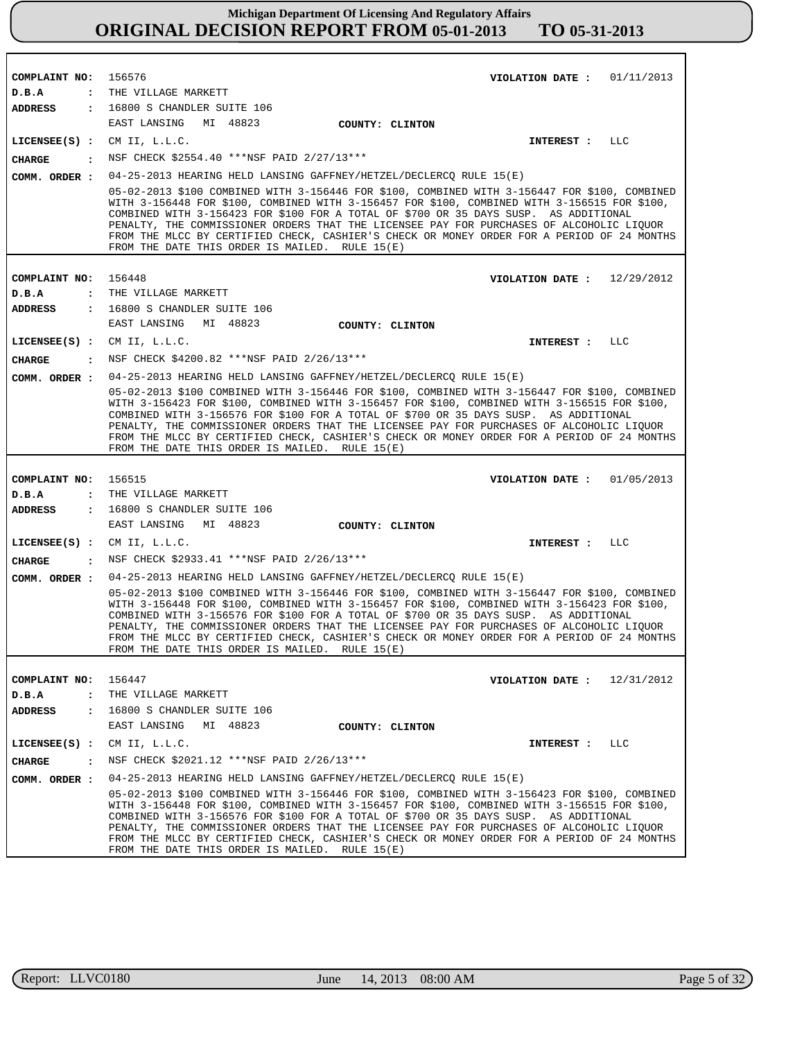| COMPLAINT NO:<br>D.B.A<br>$\ddot{\cdot}$                 | 156576<br>VIOLATION DATE :<br>01/11/2013<br>THE VILLAGE MARKETT                                                                                                                                                                                                                                                                                                                                                                                                                                                                                                                                         |
|----------------------------------------------------------|---------------------------------------------------------------------------------------------------------------------------------------------------------------------------------------------------------------------------------------------------------------------------------------------------------------------------------------------------------------------------------------------------------------------------------------------------------------------------------------------------------------------------------------------------------------------------------------------------------|
| <b>ADDRESS</b>                                           | : 16800 S CHANDLER SUITE 106                                                                                                                                                                                                                                                                                                                                                                                                                                                                                                                                                                            |
|                                                          | EAST LANSING MI 48823<br>COUNTY: CLINTON                                                                                                                                                                                                                                                                                                                                                                                                                                                                                                                                                                |
| $LICENSEE(S)$ :                                          | CM II, L.L.C.<br><b>INTEREST :</b><br>LLC                                                                                                                                                                                                                                                                                                                                                                                                                                                                                                                                                               |
| <b>CHARGE</b><br>$\cdot$                                 | NSF CHECK \$2554.40 ***NSF PAID 2/27/13***                                                                                                                                                                                                                                                                                                                                                                                                                                                                                                                                                              |
| COMM. ORDER :                                            | 04-25-2013 HEARING HELD LANSING GAFFNEY/HETZEL/DECLERCQ RULE 15(E)                                                                                                                                                                                                                                                                                                                                                                                                                                                                                                                                      |
|                                                          | 05-02-2013 \$100 COMBINED WITH 3-156446 FOR \$100, COMBINED WITH 3-156447 FOR \$100, COMBINED<br>WITH 3-156448 FOR \$100, COMBINED WITH 3-156457 FOR \$100, COMBINED WITH 3-156515 FOR \$100,<br>COMBINED WITH 3-156423 FOR \$100 FOR A TOTAL OF \$700 OR 35 DAYS SUSP. AS ADDITIONAL<br>PENALTY, THE COMMISSIONER ORDERS THAT THE LICENSEE PAY FOR PURCHASES OF ALCOHOLIC LIOUOR<br>FROM THE MLCC BY CERTIFIED CHECK, CASHIER'S CHECK OR MONEY ORDER FOR A PERIOD OF 24 MONTHS<br>FROM THE DATE THIS ORDER IS MAILED. RULE 15(E)                                                                       |
|                                                          |                                                                                                                                                                                                                                                                                                                                                                                                                                                                                                                                                                                                         |
| COMPLAINT NO:                                            | 156448<br>VIOLATION DATE: $12/29/2012$                                                                                                                                                                                                                                                                                                                                                                                                                                                                                                                                                                  |
| D.B.A<br>$\ddot{\cdot}$                                  | THE VILLAGE MARKETT                                                                                                                                                                                                                                                                                                                                                                                                                                                                                                                                                                                     |
| <b>ADDRESS</b><br>$\ddot{\phantom{a}}$                   | 16800 S CHANDLER SUITE 106<br>EAST LANSING<br>MI 48823                                                                                                                                                                                                                                                                                                                                                                                                                                                                                                                                                  |
|                                                          | COUNTY: CLINTON                                                                                                                                                                                                                                                                                                                                                                                                                                                                                                                                                                                         |
| $LICENSEE(S)$ :                                          | CM II, L.L.C.<br>INTEREST :<br>LLC                                                                                                                                                                                                                                                                                                                                                                                                                                                                                                                                                                      |
| <b>CHARGE</b><br>$\cdot$                                 | NSF CHECK \$4200.82 ***NSF PAID 2/26/13***                                                                                                                                                                                                                                                                                                                                                                                                                                                                                                                                                              |
| COMM. ORDER :                                            | 04-25-2013 HEARING HELD LANSING GAFFNEY/HETZEL/DECLERCQ RULE 15(E)                                                                                                                                                                                                                                                                                                                                                                                                                                                                                                                                      |
|                                                          | 05-02-2013 \$100 COMBINED WITH 3-156446 FOR \$100, COMBINED WITH 3-156447 FOR \$100, COMBINED<br>WITH 3-156423 FOR \$100, COMBINED WITH 3-156457 FOR \$100, COMBINED WITH 3-156515 FOR \$100,<br>COMBINED WITH 3-156576 FOR \$100 FOR A TOTAL OF \$700 OR 35 DAYS SUSP. AS ADDITIONAL<br>PENALTY, THE COMMISSIONER ORDERS THAT THE LICENSEE PAY FOR PURCHASES OF ALCOHOLIC LIQUOR<br>FROM THE MLCC BY CERTIFIED CHECK, CASHIER'S CHECK OR MONEY ORDER FOR A PERIOD OF 24 MONTHS<br>FROM THE DATE THIS ORDER IS MAILED. RULE $15(E)$                                                                     |
|                                                          |                                                                                                                                                                                                                                                                                                                                                                                                                                                                                                                                                                                                         |
| COMPLAINT NO:<br>D.B.A                                   | 156515<br>01/05/2013<br>VIOLATION DATE :<br>THE VILLAGE MARKETT                                                                                                                                                                                                                                                                                                                                                                                                                                                                                                                                         |
| $\ddot{\cdot}$<br><b>ADDRESS</b><br>$\ddot{\phantom{a}}$ | 16800 S CHANDLER SUITE 106                                                                                                                                                                                                                                                                                                                                                                                                                                                                                                                                                                              |
|                                                          | EAST LANSING<br>MI 48823<br>COUNTY: CLINTON                                                                                                                                                                                                                                                                                                                                                                                                                                                                                                                                                             |
| $LICENSEE(S)$ :                                          | CM II, L.L.C.<br><b>INTEREST :</b><br>LLC                                                                                                                                                                                                                                                                                                                                                                                                                                                                                                                                                               |
| $\cdot$                                                  | NSF CHECK \$2933.41 ***NSF PAID 2/26/13***                                                                                                                                                                                                                                                                                                                                                                                                                                                                                                                                                              |
| <b>CHARGE</b>                                            |                                                                                                                                                                                                                                                                                                                                                                                                                                                                                                                                                                                                         |
| COMM. ORDER :                                            | 04-25-2013 HEARING HELD LANSING GAFFNEY/HETZEL/DECLERCQ RULE 15(E)<br>05-02-2013 \$100 COMBINED WITH 3-156446 FOR \$100, COMBINED WITH 3-156447 FOR \$100, COMBINED<br>WITH 3-156448 FOR \$100, COMBINED WITH 3-156457 FOR \$100, COMBINED WITH 3-156423 FOR \$100,<br>COMBINED WITH 3-156576 FOR \$100 FOR A TOTAL OF \$700 OR 35 DAYS SUSP. AS ADDITIONAL<br>PENALTY, THE COMMISSIONER ORDERS THAT THE LICENSEE PAY FOR PURCHASES OF ALCOHOLIC LIQUOR<br>FROM THE MLCC BY CERTIFIED CHECK, CASHIER'S CHECK OR MONEY ORDER FOR A PERIOD OF 24 MONTHS<br>FROM THE DATE THIS ORDER IS MAILED. RULE 15(E) |
|                                                          |                                                                                                                                                                                                                                                                                                                                                                                                                                                                                                                                                                                                         |
| COMPLAINT NO:                                            | 156447<br>VIOLATION DATE: $12/31/2012$                                                                                                                                                                                                                                                                                                                                                                                                                                                                                                                                                                  |
| $D$ . B. A                                               | : THE VILLAGE MARKETT                                                                                                                                                                                                                                                                                                                                                                                                                                                                                                                                                                                   |
| $\mathbf{r}$<br><b>ADDRESS</b>                           | 16800 S CHANDLER SUITE 106                                                                                                                                                                                                                                                                                                                                                                                                                                                                                                                                                                              |
|                                                          | MI 48823<br>EAST LANSING<br>COUNTY: CLINTON                                                                                                                                                                                                                                                                                                                                                                                                                                                                                                                                                             |
| LICENSEE(S) :                                            | CM II, L.L.C.<br>INTEREST :<br>LLC                                                                                                                                                                                                                                                                                                                                                                                                                                                                                                                                                                      |
| CHARGE<br>$\mathbf{r}$                                   | NSF CHECK \$2021.12 ***NSF PAID 2/26/13***                                                                                                                                                                                                                                                                                                                                                                                                                                                                                                                                                              |
| COMM. ORDER :                                            | 04-25-2013 HEARING HELD LANSING GAFFNEY/HETZEL/DECLERCO RULE 15(E)                                                                                                                                                                                                                                                                                                                                                                                                                                                                                                                                      |
|                                                          | 05-02-2013 \$100 COMBINED WITH 3-156446 FOR \$100, COMBINED WITH 3-156423 FOR \$100, COMBINED<br>WITH 3-156448 FOR \$100, COMBINED WITH 3-156457 FOR \$100, COMBINED WITH 3-156515 FOR \$100,<br>COMBINED WITH 3-156576 FOR \$100 FOR A TOTAL OF \$700 OR 35 DAYS SUSP. AS ADDITIONAL<br>PENALTY, THE COMMISSIONER ORDERS THAT THE LICENSEE PAY FOR PURCHASES OF ALCOHOLIC LIQUOR<br>FROM THE MLCC BY CERTIFIED CHECK, CASHIER'S CHECK OR MONEY ORDER FOR A PERIOD OF 24 MONTHS<br>FROM THE DATE THIS ORDER IS MAILED. RULE $15(E)$                                                                     |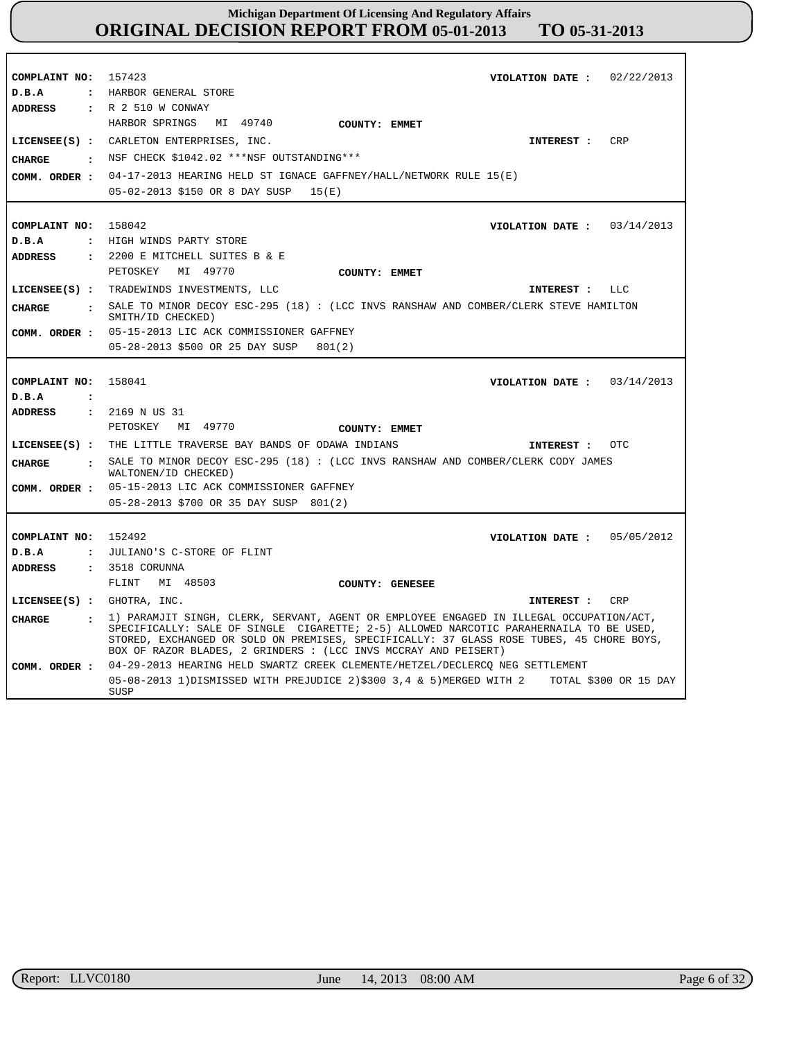| COMPLAINT NO:                    | 157423<br>VIOLATION DATE: $02/22/2013$                                                                                                                                                                                                                |
|----------------------------------|-------------------------------------------------------------------------------------------------------------------------------------------------------------------------------------------------------------------------------------------------------|
| D.B.A<br>$\ddot{\cdot}$          | HARBOR GENERAL STORE                                                                                                                                                                                                                                  |
| <b>ADDRESS</b>                   | : R 2 510 W CONWAY                                                                                                                                                                                                                                    |
|                                  | HARBOR SPRINGS<br>MI 49740<br>COUNTY: EMMET                                                                                                                                                                                                           |
|                                  | CRP<br>LICENSEE(S) : CARLETON ENTERPRISES, INC.<br>INTEREST :                                                                                                                                                                                         |
|                                  | NSF CHECK \$1042.02 ***NSF OUTSTANDING***                                                                                                                                                                                                             |
| <b>CHARGE</b><br>$\ddot{\cdot}$  |                                                                                                                                                                                                                                                       |
| COMM. ORDER :                    | 04-17-2013 HEARING HELD ST IGNACE GAFFNEY/HALL/NETWORK RULE 15(E)                                                                                                                                                                                     |
|                                  | 05-02-2013 \$150 OR 8 DAY SUSP<br>15(E)                                                                                                                                                                                                               |
|                                  |                                                                                                                                                                                                                                                       |
| COMPLAINT NO:                    | 158042<br>03/14/2013<br>VIOLATION DATE :                                                                                                                                                                                                              |
| D.B.A<br>$\ddot{\phantom{a}}$    | HIGH WINDS PARTY STORE                                                                                                                                                                                                                                |
| <b>ADDRESS</b><br>$\ddot{\cdot}$ | 2200 E MITCHELL SUITES B & E                                                                                                                                                                                                                          |
|                                  | MI 49770<br>PETOSKEY<br>COUNTY: EMMET                                                                                                                                                                                                                 |
|                                  | LICENSEE(S) : TRADEWINDS INVESTMENTS, LLC<br>LLC<br>INTEREST :                                                                                                                                                                                        |
|                                  |                                                                                                                                                                                                                                                       |
| <b>CHARGE</b>                    | : SALE TO MINOR DECOY ESC-295 (18) : (LCC INVS RANSHAW AND COMBER/CLERK STEVE HAMILTON<br>SMITH/ID CHECKED)                                                                                                                                           |
| COMM. ORDER :                    | 05-15-2013 LIC ACK COMMISSIONER GAFFNEY                                                                                                                                                                                                               |
|                                  | 05-28-2013 \$500 OR 25 DAY SUSP<br>801(2)                                                                                                                                                                                                             |
|                                  |                                                                                                                                                                                                                                                       |
| COMPLAINT NO:                    | 158041<br>03/14/2013<br>VIOLATION DATE :                                                                                                                                                                                                              |
| D.B.A<br>$\ddot{\phantom{a}}$    |                                                                                                                                                                                                                                                       |
| <b>ADDRESS</b><br>$\mathbf{r}$   | 2169 N US 31                                                                                                                                                                                                                                          |
|                                  | MI 49770<br>PETOSKEY<br>COUNTY: EMMET                                                                                                                                                                                                                 |
|                                  |                                                                                                                                                                                                                                                       |
|                                  | LICENSEE(S) : THE LITTLE TRAVERSE BAY BANDS OF ODAWA INDIANS<br>OTC.<br>INTEREST :                                                                                                                                                                    |
| <b>CHARGE</b><br>$\cdot$         | SALE TO MINOR DECOY ESC-295 (18) : (LCC INVS RANSHAW AND COMBER/CLERK CODY JAMES<br>WALTONEN/ID CHECKED)                                                                                                                                              |
| COMM. ORDER :                    | 05-15-2013 LIC ACK COMMISSIONER GAFFNEY                                                                                                                                                                                                               |
|                                  | 05-28-2013 \$700 OR 35 DAY SUSP 801(2)                                                                                                                                                                                                                |
|                                  |                                                                                                                                                                                                                                                       |
| COMPLAINT NO:                    | 05/05/2012<br>152492<br>VIOLATION DATE :                                                                                                                                                                                                              |
| D.B.A<br>$\cdot$                 | JULIANO'S C-STORE OF FLINT                                                                                                                                                                                                                            |
| <b>ADDRESS</b>                   | $: 3518$ CORUNNA                                                                                                                                                                                                                                      |
|                                  | MI 48503<br>FLINT<br>COUNTY: GENESEE                                                                                                                                                                                                                  |
| LICENSEE(S) : GHOTRA, INC.       | <b>CRP</b><br>INTEREST :                                                                                                                                                                                                                              |
|                                  | 1) PARAMJIT SINGH, CLERK, SERVANT, AGENT OR EMPLOYEE ENGAGED IN ILLEGAL OCCUPATION/ACT,                                                                                                                                                               |
| CIIARGE<br>$\mathbf{z}$          | SPECIFICALLY: SALE OF SINGLE CIGARETTE; 2-5) ALLOWED NARCOTIC PARAHERNAILA TO BE USED,<br>STORED, EXCHANGED OR SOLD ON PREMISES, SPECIFICALLY: 37 GLASS ROSE TUBES, 45 CHORE BOYS,<br>BOX OF RAZOR BLADES, 2 GRINDERS : (LCC INVS MCCRAY AND PEISERT) |
| COMM. ORDER :                    | 04-29-2013 HEARING HELD SWARTZ CREEK CLEMENTE/HETZEL/DECLERCQ NEG SETTLEMENT                                                                                                                                                                          |
|                                  | 05-08-2013 1)DISMISSED WITH PREJUDICE 2)\$300 3,4 & 5)MERGED WITH 2<br>TOTAL \$300 OR 15 DAY<br>SUSP                                                                                                                                                  |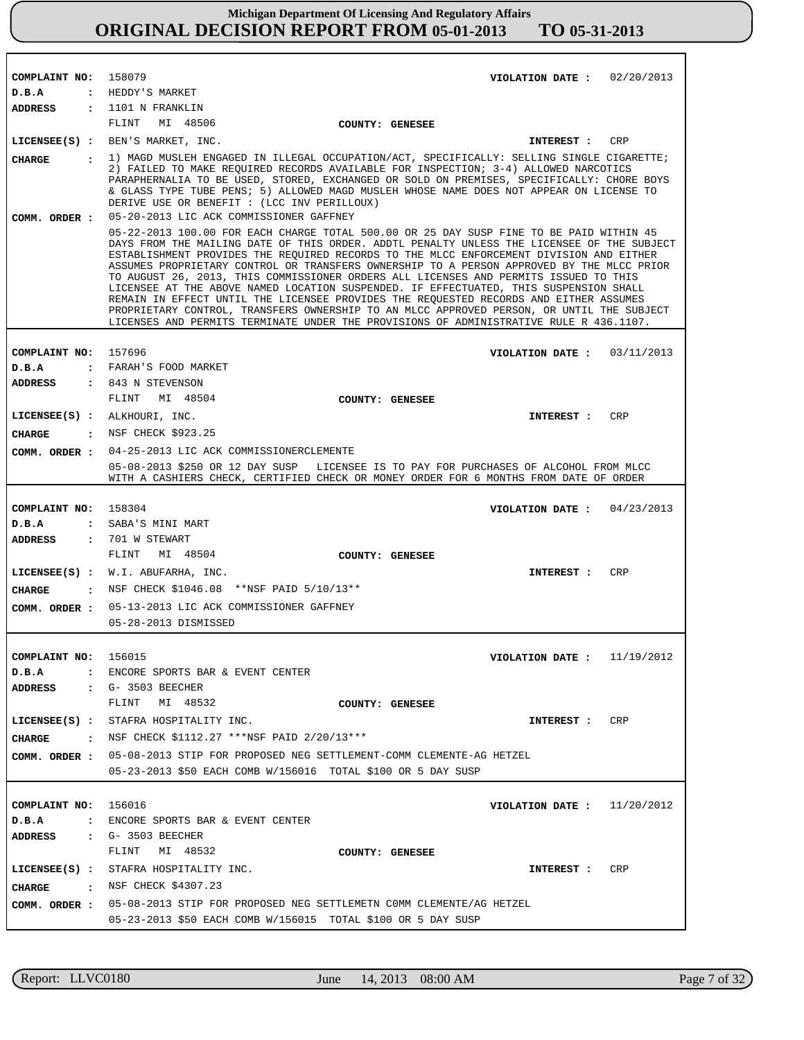| COMPLAINT NO: 158079  | VIOLATION DATE: $02/20/2013$                                                                                                                                                                                                                                                                                                                                                                                                                                                                                                                                                                                                                                                                                                                                                                                                                   |
|-----------------------|------------------------------------------------------------------------------------------------------------------------------------------------------------------------------------------------------------------------------------------------------------------------------------------------------------------------------------------------------------------------------------------------------------------------------------------------------------------------------------------------------------------------------------------------------------------------------------------------------------------------------------------------------------------------------------------------------------------------------------------------------------------------------------------------------------------------------------------------|
| D.B.A                 | : HEDDY'S MARKET                                                                                                                                                                                                                                                                                                                                                                                                                                                                                                                                                                                                                                                                                                                                                                                                                               |
| <b>ADDRESS</b>        | : 1101 N FRANKLIN                                                                                                                                                                                                                                                                                                                                                                                                                                                                                                                                                                                                                                                                                                                                                                                                                              |
|                       | MI 48506<br>FLINT<br>COUNTY: GENESEE                                                                                                                                                                                                                                                                                                                                                                                                                                                                                                                                                                                                                                                                                                                                                                                                           |
|                       | LICENSEE(S) : BEN'S MARKET, INC.<br>CRP<br><b>INTEREST :</b>                                                                                                                                                                                                                                                                                                                                                                                                                                                                                                                                                                                                                                                                                                                                                                                   |
| CHARGE                | : 1) MAGD MUSLEH ENGAGED IN ILLEGAL OCCUPATION/ACT, SPECIFICALLY: SELLING SINGLE CIGARETTE;<br>2) FAILED TO MAKE REQUIRED RECORDS AVAILABLE FOR INSPECTION; 3-4) ALLOWED NARCOTICS<br>PARAPHERNALIA TO BE USED, STORED, EXCHANGED OR SOLD ON PREMISES, SPECIFICALLY: CHORE BOYS<br>& GLASS TYPE TUBE PENS; 5) ALLOWED MAGD MUSLEH WHOSE NAME DOES NOT APPEAR ON LICENSE TO<br>DERIVE USE OR BENEFIT : (LCC INV PERILLOUX)                                                                                                                                                                                                                                                                                                                                                                                                                      |
| COMM. ORDER :         | 05-20-2013 LIC ACK COMMISSIONER GAFFNEY                                                                                                                                                                                                                                                                                                                                                                                                                                                                                                                                                                                                                                                                                                                                                                                                        |
|                       | 05-22-2013 100.00 FOR EACH CHARGE TOTAL 500.00 OR 25 DAY SUSP FINE TO BE PAID WITHIN 45<br>DAYS FROM THE MAILING DATE OF THIS ORDER. ADDTL PENALTY UNLESS THE LICENSEE OF THE SUBJECT<br>ESTABLISHMENT PROVIDES THE REQUIRED RECORDS TO THE MLCC ENFORCEMENT DIVISION AND EITHER<br>ASSUMES PROPRIETARY CONTROL OR TRANSFERS OWNERSHIP TO A PERSON APPROVED BY THE MLCC PRIOR<br>TO AUGUST 26, 2013, THIS COMMISSIONER ORDERS ALL LICENSES AND PERMITS ISSUED TO THIS<br>LICENSEE AT THE ABOVE NAMED LOCATION SUSPENDED. IF EFFECTUATED, THIS SUSPENSION SHALL<br>REMAIN IN EFFECT UNTIL THE LICENSEE PROVIDES THE REQUESTED RECORDS AND EITHER ASSUMES<br>PROPRIETARY CONTROL, TRANSFERS OWNERSHIP TO AN MLCC APPROVED PERSON, OR UNTIL THE SUBJECT<br>LICENSES AND PERMITS TERMINATE UNDER THE PROVISIONS OF ADMINISTRATIVE RULE R 436.1107. |
|                       |                                                                                                                                                                                                                                                                                                                                                                                                                                                                                                                                                                                                                                                                                                                                                                                                                                                |
| COMPLAINT NO: 157696  | VIOLATION DATE: $03/11/2013$                                                                                                                                                                                                                                                                                                                                                                                                                                                                                                                                                                                                                                                                                                                                                                                                                   |
| D.B.A                 | : FARAH'S FOOD MARKET                                                                                                                                                                                                                                                                                                                                                                                                                                                                                                                                                                                                                                                                                                                                                                                                                          |
| <b>ADDRESS</b>        | : 843 N STEVENSON                                                                                                                                                                                                                                                                                                                                                                                                                                                                                                                                                                                                                                                                                                                                                                                                                              |
|                       | FLINT MI 48504<br>COUNTY: GENESEE                                                                                                                                                                                                                                                                                                                                                                                                                                                                                                                                                                                                                                                                                                                                                                                                              |
|                       | LICENSEE(S) : ALKHOURI, INC.<br>CRP<br><b>INTEREST :</b>                                                                                                                                                                                                                                                                                                                                                                                                                                                                                                                                                                                                                                                                                                                                                                                       |
| <b>CHARGE</b>         | . NSF CHECK \$923.25                                                                                                                                                                                                                                                                                                                                                                                                                                                                                                                                                                                                                                                                                                                                                                                                                           |
| COMM. ORDER :         | 04-25-2013 LIC ACK COMMISSIONERCLEMENTE                                                                                                                                                                                                                                                                                                                                                                                                                                                                                                                                                                                                                                                                                                                                                                                                        |
|                       | 05-08-2013 \$250 OR 12 DAY SUSP LICENSEE IS TO PAY FOR PURCHASES OF ALCOHOL FROM MLCC<br>WITH A CASHIERS CHECK, CERTIFIED CHECK OR MONEY ORDER FOR 6 MONTHS FROM DATE OF ORDER                                                                                                                                                                                                                                                                                                                                                                                                                                                                                                                                                                                                                                                                 |
|                       |                                                                                                                                                                                                                                                                                                                                                                                                                                                                                                                                                                                                                                                                                                                                                                                                                                                |
| COMPLAINT NO: 158304  | VIOLATION DATE: $04/23/2013$                                                                                                                                                                                                                                                                                                                                                                                                                                                                                                                                                                                                                                                                                                                                                                                                                   |
| D.B.A                 | : SABA'S MINI MART                                                                                                                                                                                                                                                                                                                                                                                                                                                                                                                                                                                                                                                                                                                                                                                                                             |
| <b>ADDRESS</b>        | : 701 W STEWART                                                                                                                                                                                                                                                                                                                                                                                                                                                                                                                                                                                                                                                                                                                                                                                                                                |
|                       | FLINT<br>MI 48504<br>COUNTY: GENESEE                                                                                                                                                                                                                                                                                                                                                                                                                                                                                                                                                                                                                                                                                                                                                                                                           |
|                       | LICENSEE(S) : W.I. ABUFARHA, INC.<br>CRP<br><b>INTEREST :</b>                                                                                                                                                                                                                                                                                                                                                                                                                                                                                                                                                                                                                                                                                                                                                                                  |
| CHARGE                | : NSF CHECK \$1046.08 ** NSF PAID 5/10/13**                                                                                                                                                                                                                                                                                                                                                                                                                                                                                                                                                                                                                                                                                                                                                                                                    |
| COMM. ORDER :         | 05-13-2013 LIC ACK COMMISSIONER GAFFNEY                                                                                                                                                                                                                                                                                                                                                                                                                                                                                                                                                                                                                                                                                                                                                                                                        |
|                       | 05-28-2013 DISMISSED                                                                                                                                                                                                                                                                                                                                                                                                                                                                                                                                                                                                                                                                                                                                                                                                                           |
|                       |                                                                                                                                                                                                                                                                                                                                                                                                                                                                                                                                                                                                                                                                                                                                                                                                                                                |
| COMPLAINT NO: 156015  | 11/19/2012<br>VIOLATION DATE :                                                                                                                                                                                                                                                                                                                                                                                                                                                                                                                                                                                                                                                                                                                                                                                                                 |
| D.B.A<br>$\mathbf{r}$ | ENCORE SPORTS BAR & EVENT CENTER                                                                                                                                                                                                                                                                                                                                                                                                                                                                                                                                                                                                                                                                                                                                                                                                               |
| ADDRESS               | $\cdot$ G- 3503 BEECHER                                                                                                                                                                                                                                                                                                                                                                                                                                                                                                                                                                                                                                                                                                                                                                                                                        |
|                       | MI 48532<br>FLINT<br>COUNTY: GENESEE                                                                                                                                                                                                                                                                                                                                                                                                                                                                                                                                                                                                                                                                                                                                                                                                           |
|                       | LICENSEE(S) : STAFRA HOSPITALITY INC.<br>CRP<br>INTEREST :                                                                                                                                                                                                                                                                                                                                                                                                                                                                                                                                                                                                                                                                                                                                                                                     |
|                       | <b>CHARGE</b> : NSF CHECK \$1112.27 ***NSF PAID $2/20/13***$                                                                                                                                                                                                                                                                                                                                                                                                                                                                                                                                                                                                                                                                                                                                                                                   |
|                       | COMM. ORDER : 05-08-2013 STIP FOR PROPOSED NEG SETTLEMENT-COMM CLEMENTE-AG HETZEL                                                                                                                                                                                                                                                                                                                                                                                                                                                                                                                                                                                                                                                                                                                                                              |
|                       | 05-23-2013 \$50 EACH COMB W/156016 TOTAL \$100 OR 5 DAY SUSP                                                                                                                                                                                                                                                                                                                                                                                                                                                                                                                                                                                                                                                                                                                                                                                   |
|                       |                                                                                                                                                                                                                                                                                                                                                                                                                                                                                                                                                                                                                                                                                                                                                                                                                                                |
| COMPLAINT NO: 156016  | VIOLATION DATE : $11/20/2012$                                                                                                                                                                                                                                                                                                                                                                                                                                                                                                                                                                                                                                                                                                                                                                                                                  |
| D.B.A                 | : ENCORE SPORTS BAR & EVENT CENTER                                                                                                                                                                                                                                                                                                                                                                                                                                                                                                                                                                                                                                                                                                                                                                                                             |
|                       | ADDRESS : G- 3503 BEECHER                                                                                                                                                                                                                                                                                                                                                                                                                                                                                                                                                                                                                                                                                                                                                                                                                      |
|                       | MI 48532<br>FLINT<br>COUNTY: GENESEE                                                                                                                                                                                                                                                                                                                                                                                                                                                                                                                                                                                                                                                                                                                                                                                                           |
|                       | LICENSEE(S) : STAFRA HOSPITALITY INC.<br>CRP<br>INTEREST :                                                                                                                                                                                                                                                                                                                                                                                                                                                                                                                                                                                                                                                                                                                                                                                     |
|                       | CHARGE : NSF CHECK \$4307.23                                                                                                                                                                                                                                                                                                                                                                                                                                                                                                                                                                                                                                                                                                                                                                                                                   |
|                       | COMM. ORDER: 05-08-2013 STIP FOR PROPOSED NEG SETTLEMETN COMM CLEMENTE/AG HETZEL                                                                                                                                                                                                                                                                                                                                                                                                                                                                                                                                                                                                                                                                                                                                                               |
|                       | 05-23-2013 \$50 EACH COMB W/156015 TOTAL \$100 OR 5 DAY SUSP                                                                                                                                                                                                                                                                                                                                                                                                                                                                                                                                                                                                                                                                                                                                                                                   |

r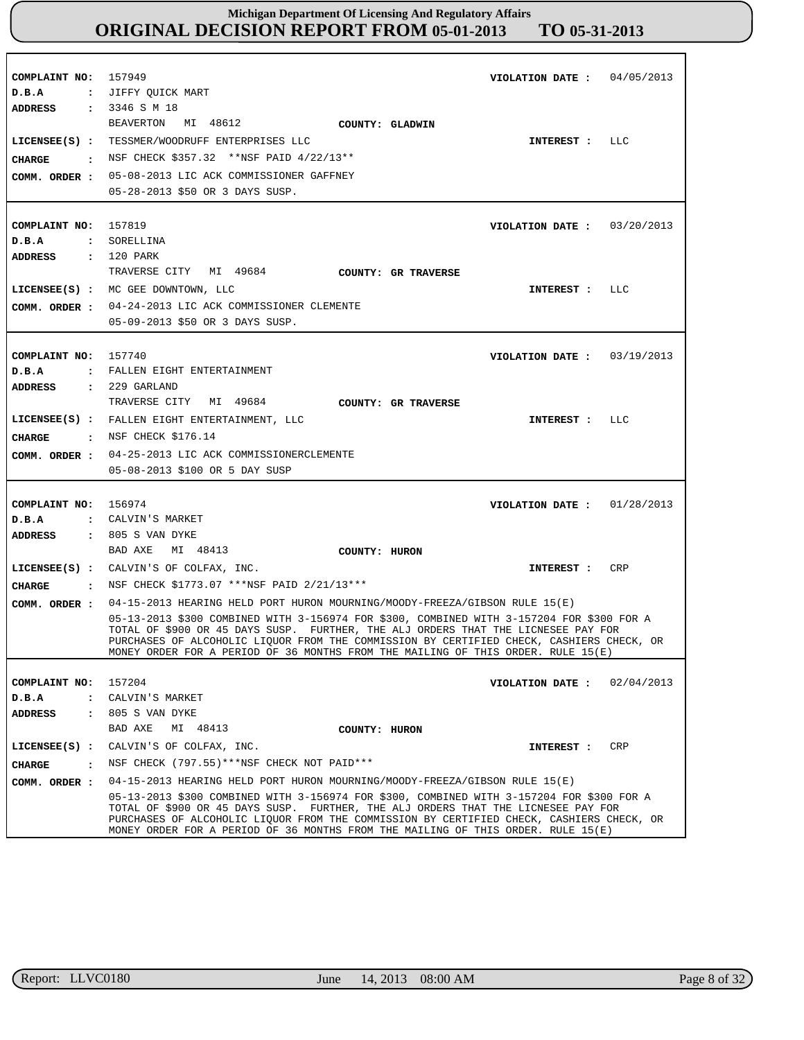| COMPLAINT NO:<br>D.B.A                                     | 157949<br>04/05/2013<br>VIOLATION DATE :<br>: JIFFY QUICK MART                                                                                                                                                                                                                                                                                                                                                                               |
|------------------------------------------------------------|----------------------------------------------------------------------------------------------------------------------------------------------------------------------------------------------------------------------------------------------------------------------------------------------------------------------------------------------------------------------------------------------------------------------------------------------|
| ADDRESS<br>CHARGE<br>$\sim$ $\sim$ $\sim$<br>COMM. ORDER : | : 3346 S M 18<br>BEAVERTON MI 48612<br>COUNTY: GLADWIN<br>LICENSEE(S) : TESSMER/WOODRUFF ENTERPRISES LLC<br>LLC<br>INTEREST :<br>NSF CHECK \$357.32 **NSF PAID 4/22/13**<br>05-08-2013 LIC ACK COMMISSIONER GAFFNEY<br>05-28-2013 \$50 OR 3 DAYS SUSP.                                                                                                                                                                                       |
| COMPLAINT NO: 157819<br>D.B.A                              | VIOLATION DATE: $03/20/2013$<br>: SORELLINA                                                                                                                                                                                                                                                                                                                                                                                                  |
| ADDRESS<br>COMM. ORDER :                                   | : 120 PARK<br>TRAVERSE CITY MI 49684<br>COUNTY: GR TRAVERSE<br>LICENSEE(S) : MC GEE DOWNTOWN, LLC<br>LLC<br>INTEREST :<br>04-24-2013 LIC ACK COMMISSIONER CLEMENTE<br>05-09-2013 \$50 OR 3 DAYS SUSP.                                                                                                                                                                                                                                        |
| COMPLAINT NO:<br>D.B.A<br>ADDRESS                          | 157740<br>VIOLATION DATE: $03/19/2013$<br>: FALLEN EIGHT ENTERTAINMENT<br>$: 229$ GARLAND                                                                                                                                                                                                                                                                                                                                                    |
| CHARGE<br>COMM. ORDER :                                    | TRAVERSE CITY MI 49684<br>COUNTY: GR TRAVERSE<br>LICENSEE(S) : FALLEN EIGHT ENTERTAINMENT, LLC<br>LLC<br>INTEREST :<br>. NSF CHECK \$176.14<br>04-25-2013 LIC ACK COMMISSIONERCLEMENTE<br>05-08-2013 \$100 OR 5 DAY SUSP                                                                                                                                                                                                                     |
| COMPLAINT NO:<br>D.B.A<br>$\mathbf{z}$<br><b>ADDRESS</b>   | 156974<br>01/28/2013<br>VIOLATION DATE :<br>CALVIN'S MARKET<br>: 805 S VAN DYKE                                                                                                                                                                                                                                                                                                                                                              |
| <b>CHARGE</b><br>$\sim$ $\sim$ $\sim$ $\sim$               | BAD AXE<br>MI 48413<br>COUNTY: HURON<br><b>CRP</b><br>LICENSEE(S) : CALVIN'S OF COLFAX, INC.<br>INTEREST :<br>NSF CHECK \$1773.07 ***NSF PAID 2/21/13***                                                                                                                                                                                                                                                                                     |
| COMM. ORDER :                                              | 04-15-2013 HEARING HELD PORT HURON MOURNING/MOODY-FREEZA/GIBSON RULE 15(E)<br>05-13-2013 \$300 COMBINED WITH 3-156974 FOR \$300, COMBINED WITH 3-157204 FOR \$300 FOR A<br>TOTAL OF \$900 OR 45 DAYS SUSP. FURTHER, THE ALJ ORDERS THAT THE LICNESEE PAY FOR<br>PURCHASES OF ALCOHOLIC LIQUOR FROM THE COMMISSION BY CERTIFIED CHECK, CASHIERS CHECK, OR<br>MONEY ORDER FOR A PERIOD OF 36 MONTHS FROM THE MAILING OF THIS ORDER. RULE 15(E) |
| COMPLAINT NO:<br>D.B.A<br>ADDRESS                          | 157204<br>VIOLATION DATE: $02/04/2013$<br>: CALVIN'S MARKET<br>: 805 S VAN DYKE<br>BAD AXE<br>MI 48413<br>COUNTY: HURON                                                                                                                                                                                                                                                                                                                      |
| <b>CHARGE</b><br>$\mathbf{r}$<br>COMM. ORDER :             | CRP<br>LICENSEE(S) : CALVIN'S OF COLFAX, INC.<br>INTEREST :<br>NSF CHECK (797.55) *** NSF CHECK NOT PAID ***<br>04-15-2013 HEARING HELD PORT HURON MOURNING/MOODY-FREEZA/GIBSON RULE 15(E)                                                                                                                                                                                                                                                   |
|                                                            | 05-13-2013 \$300 COMBINED WITH 3-156974 FOR \$300, COMBINED WITH 3-157204 FOR \$300 FOR A<br>TOTAL OF \$900 OR 45 DAYS SUSP. FURTHER, THE ALJ ORDERS THAT THE LICNESEE PAY FOR<br>PURCHASES OF ALCOHOLIC LIQUOR FROM THE COMMISSION BY CERTIFIED CHECK, CASHIERS CHECK, OR<br>MONEY ORDER FOR A PERIOD OF 36 MONTHS FROM THE MAILING OF THIS ORDER. RULE 15(E)                                                                               |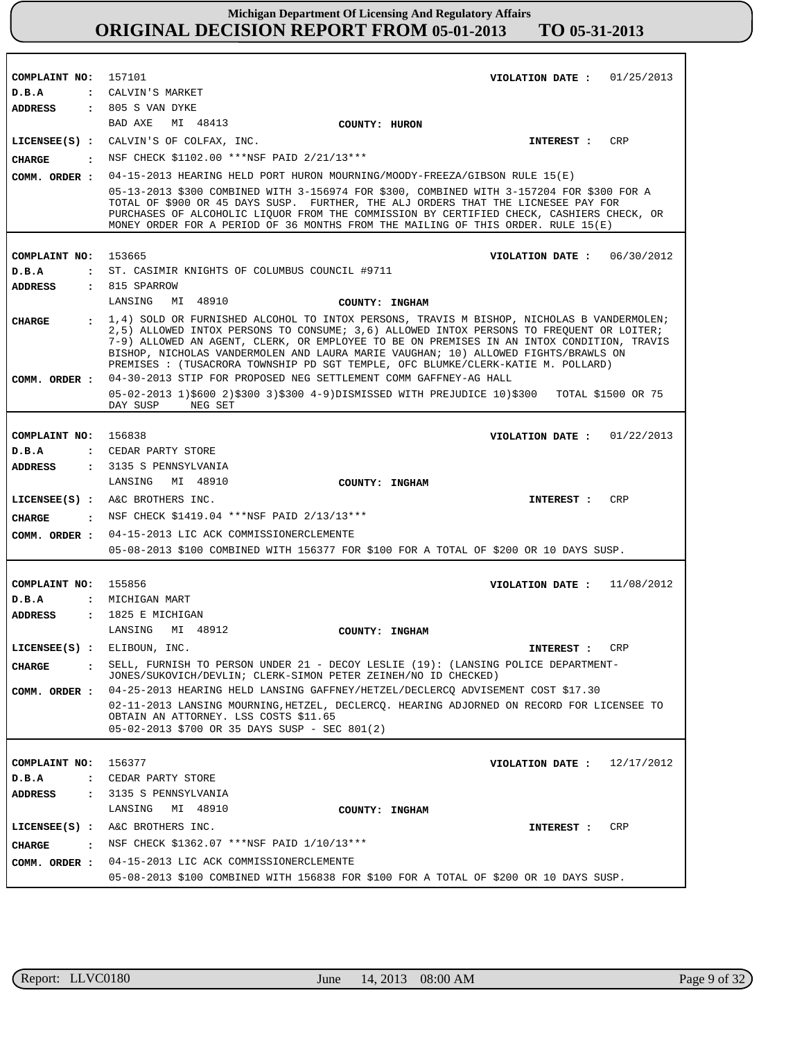| COMPLAINT NO: 157101                  | VIOLATION DATE: $01/25/2013$                                                                                                                                                                                                                                                                                                                                    |
|---------------------------------------|-----------------------------------------------------------------------------------------------------------------------------------------------------------------------------------------------------------------------------------------------------------------------------------------------------------------------------------------------------------------|
| D.B.A                                 | : CALVIN'S MARKET<br>: 805 S VAN DYKE                                                                                                                                                                                                                                                                                                                           |
| <b>ADDRESS</b>                        | BAD AXE<br>MI 48413                                                                                                                                                                                                                                                                                                                                             |
|                                       | COUNTY: HURON<br>LICENSEE(S) : CALVIN'S OF COLFAX, INC.<br>CRP<br>INTEREST :                                                                                                                                                                                                                                                                                    |
|                                       | : NSF CHECK \$1102.00 ***NSF PAID 2/21/13***                                                                                                                                                                                                                                                                                                                    |
| CHARGE                                |                                                                                                                                                                                                                                                                                                                                                                 |
| COMM. ORDER :                         | 04-15-2013 HEARING HELD PORT HURON MOURNING/MOODY-FREEZA/GIBSON RULE 15(E)                                                                                                                                                                                                                                                                                      |
|                                       | 05-13-2013 \$300 COMBINED WITH 3-156974 FOR \$300, COMBINED WITH 3-157204 FOR \$300 FOR A<br>TOTAL OF \$900 OR 45 DAYS SUSP. FURTHER, THE ALJ ORDERS THAT THE LICNESEE PAY FOR<br>PURCHASES OF ALCOHOLIC LIQUOR FROM THE COMMISSION BY CERTIFIED CHECK, CASHIERS CHECK, OR<br>MONEY ORDER FOR A PERIOD OF 36 MONTHS FROM THE MAILING OF THIS ORDER. RULE 15(E)  |
| COMPLAINT NO: 153665                  | VIOLATION DATE : $06/30/2012$                                                                                                                                                                                                                                                                                                                                   |
| D.B.A                                 | : ST. CASIMIR KNIGHTS OF COLUMBUS COUNCIL #9711                                                                                                                                                                                                                                                                                                                 |
| <b>ADDRESS</b>                        | : 815 SPARROW                                                                                                                                                                                                                                                                                                                                                   |
|                                       | LANSING<br>MI 48910<br>COUNTY: INGHAM                                                                                                                                                                                                                                                                                                                           |
| <b>CHARGE</b>                         | : 1,4) SOLD OR FURNISHED ALCOHOL TO INTOX PERSONS, TRAVIS M BISHOP, NICHOLAS B VANDERMOLEN;                                                                                                                                                                                                                                                                     |
|                                       | 2,5) ALLOWED INTOX PERSONS TO CONSUME; 3,6) ALLOWED INTOX PERSONS TO FREQUENT OR LOITER;<br>7-9) ALLOWED AN AGENT, CLERK, OR EMPLOYEE TO BE ON PREMISES IN AN INTOX CONDITION, TRAVIS<br>BISHOP, NICHOLAS VANDERMOLEN AND LAURA MARIE VAUGHAN; 10) ALLOWED FIGHTS/BRAWLS ON<br>PREMISES : (TUSACRORA TOWNSHIP PD SGT TEMPLE, OFC BLUMKE/CLERK-KATIE M. POLLARD) |
|                                       | COMM. ORDER : 04-30-2013 STIP FOR PROPOSED NEG SETTLEMENT COMM GAFFNEY-AG HALL                                                                                                                                                                                                                                                                                  |
|                                       | 05-02-2013 1)\$600 2)\$300 3)\$300 4-9)DISMISSED WITH PREJUDICE 10)\$300 TOTAL \$1500 OR 75<br>DAY SUSP<br>NEG SET                                                                                                                                                                                                                                              |
|                                       |                                                                                                                                                                                                                                                                                                                                                                 |
| COMPLAINT NO:                         | 156838<br>VIOLATION DATE: $01/22/2013$                                                                                                                                                                                                                                                                                                                          |
| D.B.A                                 | : CEDAR PARTY STORE                                                                                                                                                                                                                                                                                                                                             |
| <b>ADDRESS</b>                        | : 3135 S PENNSYLVANIA                                                                                                                                                                                                                                                                                                                                           |
|                                       | LANSING MI 48910<br>COUNTY: INGHAM                                                                                                                                                                                                                                                                                                                              |
|                                       |                                                                                                                                                                                                                                                                                                                                                                 |
|                                       | LICENSEE(S) : A&C BROTHERS INC.<br>CRP<br>INTEREST :                                                                                                                                                                                                                                                                                                            |
| CHARGE                                | : NSF CHECK \$1419.04 ***NSF PAID 2/13/13***                                                                                                                                                                                                                                                                                                                    |
| COMM. ORDER :                         | 04-15-2013 LIC ACK COMMISSIONERCLEMENTE                                                                                                                                                                                                                                                                                                                         |
|                                       | 05-08-2013 \$100 COMBINED WITH 156377 FOR \$100 FOR A TOTAL OF \$200 OR 10 DAYS SUSP.                                                                                                                                                                                                                                                                           |
|                                       |                                                                                                                                                                                                                                                                                                                                                                 |
| COMPLAINT NO: 155856                  | VIOLATION DATE: $11/08/2012$                                                                                                                                                                                                                                                                                                                                    |
| D.B.A                                 | : MICHIGAN MART                                                                                                                                                                                                                                                                                                                                                 |
| <b>ADDRESS</b>                        | $: 1825$ E MICHIGAN                                                                                                                                                                                                                                                                                                                                             |
|                                       | LANSING<br>MI 48912<br>COUNTY: INGHAM                                                                                                                                                                                                                                                                                                                           |
| LICENSEE(S) : ELIBOUN, INC.           | INTEREST : CRP                                                                                                                                                                                                                                                                                                                                                  |
| <b>CHARGE</b><br>$\mathbf{r}$         | SELL, FURNISH TO PERSON UNDER 21 - DECOY LESLIE (19): (LANSING POLICE DEPARTMENT-                                                                                                                                                                                                                                                                               |
| COMM. ORDER :                         | JONES/SUKOVICH/DEVLIN; CLERK-SIMON PETER ZEINEH/NO ID CHECKED)<br>04-25-2013 HEARING HELD LANSING GAFFNEY/HETZEL/DECLERCQ ADVISEMENT COST \$17.30                                                                                                                                                                                                               |
|                                       | 02-11-2013 LANSING MOURNING, HETZEL, DECLERCQ. HEARING ADJORNED ON RECORD FOR LICENSEE TO                                                                                                                                                                                                                                                                       |
|                                       | OBTAIN AN ATTORNEY. LSS COSTS \$11.65<br>05-02-2013 \$700 OR 35 DAYS SUSP - SEC 801(2)                                                                                                                                                                                                                                                                          |
|                                       |                                                                                                                                                                                                                                                                                                                                                                 |
| COMPLAINT NO:                         | 156377<br>VIOLATION DATE : $12/17/2012$                                                                                                                                                                                                                                                                                                                         |
| D.B.A<br>$\ddot{\phantom{a}}$         | CEDAR PARTY STORE                                                                                                                                                                                                                                                                                                                                               |
| <b>ADDRESS</b><br>$\mathbf{r}$        | 3135 S PENNSYLVANIA                                                                                                                                                                                                                                                                                                                                             |
|                                       | LANSING<br>MI 48910<br>COUNTY: INGHAM                                                                                                                                                                                                                                                                                                                           |
| $LICENSEE(S)$ :                       | A&C BROTHERS INC.<br><b>CRP</b><br>INTEREST :                                                                                                                                                                                                                                                                                                                   |
| <b>CHARGE</b><br>$\sim$ $\sim$ $\sim$ | NSF CHECK \$1362.07 ***NSF PAID 1/10/13***                                                                                                                                                                                                                                                                                                                      |
| COMM. ORDER :                         | 04-15-2013 LIC ACK COMMISSIONERCLEMENTE<br>05-08-2013 \$100 COMBINED WITH 156838 FOR \$100 FOR A TOTAL OF \$200 OR 10 DAYS SUSP.                                                                                                                                                                                                                                |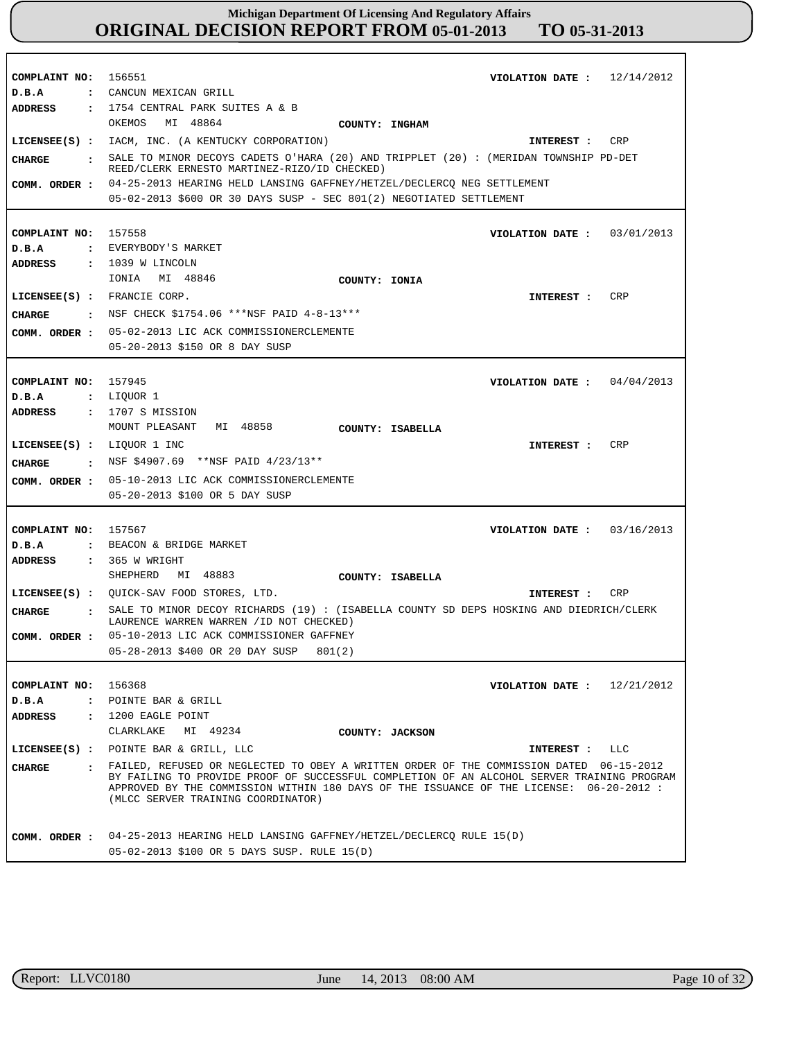| COMPLAINT NO: 156551        | VIOLATION DATE: $12/14/2012$<br>: CANCUN MEXICAN GRILL                                                                                                                                                                                                                                                                 |
|-----------------------------|------------------------------------------------------------------------------------------------------------------------------------------------------------------------------------------------------------------------------------------------------------------------------------------------------------------------|
| D.B.A<br>ADDRESS            | : 1754 CENTRAL PARK SUITES A & B                                                                                                                                                                                                                                                                                       |
|                             | OKEMOS MI 48864<br>COUNTY: INGHAM                                                                                                                                                                                                                                                                                      |
|                             | LICENSEE(S) : IACM, INC. (A KENTUCKY CORPORATION)<br>CRP                                                                                                                                                                                                                                                               |
|                             | INTEREST :<br>SALE TO MINOR DECOYS CADETS O'HARA (20) AND TRIPPLET (20) : (MERIDAN TOWNSHIP PD-DET                                                                                                                                                                                                                     |
| CHARGE                      | REED/CLERK ERNESTO MARTINEZ-RIZO/ID CHECKED)                                                                                                                                                                                                                                                                           |
|                             | COMM. ORDER : 04-25-2013 HEARING HELD LANSING GAFFNEY/HETZEL/DECLERCQ NEG SETTLEMENT                                                                                                                                                                                                                                   |
|                             | 05-02-2013 \$600 OR 30 DAYS SUSP - SEC 801(2) NEGOTIATED SETTLEMENT                                                                                                                                                                                                                                                    |
|                             |                                                                                                                                                                                                                                                                                                                        |
| COMPLAINT NO: 157558        | VIOLATION DATE: $03/01/2013$                                                                                                                                                                                                                                                                                           |
| D.B.A                       | : EVERYBODY'S MARKET                                                                                                                                                                                                                                                                                                   |
| ADDRESS                     | $: 1039$ W LINCOLN                                                                                                                                                                                                                                                                                                     |
|                             | IONIA MI 48846<br>COUNTY: IONIA                                                                                                                                                                                                                                                                                        |
| LICENSEE(S) : FRANCIE CORP. | CRP<br>INTEREST :                                                                                                                                                                                                                                                                                                      |
| CIIARGE                     | : NSF CHECK \$1754.06 ***NSF PAID 4-8-13***                                                                                                                                                                                                                                                                            |
| COMM. ORDER :               | 05-02-2013 LIC ACK COMMISSIONERCLEMENTE                                                                                                                                                                                                                                                                                |
|                             | 05-20-2013 \$150 OR 8 DAY SUSP                                                                                                                                                                                                                                                                                         |
|                             |                                                                                                                                                                                                                                                                                                                        |
| COMPLAINT NO: 157945        | VIOLATION DATE : $04/04/2013$                                                                                                                                                                                                                                                                                          |
| D.B.A                       | : LIQUOR 1                                                                                                                                                                                                                                                                                                             |
| ADDRESS                     | : 1707 S MISSION                                                                                                                                                                                                                                                                                                       |
|                             | MI 48858<br>MOUNT PLEASANT<br>COUNTY: ISABELLA                                                                                                                                                                                                                                                                         |
| LICENSEE(S) : LIQUOR 1 INC  | CRP<br>INTEREST :                                                                                                                                                                                                                                                                                                      |
| CHARGE                      | : NSF \$4907.69 **NSF PAID $4/23/13**$                                                                                                                                                                                                                                                                                 |
| COMM. ORDER :               | 05-10-2013 LIC ACK COMMISSIONERCLEMENTE                                                                                                                                                                                                                                                                                |
|                             | 05-20-2013 \$100 OR 5 DAY SUSP                                                                                                                                                                                                                                                                                         |
|                             |                                                                                                                                                                                                                                                                                                                        |
| COMPLAINT NO: 157567        | VIOLATION DATE: $03/16/2013$                                                                                                                                                                                                                                                                                           |
| D.B.A                       | : BEACON & BRIDGE MARKET                                                                                                                                                                                                                                                                                               |
| ADDRESS                     | $\,$ : 365 W WRIGHT                                                                                                                                                                                                                                                                                                    |
|                             | SHEPHERD MI 48883<br>COUNTY: ISABELLA                                                                                                                                                                                                                                                                                  |
|                             | LICENSEE(S) : QUICK-SAV FOOD STORES, LTD.<br>CRP<br>INTEREST :                                                                                                                                                                                                                                                         |
| CHARGE                      | : SALE TO MINOR DECOY RICHARDS (19) : (ISABELLA COUNTY SD DEPS HOSKING AND DIEDRICH/CLERK<br>LAURENCE WARREN WARREN / ID NOT CHECKED)                                                                                                                                                                                  |
|                             | COMM. ORDER : 05-10-2013 LIC ACK COMMISSIONER GAFFNEY                                                                                                                                                                                                                                                                  |
|                             | 05-28-2013 \$400 OR 20 DAY SUSP 801(2)                                                                                                                                                                                                                                                                                 |
|                             |                                                                                                                                                                                                                                                                                                                        |
| COMPLAINT NO: 156368        | 12/21/2012<br>VIOLATION DATE :                                                                                                                                                                                                                                                                                         |
| $D$ . B. A                  | : POINTE BAR & GRILL                                                                                                                                                                                                                                                                                                   |
| ADDRESS                     | : 1200 EAGLE POINT                                                                                                                                                                                                                                                                                                     |
|                             | CLARKLAKE<br>MI 49234<br>COUNTY: JACKSON                                                                                                                                                                                                                                                                               |
|                             | LICENSEE(S) : POINTE BAR & GRILL, LLC<br>INTEREST :<br>LLC                                                                                                                                                                                                                                                             |
| CIIARGE                     | FAILED, REFUSED OR NEGLECTED TO OBEY A WRITTEN ORDER OF THE COMMISSION DATED 06-15-2012<br>BY FAILING TO PROVIDE PROOF OF SUCCESSFUL COMPLETION OF AN ALCOHOL SERVER TRAINING PROGRAM<br>APPROVED BY THE COMMISSION WITHIN 180 DAYS OF THE ISSUANCE OF THE LICENSE: 06-20-2012 :<br>(MLCC SERVER TRAINING COORDINATOR) |
| COMM. ORDER :               | 04-25-2013 HEARING HELD LANSING GAFFNEY/HETZEL/DECLERCQ RULE 15(D)                                                                                                                                                                                                                                                     |
|                             | 05-02-2013 \$100 OR 5 DAYS SUSP. RULE 15(D)                                                                                                                                                                                                                                                                            |

r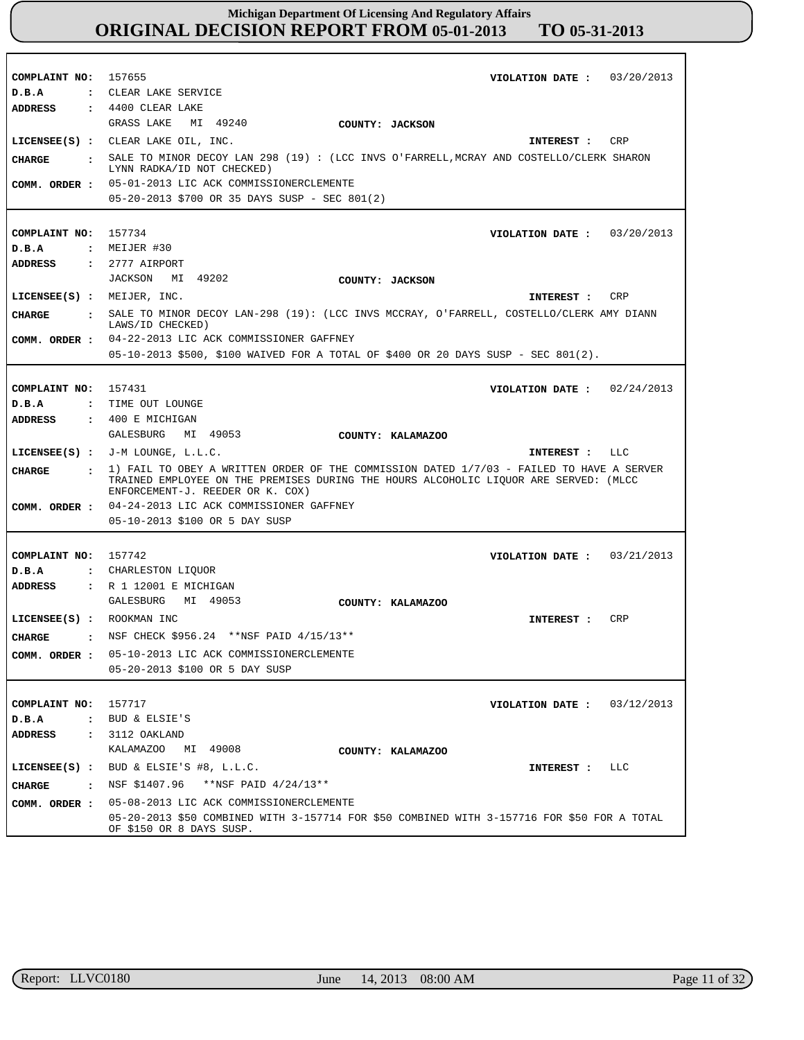| COMPLAINT NO: 157655       | VIOLATION DATE: $03/20/2013$                                                                                            |
|----------------------------|-------------------------------------------------------------------------------------------------------------------------|
| D.B.A                      | : CLEAR LAKE SERVICE                                                                                                    |
| <b>ADDRESS</b>             | $\,$ : 4400 CLEAR LAKE                                                                                                  |
|                            | GRASS LAKE MI 49240<br>COUNTY: JACKSON                                                                                  |
|                            | LICENSEE(S) : CLEAR LAKE OIL, INC.<br>INTEREST : CRP                                                                    |
| CIIARGE                    | : SALE TO MINOR DECOY LAN 298 (19) : (LCC INVS O'FARRELL, MCRAY AND COSTELLO/CLERK SHARON<br>LYNN RADKA/ID NOT CHECKED) |
|                            | COMM. ORDER : 05-01-2013 LIC ACK COMMISSIONERCLEMENTE                                                                   |
|                            | 05-20-2013 \$700 OR 35 DAYS SUSP - SEC 801(2)                                                                           |
|                            |                                                                                                                         |
| COMPLAINT NO: 157734       | VIOLATION DATE : $03/20/2013$                                                                                           |
| D.B.A                      | $:$ MEIJER #30                                                                                                          |
| ADDRESS                    | $: 2777$ AIRPORT                                                                                                        |
|                            | JACKSON MI 49202<br>COUNTY: JACKSON                                                                                     |
| LICENSEE(S) : MEIJER, INC. | INTEREST : CRP                                                                                                          |
|                            |                                                                                                                         |
| <b>CHARGE</b>              | : SALE TO MINOR DECOY LAN-298 (19): (LCC INVS MCCRAY, O'FARRELL, COSTELLO/CLERK AMY DIANN<br>LAWS/ID CHECKED)           |
|                            | COMM. ORDER : 04-22-2013 LIC ACK COMMISSIONER GAFFNEY                                                                   |
|                            | 05-10-2013 \$500, \$100 WAIVED FOR A TOTAL OF \$400 OR 20 DAYS SUSP - SEC 801(2).                                       |
|                            |                                                                                                                         |
| COMPLAINT NO: 157431       | VIOLATION DATE: $02/24/2013$                                                                                            |
| D.B.A                      | : TIME OUT LOUNGE                                                                                                       |
| ADDRESS                    | $\div$ 400 E MICHIGAN                                                                                                   |
|                            | GALESBURG MI 49053<br>COUNTY: KALAMAZOO                                                                                 |
|                            | LICENSEE $(S)$ : J-M LOUNGE, L.L.C.<br>INTEREST : LLC                                                                   |
| <b>CHARGE</b>              | : 1) FAIL TO OBEY A WRITTEN ORDER OF THE COMMISSION DATED 1/7/03 - FAILED TO HAVE A SERVER                              |
|                            | TRAINED EMPLOYEE ON THE PREMISES DURING THE HOURS ALCOHOLIC LIOUOR ARE SERVED: (MLCC                                    |
|                            | ENFORCEMENT-J. REEDER OR K. COX)<br>COMM. ORDER : 04-24-2013 LIC ACK COMMISSIONER GAFFNEY                               |
|                            | 05-10-2013 \$100 OR 5 DAY SUSP                                                                                          |
|                            |                                                                                                                         |
|                            |                                                                                                                         |
| COMPLAINT NO: 157742       | VIOLATION DATE: $03/21/2013$                                                                                            |
| D.B.A                      | : CHARLESTON LIQUOR<br>: R 1 12001 E MICHIGAN                                                                           |
| ADDRESS                    | GALESBURG MI 49053                                                                                                      |
|                            | COUNTY: KALAMAZOO                                                                                                       |
| LICENSEE(S) : ROOKMAN INC  | INTEREST :<br>CRP                                                                                                       |
| <b>CHARGE</b>              | : NSF CHECK \$956.24 ** NSF PAID 4/15/13**                                                                              |
| COMM. ORDER :              | 05-10-2013 LIC ACK COMMISSIONERCLEMENTE                                                                                 |
|                            | 05-20-2013 \$100 OR 5 DAY SUSP                                                                                          |
|                            |                                                                                                                         |
| COMPLAINT NO:              | 157717<br>VIOLATION DATE : $03/12/2013$                                                                                 |
| D.B.A                      | : BUD & ELSIE'S                                                                                                         |
| ADDRESS                    | $: 3112$ OAKLAND                                                                                                        |
|                            | KALAMAZOO MI 49008<br>COUNTY: KALAMAZOO                                                                                 |
|                            | LICENSEE(S) : BUD & ELSIE'S #8, L.L.C.<br>LLC<br>INTEREST :                                                             |
| CHARGE                     | . NSF \$1407.96 **NSF PAID 4/24/13**                                                                                    |
| COMM. ORDER :              | 05-08-2013 LIC ACK COMMISSIONERCLEMENTE                                                                                 |
|                            | 05-20-2013 \$50 COMBINED WITH 3-157714 FOR \$50 COMBINED WITH 3-157716 FOR \$50 FOR A TOTAL<br>OF \$150 OR 8 DAYS SUSP. |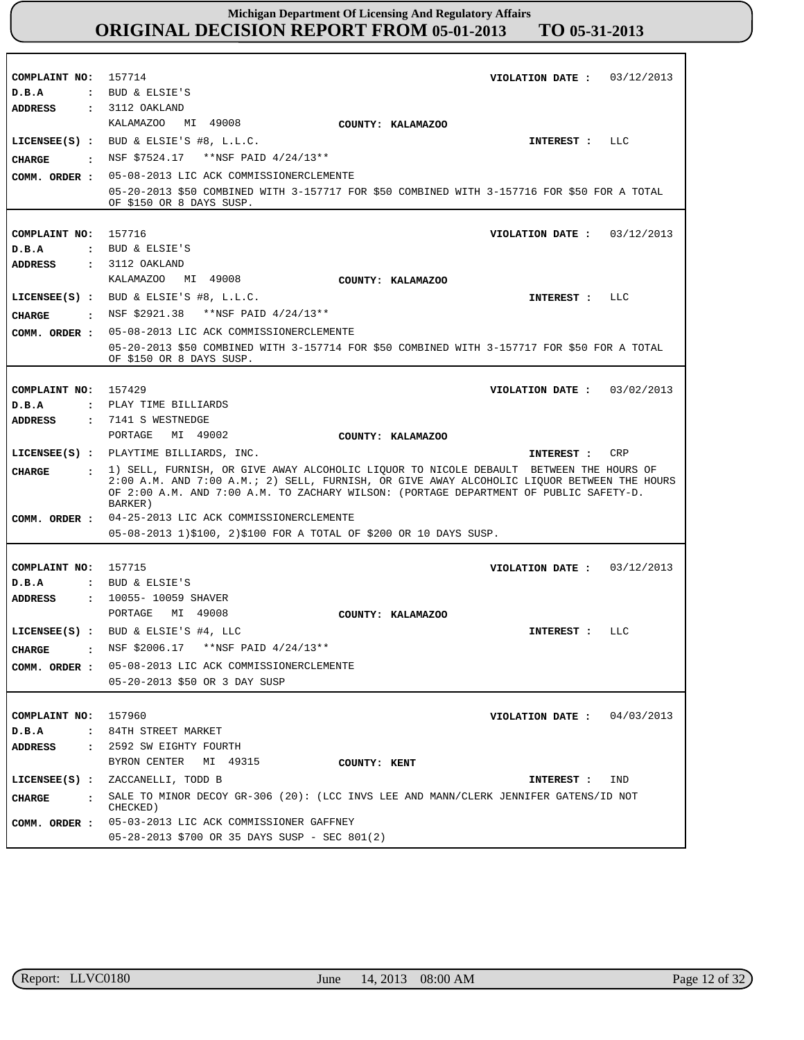| COMPLAINT NO: 157714 | VIOLATION DATE: $03/12/2013$                                                                     |
|----------------------|--------------------------------------------------------------------------------------------------|
| D.B.A                | : BUD & ELSIE'S                                                                                  |
| <b>ADDRESS</b>       | $: 3112$ OAKLAND                                                                                 |
|                      | KALAMAZOO MI 49008<br>COUNTY: KALAMAZOO                                                          |
|                      | LICENSEE $(S)$ : BUD & ELSIE'S #8, L.L.C.<br>INTEREST : LLC                                      |
|                      | CHARGE : NSF \$7524.17 ** NSF PAID 4/24/13**                                                     |
|                      | COMM. ORDER : 05-08-2013 LIC ACK COMMISSIONERCLEMENTE                                            |
|                      | 05-20-2013 \$50 COMBINED WITH 3-157717 FOR \$50 COMBINED WITH 3-157716 FOR \$50 FOR A TOTAL      |
|                      | OF \$150 OR 8 DAYS SUSP.                                                                         |
|                      |                                                                                                  |
| COMPLAINT NO: 157716 | VIOLATION DATE: $03/12/2013$                                                                     |
| D.B.A                | : BUD & ELSIE'S                                                                                  |
| ADDRESS              | $: 3112$ OAKLAND                                                                                 |
|                      | KALAMAZOO MI 49008<br>COUNTY: KALAMAZOO                                                          |
|                      | LICENSEE $(S)$ : BUD & ELSIE'S #8, L.L.C.<br>INTEREST : LLC                                      |
| <b>CHARGE</b>        | : NSF \$2921.38 ** NSF PAID 4/24/13**                                                            |
|                      | COMM. ORDER : 05-08-2013 LIC ACK COMMISSIONERCLEMENTE                                            |
|                      | 05-20-2013 \$50 COMBINED WITH 3-157714 FOR \$50 COMBINED WITH 3-157717 FOR \$50 FOR A TOTAL      |
|                      | OF \$150 OR 8 DAYS SUSP.                                                                         |
|                      |                                                                                                  |
| COMPLAINT NO: 157429 | VIOLATION DATE: $03/02/2013$                                                                     |
| D.B.A                | : PLAY TIME BILLIARDS                                                                            |
| ADDRESS              | : 7141 S WESTNEDGE                                                                               |
|                      | PORTAGE MI 49002<br>COUNTY: KALAMAZOO                                                            |
|                      | LICENSEE(S) : PLAYTIME BILLIARDS, INC.<br>CRP<br>INTEREST :                                      |
| CIIARGE              | : 1) SELL, FURNISH, OR GIVE AWAY ALCOHOLIC LIQUOR TO NICOLE DEBAULT BETWEEN THE HOURS OF         |
|                      | 2:00 A.M. AND 7:00 A.M.; 2) SELL, FURNISH, OR GIVE AWAY ALCOHOLIC LIQUOR BETWEEN THE HOURS       |
|                      | OF 2:00 A.M. AND 7:00 A.M. TO ZACHARY WILSON: (PORTAGE DEPARTMENT OF PUBLIC SAFETY-D.<br>BARKER) |
|                      | COMM. ORDER : 04-25-2013 LIC ACK COMMISSIONERCLEMENTE                                            |
|                      | 05-08-2013 1)\$100, 2)\$100 FOR A TOTAL OF \$200 OR 10 DAYS SUSP.                                |
|                      |                                                                                                  |
|                      |                                                                                                  |
|                      |                                                                                                  |
| COMPLAINT NO: 157715 | VIOLATION DATE: $03/12/2013$                                                                     |
| D.B.A                | : BUD & ELSIE'S                                                                                  |
| ADDRESS              | : 10055-10059 SHAVER                                                                             |
|                      | PORTAGE MI 49008<br>COUNTY: KALAMAZOO                                                            |
|                      | LICENSEE $(s)$ : BUD & ELSIE'S #4, LLC<br>INTEREST : LLC                                         |
| CHARGE               | NSF \$2006.17 **NSF PAID 4/24/13**                                                               |
|                      | COMM. ORDER : 05-08-2013 LIC ACK COMMISSIONERCLEMENTE                                            |
|                      | 05-20-2013 \$50 OR 3 DAY SUSP                                                                    |
|                      |                                                                                                  |
| COMPLAINT NO: 157960 | VIOLATION DATE: $04/03/2013$                                                                     |
| D.B.A                | : 84TH STREET MARKET                                                                             |
| ADDRESS              | : 2592 SW EIGHTY FOURTH                                                                          |
|                      | BYRON CENTER MI 49315<br>COUNTY: KENT                                                            |
|                      | LICENSEE(S) : ZACCANELLI, TODD B<br><b>INTEREST :</b><br>IND                                     |
|                      |                                                                                                  |
| CHARGE               | SALE TO MINOR DECOY GR-306 (20): (LCC INVS LEE AND MANN/CLERK JENNIFER GATENS/ID NOT<br>CHECKED) |
|                      | COMM. ORDER : 05-03-2013 LIC ACK COMMISSIONER GAFFNEY                                            |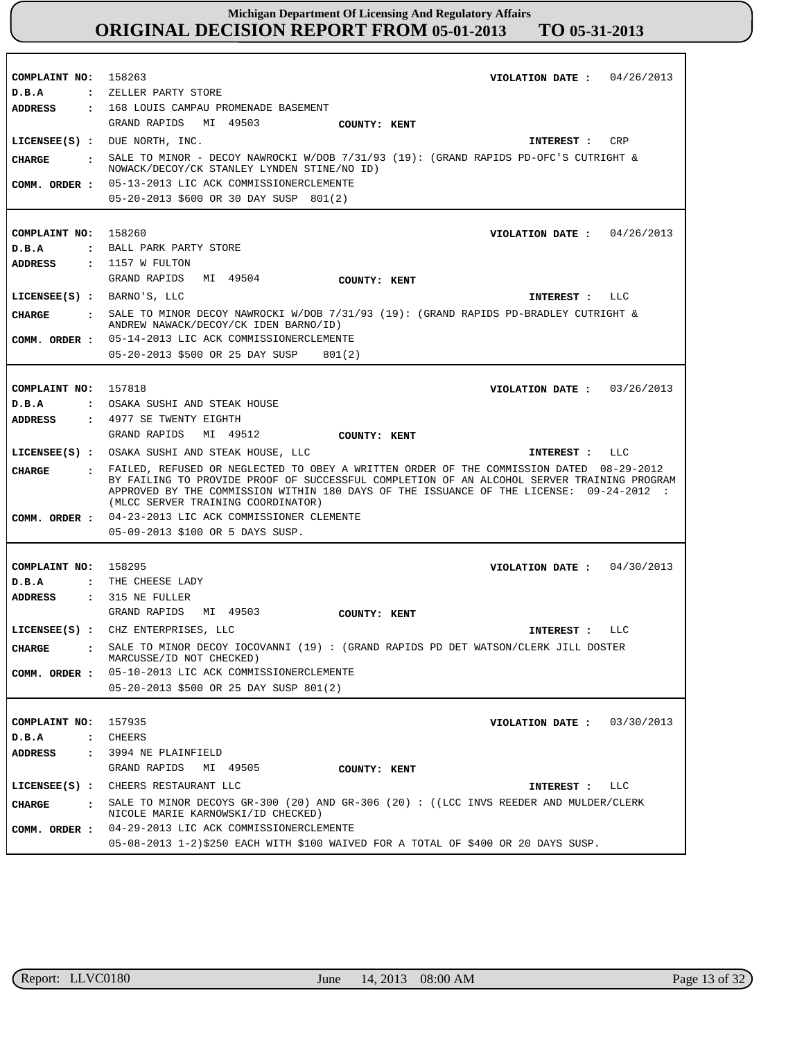| COMPLAINT NO: 158263           | VIOLATION DATE : $04/26/2013$                                                                                                                                                                                                                                                                                          |
|--------------------------------|------------------------------------------------------------------------------------------------------------------------------------------------------------------------------------------------------------------------------------------------------------------------------------------------------------------------|
| D.B.A<br><b>ADDRESS</b>        | : ZELLER PARTY STORE<br>: 168 LOUIS CAMPAU PROMENADE BASEMENT                                                                                                                                                                                                                                                          |
|                                | GRAND RAPIDS MI 49503<br>COUNTY: KENT                                                                                                                                                                                                                                                                                  |
|                                | LICENSE (S) : DUE NORTH, INC.<br>CRP<br>INTEREST :                                                                                                                                                                                                                                                                     |
|                                | SALE TO MINOR - DECOY NAWROCKI W/DOB 7/31/93 (19): (GRAND RAPIDS PD-OFC'S CUTRIGHT &                                                                                                                                                                                                                                   |
| CHARGE<br>$\ddot{\phantom{a}}$ | NOWACK/DECOY/CK STANLEY LYNDEN STINE/NO ID)                                                                                                                                                                                                                                                                            |
| COMM. ORDER :                  | 05-13-2013 LIC ACK COMMISSIONERCLEMENTE                                                                                                                                                                                                                                                                                |
|                                | 05-20-2013 \$600 OR 30 DAY SUSP 801(2)                                                                                                                                                                                                                                                                                 |
|                                |                                                                                                                                                                                                                                                                                                                        |
| COMPLAINT NO:                  | 158260<br>VIOLATION DATE: $04/26/2013$                                                                                                                                                                                                                                                                                 |
| D.B.A                          | : BALL PARK PARTY STORE                                                                                                                                                                                                                                                                                                |
| <b>ADDRESS</b>                 | $: 1157$ W FULTON                                                                                                                                                                                                                                                                                                      |
|                                | GRAND RAPIDS<br>MI 49504<br>COUNTY: KENT                                                                                                                                                                                                                                                                               |
|                                | LICENSEE $(s)$ : BARNO'S, LLC<br>LLC<br>INTEREST :                                                                                                                                                                                                                                                                     |
| <b>CHARGE</b>                  | : SALE TO MINOR DECOY NAWROCKI W/DOB 7/31/93 (19): (GRAND RAPIDS PD-BRADLEY CUTRIGHT &                                                                                                                                                                                                                                 |
|                                | ANDREW NAWACK/DECOY/CK IDEN BARNO/ID)                                                                                                                                                                                                                                                                                  |
| COMM. ORDER :                  | 05-14-2013 LIC ACK COMMISSIONERCLEMENTE                                                                                                                                                                                                                                                                                |
|                                | 05-20-2013 \$500 OR 25 DAY SUSP<br>801(2)                                                                                                                                                                                                                                                                              |
|                                |                                                                                                                                                                                                                                                                                                                        |
| COMPLAINT NO: 157818           | VIOLATION DATE: $03/26/2013$                                                                                                                                                                                                                                                                                           |
| D.B.A                          | : OSAKA SUSHI AND STEAK HOUSE<br>: 4977 SE TWENTY EIGHTH                                                                                                                                                                                                                                                               |
| <b>ADDRESS</b>                 | GRAND RAPIDS<br>MI 49512                                                                                                                                                                                                                                                                                               |
|                                | COUNTY: KENT                                                                                                                                                                                                                                                                                                           |
|                                | LICENSEE(S) : OSAKA SUSHI AND STEAK HOUSE, LLC<br>LLC<br>INTEREST :                                                                                                                                                                                                                                                    |
| <b>CHARGE</b>                  | FAILED, REFUSED OR NEGLECTED TO OBEY A WRITTEN ORDER OF THE COMMISSION DATED 08-29-2012<br>BY FAILING TO PROVIDE PROOF OF SUCCESSFUL COMPLETION OF AN ALCOHOL SERVER TRAINING PROGRAM<br>APPROVED BY THE COMMISSION WITHIN 180 DAYS OF THE ISSUANCE OF THE LICENSE: 09-24-2012 :<br>(MLCC SERVER TRAINING COORDINATOR) |
| COMM. ORDER :                  | 04-23-2013 LIC ACK COMMISSIONER CLEMENTE                                                                                                                                                                                                                                                                               |
|                                | 05-09-2013 \$100 OR 5 DAYS SUSP.                                                                                                                                                                                                                                                                                       |
|                                |                                                                                                                                                                                                                                                                                                                        |
| COMPLAINT NO:                  | 158295<br>VIOLATION DATE: $04/30/2013$                                                                                                                                                                                                                                                                                 |
| D.B.A                          | : THE CHEESE LADY                                                                                                                                                                                                                                                                                                      |
| ADDRESS                        | $: 315$ NE FULLER                                                                                                                                                                                                                                                                                                      |
|                                | GRAND RAPIDS MI 49503<br>COUNTY: KENT                                                                                                                                                                                                                                                                                  |
|                                | LICENSEE(S) : CHZ ENTERPRISES, LLC<br>LLC<br>INTEREST :                                                                                                                                                                                                                                                                |
| <b>CHARGE</b>                  | $\,$ . SALE TO MINOR DECOY IOCOVANNI (19) : (GRAND RAPIDS PD DET WATSON/CLERK JILL DOSTER<br>MARCUSSE/ID NOT CHECKED)                                                                                                                                                                                                  |
|                                | COMM. ORDER : 05-10-2013 LIC ACK COMMISSIONERCLEMENTE                                                                                                                                                                                                                                                                  |
|                                | 05-20-2013 \$500 OR 25 DAY SUSP 801(2)                                                                                                                                                                                                                                                                                 |
|                                |                                                                                                                                                                                                                                                                                                                        |
| COMPLAINT NO:                  | 157935<br>VIOLATION DATE: $03/30/2013$                                                                                                                                                                                                                                                                                 |
| D.B.A                          | : CHEERS                                                                                                                                                                                                                                                                                                               |
| <b>ADDRESS</b>                 | : 3994 NE PLAINFIELD                                                                                                                                                                                                                                                                                                   |
|                                | GRAND RAPIDS MI 49505<br>COUNTY: KENT                                                                                                                                                                                                                                                                                  |
|                                | LICENSEE(S) : CHEERS RESTAURANT LLC<br>INTEREST : LLC                                                                                                                                                                                                                                                                  |
| CHARGE                         | SALE TO MINOR DECOYS GR-300 (20) AND GR-306 (20) : ((LCC INVS REEDER AND MULDER/CLERK<br>NICOLE MARIE KARNOWSKI/ID CHECKED)                                                                                                                                                                                            |
|                                | COMM. ORDER : 04-29-2013 LIC ACK COMMISSIONERCLEMENTE                                                                                                                                                                                                                                                                  |
|                                | 05-08-2013 1-2)\$250 EACH WITH \$100 WAIVED FOR A TOTAL OF \$400 OR 20 DAYS SUSP.                                                                                                                                                                                                                                      |

r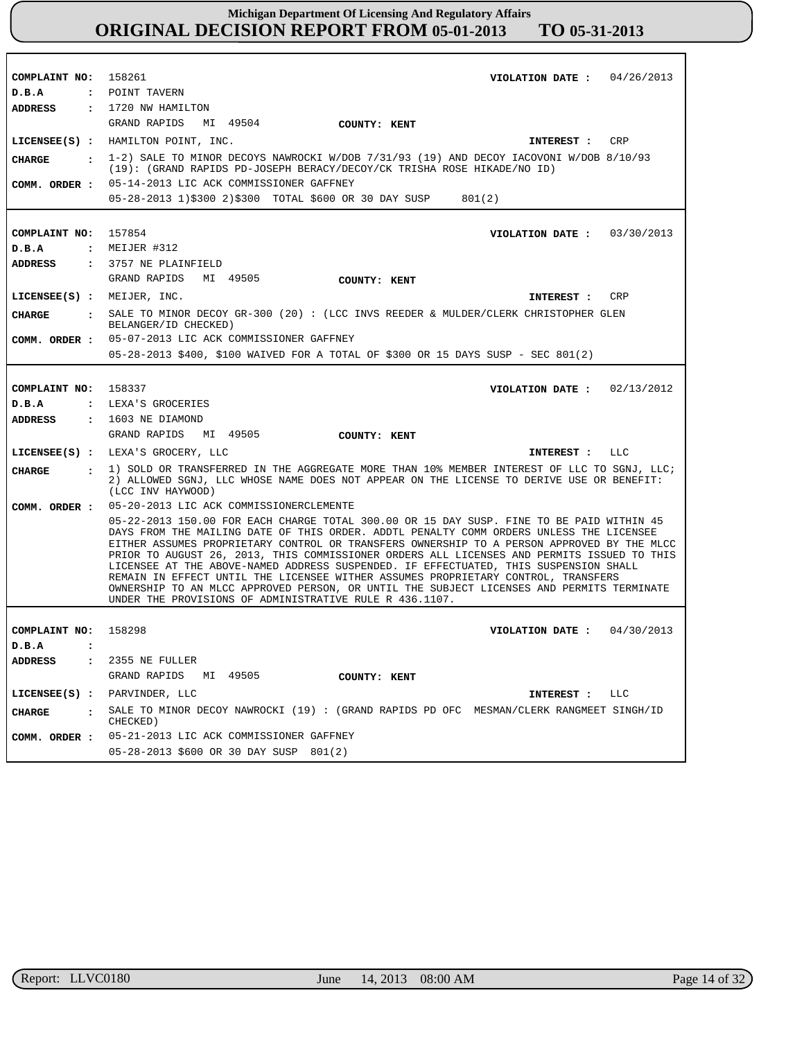| COMPLAINT NO: 158261           | VIOLATION DATE: $04/26/2013$                                                                                                                                                                                                                                                                                                                                                                                                                                                                                                                                                                                                                                                                                         |
|--------------------------------|----------------------------------------------------------------------------------------------------------------------------------------------------------------------------------------------------------------------------------------------------------------------------------------------------------------------------------------------------------------------------------------------------------------------------------------------------------------------------------------------------------------------------------------------------------------------------------------------------------------------------------------------------------------------------------------------------------------------|
| D.B.A                          | : POINT TAVERN                                                                                                                                                                                                                                                                                                                                                                                                                                                                                                                                                                                                                                                                                                       |
| ADDRESS                        | : 1720 NW HAMILTON                                                                                                                                                                                                                                                                                                                                                                                                                                                                                                                                                                                                                                                                                                   |
|                                | GRAND RAPIDS<br>MI 49504 COUNTY: KENT                                                                                                                                                                                                                                                                                                                                                                                                                                                                                                                                                                                                                                                                                |
|                                | LICENSEE(S) : HAMILTON POINT, INC.<br>CRP<br>INTEREST :                                                                                                                                                                                                                                                                                                                                                                                                                                                                                                                                                                                                                                                              |
| <b>CHARGE</b>                  | : 1-2) SALE TO MINOR DECOYS NAWROCKI W/DOB 7/31/93 (19) AND DECOY IACOVONI W/DOB 8/10/93<br>(19): (GRAND RAPIDS PD-JOSEPH BERACY/DECOY/CK TRISHA ROSE HIKADE/NO ID)                                                                                                                                                                                                                                                                                                                                                                                                                                                                                                                                                  |
| COMM. ORDER :                  | 05-14-2013 LIC ACK COMMISSIONER GAFFNEY                                                                                                                                                                                                                                                                                                                                                                                                                                                                                                                                                                                                                                                                              |
|                                | 05-28-2013 1)\$300 2)\$300 TOTAL \$600 OR 30 DAY SUSP 801(2)                                                                                                                                                                                                                                                                                                                                                                                                                                                                                                                                                                                                                                                         |
|                                |                                                                                                                                                                                                                                                                                                                                                                                                                                                                                                                                                                                                                                                                                                                      |
| COMPLAINT NO: 157854           | VIOLATION DATE: $03/30/2013$                                                                                                                                                                                                                                                                                                                                                                                                                                                                                                                                                                                                                                                                                         |
| D.B.A                          | $:$ MEIJER #312                                                                                                                                                                                                                                                                                                                                                                                                                                                                                                                                                                                                                                                                                                      |
| <b>ADDRESS</b>                 | : 3757 NE PLAINFIELD                                                                                                                                                                                                                                                                                                                                                                                                                                                                                                                                                                                                                                                                                                 |
|                                | GRAND RAPIDS<br>MI 49505<br><b>COUNTY: KENT</b>                                                                                                                                                                                                                                                                                                                                                                                                                                                                                                                                                                                                                                                                      |
|                                |                                                                                                                                                                                                                                                                                                                                                                                                                                                                                                                                                                                                                                                                                                                      |
| LICENSEE(S) : MEIJER, INC.     | <b>CRP</b><br>INTEREST :                                                                                                                                                                                                                                                                                                                                                                                                                                                                                                                                                                                                                                                                                             |
| <b>CHARGE</b>                  | : SALE TO MINOR DECOY GR-300 (20): (LCC INVS REEDER & MULDER/CLERK CHRISTOPHER GLEN<br>BELANGER/ID CHECKED)                                                                                                                                                                                                                                                                                                                                                                                                                                                                                                                                                                                                          |
| COMM. ORDER :                  | 05-07-2013 LIC ACK COMMISSIONER GAFFNEY                                                                                                                                                                                                                                                                                                                                                                                                                                                                                                                                                                                                                                                                              |
|                                | 05-28-2013 \$400, \$100 WAIVED FOR A TOTAL OF \$300 OR 15 DAYS SUSP - SEC 801(2)                                                                                                                                                                                                                                                                                                                                                                                                                                                                                                                                                                                                                                     |
|                                |                                                                                                                                                                                                                                                                                                                                                                                                                                                                                                                                                                                                                                                                                                                      |
| COMPLAINT NO: 158337           | VIOLATION DATE: $02/13/2012$                                                                                                                                                                                                                                                                                                                                                                                                                                                                                                                                                                                                                                                                                         |
| D.B.A                          | : LEXA'S GROCERIES                                                                                                                                                                                                                                                                                                                                                                                                                                                                                                                                                                                                                                                                                                   |
| <b>ADDRESS</b>                 | : 1603 NE DIAMOND                                                                                                                                                                                                                                                                                                                                                                                                                                                                                                                                                                                                                                                                                                    |
|                                | GRAND RAPIDS<br>MI 49505<br>COUNTY: KENT                                                                                                                                                                                                                                                                                                                                                                                                                                                                                                                                                                                                                                                                             |
|                                | LICENSEE(S) : LEXA'S GROCERY, LLC<br>INTEREST :<br>LLC                                                                                                                                                                                                                                                                                                                                                                                                                                                                                                                                                                                                                                                               |
| <b>CHARGE</b>                  | : 1) SOLD OR TRANSFERRED IN THE AGGREGATE MORE THAN 10% MEMBER INTEREST OF LLC TO SGNJ, LLC;<br>2) ALLOWED SGNJ, LLC WHOSE NAME DOES NOT APPEAR ON THE LICENSE TO DERIVE USE OR BENEFIT:<br>(LCC INV HAYWOOD)                                                                                                                                                                                                                                                                                                                                                                                                                                                                                                        |
| COMM. ORDER :                  | 05-20-2013 LIC ACK COMMISSIONERCLEMENTE                                                                                                                                                                                                                                                                                                                                                                                                                                                                                                                                                                                                                                                                              |
|                                | 05-22-2013 150.00 FOR EACH CHARGE TOTAL 300.00 OR 15 DAY SUSP. FINE TO BE PAID WITHIN 45<br>DAYS FROM THE MAILING DATE OF THIS ORDER. ADDTL PENALTY COMM ORDERS UNLESS THE LICENSEE<br>EITHER ASSUMES PROPRIETARY CONTROL OR TRANSFERS OWNERSHIP TO A PERSON APPROVED BY THE MLCC<br>PRIOR TO AUGUST 26, 2013, THIS COMMISSIONER ORDERS ALL LICENSES AND PERMITS ISSUED TO THIS<br>LICENSEE AT THE ABOVE-NAMED ADDRESS SUSPENDED. IF EFFECTUATED, THIS SUSPENSION SHALL<br>REMAIN IN EFFECT UNTIL THE LICENSEE WITHER ASSUMES PROPRIETARY CONTROL, TRANSFERS<br>OWNERSHIP TO AN MLCC APPROVED PERSON, OR UNTIL THE SUBJECT LICENSES AND PERMITS TERMINATE<br>UNDER THE PROVISIONS OF ADMINISTRATIVE RULE R 436.1107. |
|                                |                                                                                                                                                                                                                                                                                                                                                                                                                                                                                                                                                                                                                                                                                                                      |
| COMPLAINT NO: 158298           | VIOLATION DATE: $04/30/2013$                                                                                                                                                                                                                                                                                                                                                                                                                                                                                                                                                                                                                                                                                         |
| D.B.A<br>$\ddot{\cdot}$        |                                                                                                                                                                                                                                                                                                                                                                                                                                                                                                                                                                                                                                                                                                                      |
| <b>ADDRESS</b><br>$\mathbf{r}$ | 2355 NE FULLER                                                                                                                                                                                                                                                                                                                                                                                                                                                                                                                                                                                                                                                                                                       |
|                                |                                                                                                                                                                                                                                                                                                                                                                                                                                                                                                                                                                                                                                                                                                                      |
|                                | GRAND RAPIDS<br>MI 49505<br>COUNTY: KENT                                                                                                                                                                                                                                                                                                                                                                                                                                                                                                                                                                                                                                                                             |
|                                | LICENSEE(S) : PARVINDER, LLC<br><b>INTEREST :</b><br>LLC                                                                                                                                                                                                                                                                                                                                                                                                                                                                                                                                                                                                                                                             |
| CHARGE<br>$\cdot$              | SALE TO MINOR DECOY NAWROCKI (19) : (GRAND RAPIDS PD OFC MESMAN/CLERK RANGMEET SINGH/ID<br>CHECKED)                                                                                                                                                                                                                                                                                                                                                                                                                                                                                                                                                                                                                  |
| COMM. ORDER :                  | 05-21-2013 LIC ACK COMMISSIONER GAFFNEY                                                                                                                                                                                                                                                                                                                                                                                                                                                                                                                                                                                                                                                                              |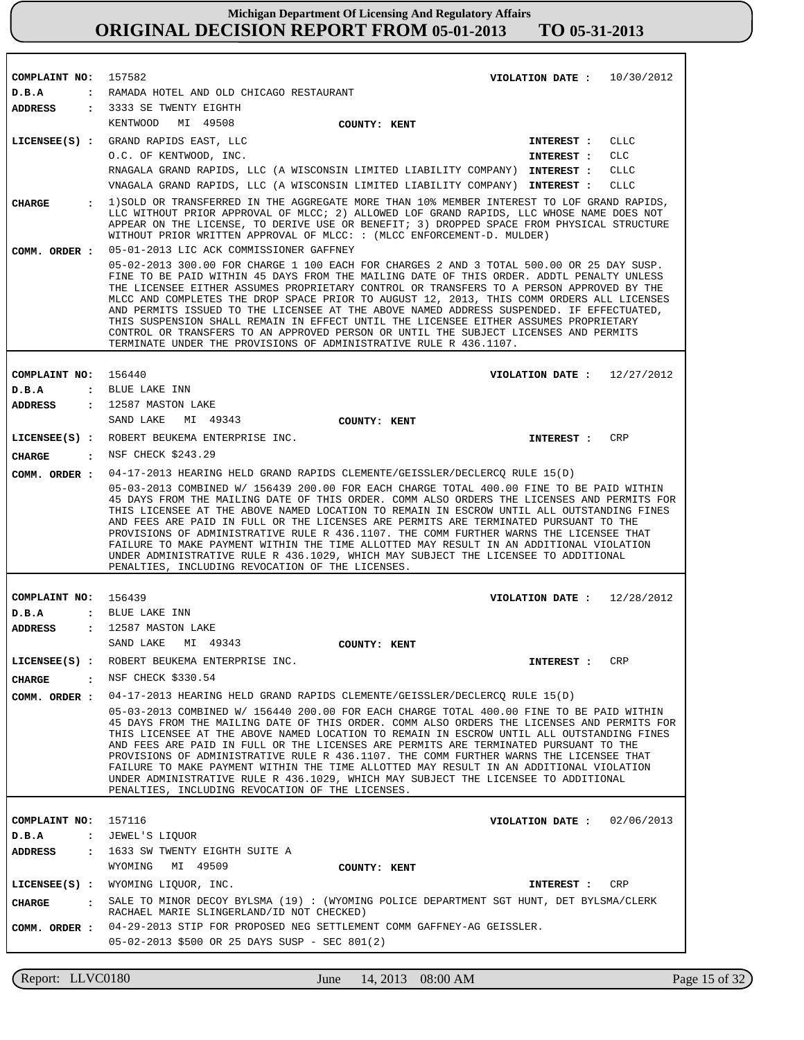| COMPLAINT NO:        |              | 157582                                                                                                                                                                                                                                                                                                                                                                                                                                                                                                                                                                                                                                                                                                    | VIOLATION DATE: $10/30/2012$ |            |
|----------------------|--------------|-----------------------------------------------------------------------------------------------------------------------------------------------------------------------------------------------------------------------------------------------------------------------------------------------------------------------------------------------------------------------------------------------------------------------------------------------------------------------------------------------------------------------------------------------------------------------------------------------------------------------------------------------------------------------------------------------------------|------------------------------|------------|
| D.B.A                |              | : RAMADA HOTEL AND OLD CHICAGO RESTAURANT                                                                                                                                                                                                                                                                                                                                                                                                                                                                                                                                                                                                                                                                 |                              |            |
| ADDRESS              |              | : 3333 SE TWENTY EIGHTH                                                                                                                                                                                                                                                                                                                                                                                                                                                                                                                                                                                                                                                                                   |                              |            |
|                      |              | KENTWOOD<br>MI 49508<br>COUNTY: KENT                                                                                                                                                                                                                                                                                                                                                                                                                                                                                                                                                                                                                                                                      |                              |            |
|                      |              | LICENSEE(S) : GRAND RAPIDS EAST, LLC                                                                                                                                                                                                                                                                                                                                                                                                                                                                                                                                                                                                                                                                      | INTEREST :                   | CLLC       |
|                      |              | O.C. OF KENTWOOD, INC.                                                                                                                                                                                                                                                                                                                                                                                                                                                                                                                                                                                                                                                                                    | INTEREST :                   | CLC        |
|                      |              | RNAGALA GRAND RAPIDS, LLC (A WISCONSIN LIMITED LIABILITY COMPANY) INTEREST :                                                                                                                                                                                                                                                                                                                                                                                                                                                                                                                                                                                                                              |                              | CLLC       |
|                      |              | VNAGALA GRAND RAPIDS, LLC (A WISCONSIN LIMITED LIABILITY COMPANY) INTEREST :                                                                                                                                                                                                                                                                                                                                                                                                                                                                                                                                                                                                                              |                              | CLLC       |
| <b>CHARGE</b>        |              | 1) SOLD OR TRANSFERRED IN THE AGGREGATE MORE THAN 10% MEMBER INTEREST TO LOF GRAND RAPIDS,<br>LLC WITHOUT PRIOR APPROVAL OF MLCC; 2) ALLOWED LOF GRAND RAPIDS, LLC WHOSE NAME DOES NOT<br>APPEAR ON THE LICENSE, TO DERIVE USE OR BENEFIT; 3) DROPPED SPACE FROM PHYSICAL STRUCTURE<br>WITHOUT PRIOR WRITTEN APPROVAL OF MLCC: : (MLCC ENFORCEMENT-D. MULDER)<br>05-01-2013 LIC ACK COMMISSIONER GAFFNEY                                                                                                                                                                                                                                                                                                  |                              |            |
| COMM. ORDER :        |              | 05-02-2013 300.00 FOR CHARGE 1 100 EACH FOR CHARGES 2 AND 3 TOTAL 500.00 OR 25 DAY SUSP.                                                                                                                                                                                                                                                                                                                                                                                                                                                                                                                                                                                                                  |                              |            |
|                      |              | FINE TO BE PAID WITHIN 45 DAYS FROM THE MAILING DATE OF THIS ORDER. ADDTL PENALTY UNLESS<br>THE LICENSEE EITHER ASSUMES PROPRIETARY CONTROL OR TRANSFERS TO A PERSON APPROVED BY THE<br>MLCC AND COMPLETES THE DROP SPACE PRIOR TO AUGUST 12, 2013, THIS COMM ORDERS ALL LICENSES<br>AND PERMITS ISSUED TO THE LICENSEE AT THE ABOVE NAMED ADDRESS SUSPENDED. IF EFFECTUATED,<br>THIS SUSPENSION SHALL REMAIN IN EFFECT UNTIL THE LICENSEE EITHER ASSUMES PROPRIETARY<br>CONTROL OR TRANSFERS TO AN APPROVED PERSON OR UNTIL THE SUBJECT LICENSES AND PERMITS<br>TERMINATE UNDER THE PROVISIONS OF ADMINISTRATIVE RULE R 436.1107.                                                                        |                              |            |
|                      |              |                                                                                                                                                                                                                                                                                                                                                                                                                                                                                                                                                                                                                                                                                                           |                              |            |
| COMPLAINT NO:        |              | 156440                                                                                                                                                                                                                                                                                                                                                                                                                                                                                                                                                                                                                                                                                                    | VIOLATION DATE: $12/27/2012$ |            |
| D.B.A                |              | : BLUE LAKE INN                                                                                                                                                                                                                                                                                                                                                                                                                                                                                                                                                                                                                                                                                           |                              |            |
| ADDRESS              |              | : 12587 MASTON LAKE                                                                                                                                                                                                                                                                                                                                                                                                                                                                                                                                                                                                                                                                                       |                              |            |
|                      |              | SAND LAKE<br>MI 49343<br>COUNTY: KENT                                                                                                                                                                                                                                                                                                                                                                                                                                                                                                                                                                                                                                                                     |                              |            |
|                      |              | LICENSEE(S) : ROBERT BEUKEMA ENTERPRISE INC.                                                                                                                                                                                                                                                                                                                                                                                                                                                                                                                                                                                                                                                              | INTEREST :                   | <b>CRP</b> |
| <b>CHARGE</b>        |              | : NSF CHECK \$243.29                                                                                                                                                                                                                                                                                                                                                                                                                                                                                                                                                                                                                                                                                      |                              |            |
| COMM. ORDER :        |              | 04-17-2013 HEARING HELD GRAND RAPIDS CLEMENTE/GEISSLER/DECLERCQ RULE 15(D)                                                                                                                                                                                                                                                                                                                                                                                                                                                                                                                                                                                                                                |                              |            |
|                      |              | 05-03-2013 COMBINED W/ 156439 200.00 FOR EACH CHARGE TOTAL 400.00 FINE TO BE PAID WITHIN<br>45 DAYS FROM THE MAILING DATE OF THIS ORDER. COMM ALSO ORDERS THE LICENSES AND PERMITS FOR<br>THIS LICENSEE AT THE ABOVE NAMED LOCATION TO REMAIN IN ESCROW UNTIL ALL OUTSTANDING FINES<br>AND FEES ARE PAID IN FULL OR THE LICENSES ARE PERMITS ARE TERMINATED PURSUANT TO THE<br>PROVISIONS OF ADMINISTRATIVE RULE R 436.1107. THE COMM FURTHER WARNS THE LICENSEE THAT<br>FAILURE TO MAKE PAYMENT WITHIN THE TIME ALLOTTED MAY RESULT IN AN ADDITIONAL VIOLATION<br>UNDER ADMINISTRATIVE RULE R 436.1029, WHICH MAY SUBJECT THE LICENSEE TO ADDITIONAL<br>PENALTIES, INCLUDING REVOCATION OF THE LICENSES. |                              |            |
|                      |              |                                                                                                                                                                                                                                                                                                                                                                                                                                                                                                                                                                                                                                                                                                           |                              |            |
| COMPLAINT NO:        |              | 156439                                                                                                                                                                                                                                                                                                                                                                                                                                                                                                                                                                                                                                                                                                    | VIOLATION DATE: $12/28/2012$ |            |
| D.B.A                |              | : BLUE LAKE INN                                                                                                                                                                                                                                                                                                                                                                                                                                                                                                                                                                                                                                                                                           |                              |            |
| <b>ADDRESS</b>       | $\mathbf{r}$ | 12587 MASTON LAKE                                                                                                                                                                                                                                                                                                                                                                                                                                                                                                                                                                                                                                                                                         |                              |            |
|                      |              | SAND LAKE<br>MI 49343<br>COUNTY: KENT                                                                                                                                                                                                                                                                                                                                                                                                                                                                                                                                                                                                                                                                     |                              |            |
|                      |              | LICENSEE(S) : ROBERT BEUKEMA ENTERPRISE INC.                                                                                                                                                                                                                                                                                                                                                                                                                                                                                                                                                                                                                                                              | INTEREST : CRP               |            |
|                      |              | CHARGE : NSF CHECK \$330.54                                                                                                                                                                                                                                                                                                                                                                                                                                                                                                                                                                                                                                                                               |                              |            |
|                      |              | COMM. ORDER: 04-17-2013 HEARING HELD GRAND RAPIDS CLEMENTE/GEISSLER/DECLERCO RULE 15(D)                                                                                                                                                                                                                                                                                                                                                                                                                                                                                                                                                                                                                   |                              |            |
|                      |              | 05-03-2013 COMBINED W/ 156440 200.00 FOR EACH CHARGE TOTAL 400.00 FINE TO BE PAID WITHIN<br>45 DAYS FROM THE MAILING DATE OF THIS ORDER. COMM ALSO ORDERS THE LICENSES AND PERMITS FOR<br>THIS LICENSEE AT THE ABOVE NAMED LOCATION TO REMAIN IN ESCROW UNTIL ALL OUTSTANDING FINES<br>AND FEES ARE PAID IN FULL OR THE LICENSES ARE PERMITS ARE TERMINATED PURSUANT TO THE<br>PROVISIONS OF ADMINISTRATIVE RULE R 436.1107. THE COMM FURTHER WARNS THE LICENSEE THAT<br>FAILURE TO MAKE PAYMENT WITHIN THE TIME ALLOTTED MAY RESULT IN AN ADDITIONAL VIOLATION<br>UNDER ADMINISTRATIVE RULE R 436.1029, WHICH MAY SUBJECT THE LICENSEE TO ADDITIONAL<br>PENALTIES, INCLUDING REVOCATION OF THE LICENSES. |                              |            |
|                      |              |                                                                                                                                                                                                                                                                                                                                                                                                                                                                                                                                                                                                                                                                                                           |                              |            |
| COMPLAINT NO: 157116 |              |                                                                                                                                                                                                                                                                                                                                                                                                                                                                                                                                                                                                                                                                                                           | VIOLATION DATE: $02/06/2013$ |            |
| D.B.A                |              | : JEWEL'S LIQUOR                                                                                                                                                                                                                                                                                                                                                                                                                                                                                                                                                                                                                                                                                          |                              |            |
| ADDRESS              |              | : 1633 SW TWENTY EIGHTH SUITE A                                                                                                                                                                                                                                                                                                                                                                                                                                                                                                                                                                                                                                                                           |                              |            |
|                      |              | WYOMING MI 49509<br>COUNTY: KENT                                                                                                                                                                                                                                                                                                                                                                                                                                                                                                                                                                                                                                                                          |                              |            |
|                      |              | LICENSEE(S) : WYOMING LIQUOR, INC.                                                                                                                                                                                                                                                                                                                                                                                                                                                                                                                                                                                                                                                                        | INTEREST : CRP               |            |
| <b>CHARGE</b>        |              | SALE TO MINOR DECOY BYLSMA (19): (WYOMING POLICE DEPARTMENT SGT HUNT, DET BYLSMA/CLERK<br>RACHAEL MARIE SLINGERLAND/ID NOT CHECKED)                                                                                                                                                                                                                                                                                                                                                                                                                                                                                                                                                                       |                              |            |
| COMM. ORDER :        |              | 04-29-2013 STIP FOR PROPOSED NEG SETTLEMENT COMM GAFFNEY-AG GEISSLER.                                                                                                                                                                                                                                                                                                                                                                                                                                                                                                                                                                                                                                     |                              |            |
|                      |              |                                                                                                                                                                                                                                                                                                                                                                                                                                                                                                                                                                                                                                                                                                           |                              |            |
|                      |              | 05-02-2013 \$500 OR 25 DAYS SUSP - SEC 801(2)                                                                                                                                                                                                                                                                                                                                                                                                                                                                                                                                                                                                                                                             |                              |            |

Report: LLVC0180 June 14, 2013 08:00 AM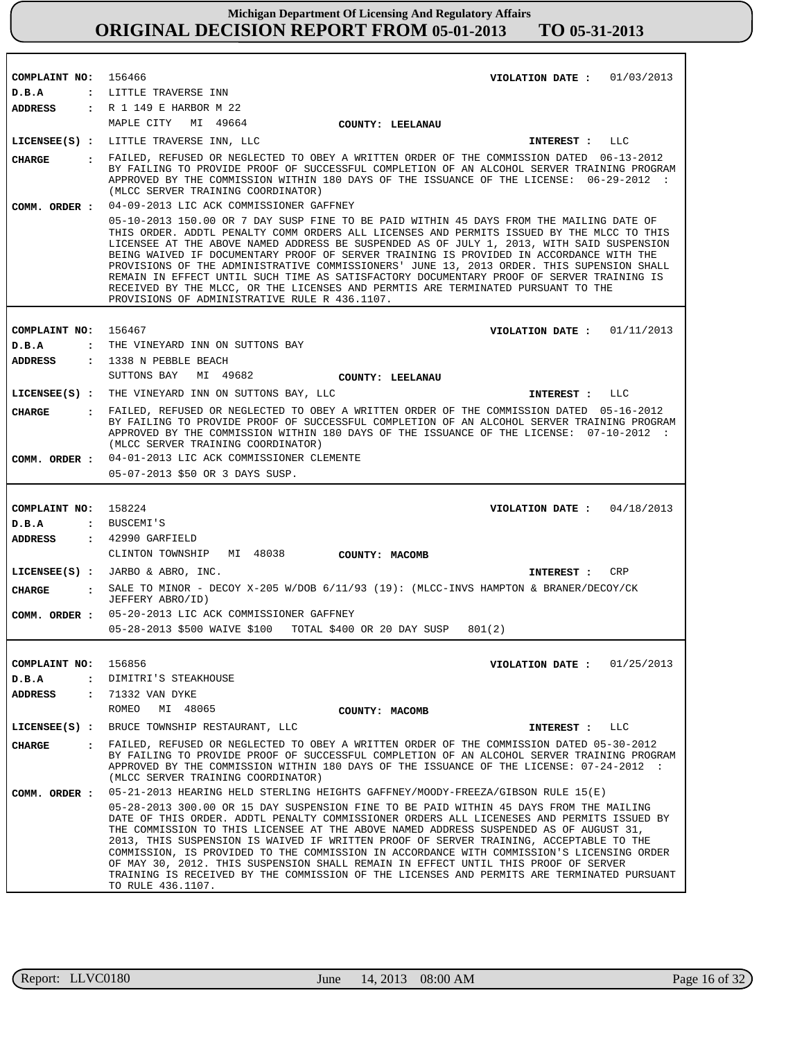| COMPLAINT NO: 156466                           | 01/03/2013<br>VIOLATION DATE :                                                                                                                                                                                                                                                                                                                                                                                                                                                                                                                                                                                                                                               |
|------------------------------------------------|------------------------------------------------------------------------------------------------------------------------------------------------------------------------------------------------------------------------------------------------------------------------------------------------------------------------------------------------------------------------------------------------------------------------------------------------------------------------------------------------------------------------------------------------------------------------------------------------------------------------------------------------------------------------------|
| D.B.A<br>ADDRESS                               | : LITTLE TRAVERSE INN<br>: R 1 149 E HARBOR M 22                                                                                                                                                                                                                                                                                                                                                                                                                                                                                                                                                                                                                             |
|                                                | MAPLE CITY MI 49664<br>COUNTY: LEELANAU                                                                                                                                                                                                                                                                                                                                                                                                                                                                                                                                                                                                                                      |
|                                                | LICENSEE(S) : LITTLE TRAVERSE INN, LLC<br>INTEREST : LLC                                                                                                                                                                                                                                                                                                                                                                                                                                                                                                                                                                                                                     |
|                                                | . FAILED, REFUSED OR NEGLECTED TO OBEY A WRITTEN ORDER OF THE COMMISSION DATED 06-13-2012                                                                                                                                                                                                                                                                                                                                                                                                                                                                                                                                                                                    |
| <b>CHARGE</b>                                  | BY FAILING TO PROVIDE PROOF OF SUCCESSFUL COMPLETION OF AN ALCOHOL SERVER TRAINING PROGRAM<br>APPROVED BY THE COMMISSION WITHIN 180 DAYS OF THE ISSUANCE OF THE LICENSE: 06-29-2012 :<br>(MLCC SERVER TRAINING COORDINATOR)<br>04-09-2013 LIC ACK COMMISSIONER GAFFNEY                                                                                                                                                                                                                                                                                                                                                                                                       |
| COMM. ORDER :                                  | 05-10-2013 150.00 OR 7 DAY SUSP FINE TO BE PAID WITHIN 45 DAYS FROM THE MAILING DATE OF                                                                                                                                                                                                                                                                                                                                                                                                                                                                                                                                                                                      |
|                                                | THIS ORDER. ADDTL PENALTY COMM ORDERS ALL LICENSES AND PERMITS ISSUED BY THE MLCC TO THIS<br>LICENSEE AT THE ABOVE NAMED ADDRESS BE SUSPENDED AS OF JULY 1, 2013, WITH SAID SUSPENSION<br>BEING WAIVED IF DOCUMENTARY PROOF OF SERVER TRAINING IS PROVIDED IN ACCORDANCE WITH THE<br>PROVISIONS OF THE ADMINISTRATIVE COMMISSIONERS' JUNE 13, 2013 ORDER. THIS SUPENSION SHALL<br>REMAIN IN EFFECT UNTIL SUCH TIME AS SATISFACTORY DOCUMENTARY PROOF OF SERVER TRAINING IS<br>RECEIVED BY THE MLCC, OR THE LICENSES AND PERMTIS ARE TERMINATED PURSUANT TO THE<br>PROVISIONS OF ADMINISTRATIVE RULE R 436.1107.                                                              |
|                                                | 156467                                                                                                                                                                                                                                                                                                                                                                                                                                                                                                                                                                                                                                                                       |
| COMPLAINT NO:<br>D.B.A<br>$\ddot{\phantom{a}}$ | 01/11/2013<br>VIOLATION DATE :<br>THE VINEYARD INN ON SUTTONS BAY                                                                                                                                                                                                                                                                                                                                                                                                                                                                                                                                                                                                            |
| ADDRESS                                        | : 1338 N PEBBLE BEACH                                                                                                                                                                                                                                                                                                                                                                                                                                                                                                                                                                                                                                                        |
|                                                | SUTTONS BAY<br>MI 49682<br>COUNTY: LEELANAU                                                                                                                                                                                                                                                                                                                                                                                                                                                                                                                                                                                                                                  |
|                                                | LICENSEE(S) : THE VINEYARD INN ON SUTTONS BAY, LLC<br>INTEREST :<br>LLC                                                                                                                                                                                                                                                                                                                                                                                                                                                                                                                                                                                                      |
| <b>CHARGE</b>                                  | : FAILED, REFUSED OR NEGLECTED TO OBEY A WRITTEN ORDER OF THE COMMISSION DATED 05-16-2012<br>BY FAILING TO PROVIDE PROOF OF SUCCESSFUL COMPLETION OF AN ALCOHOL SERVER TRAINING PROGRAM<br>APPROVED BY THE COMMISSION WITHIN 180 DAYS OF THE ISSUANCE OF THE LICENSE: 07-10-2012 :<br>(MLCC SERVER TRAINING COORDINATOR)                                                                                                                                                                                                                                                                                                                                                     |
|                                                | COMM. ORDER : 04-01-2013 LIC ACK COMMISSIONER CLEMENTE                                                                                                                                                                                                                                                                                                                                                                                                                                                                                                                                                                                                                       |
|                                                | 05-07-2013 \$50 OR 3 DAYS SUSP.                                                                                                                                                                                                                                                                                                                                                                                                                                                                                                                                                                                                                                              |
|                                                |                                                                                                                                                                                                                                                                                                                                                                                                                                                                                                                                                                                                                                                                              |
| COMPLAINT NO: 158224                           | VIOLATION DATE: $04/18/2013$                                                                                                                                                                                                                                                                                                                                                                                                                                                                                                                                                                                                                                                 |
| D.B.A                                          | : BUSCEMI'S                                                                                                                                                                                                                                                                                                                                                                                                                                                                                                                                                                                                                                                                  |
| ADDRESS                                        | : 42990 GARFIELD                                                                                                                                                                                                                                                                                                                                                                                                                                                                                                                                                                                                                                                             |
|                                                | CLINTON TOWNSHIP<br>MI 48038<br>COUNTY: MACOMB                                                                                                                                                                                                                                                                                                                                                                                                                                                                                                                                                                                                                               |
|                                                | $LICENSEE(S)$ : JARBO & ABRO, INC.<br>CRP<br>INTEREST :                                                                                                                                                                                                                                                                                                                                                                                                                                                                                                                                                                                                                      |
| CHARGE                                         | : SALE TO MINOR - DECOY X-205 W/DOB $6/11/93$ (19): (MLCC-INVS HAMPTON & BRANER/DECOY/CK<br>JEFFERY ABRO/ID)                                                                                                                                                                                                                                                                                                                                                                                                                                                                                                                                                                 |
|                                                | COMM. ORDER : 05-20-2013 LIC ACK COMMISSIONER GAFFNEY                                                                                                                                                                                                                                                                                                                                                                                                                                                                                                                                                                                                                        |
|                                                | 05-28-2013 \$500 WAIVE \$100 TOTAL \$400 OR 20 DAY SUSP<br>801(2)                                                                                                                                                                                                                                                                                                                                                                                                                                                                                                                                                                                                            |
|                                                |                                                                                                                                                                                                                                                                                                                                                                                                                                                                                                                                                                                                                                                                              |
| COMPLAINT NO: 156856<br>D.B.A                  | VIOLATION DATE : $01/25/2013$<br>: DIMITRI'S STEAKHOUSE                                                                                                                                                                                                                                                                                                                                                                                                                                                                                                                                                                                                                      |
| ADDRESS<br>$\ddot{\phantom{a}}$                | 71332 VAN DYKE                                                                                                                                                                                                                                                                                                                                                                                                                                                                                                                                                                                                                                                               |
|                                                | ROMEO<br>MI 48065<br>COUNTY: MACOMB                                                                                                                                                                                                                                                                                                                                                                                                                                                                                                                                                                                                                                          |
| $LICENSEE(S)$ :                                | BRUCE TOWNSHIP RESTAURANT, LLC<br>INTEREST : LLC                                                                                                                                                                                                                                                                                                                                                                                                                                                                                                                                                                                                                             |
| <b>CHARGE</b><br>$\mathbf{r}$                  | FAILED, REFUSED OR NEGLECTED TO OBEY A WRITTEN ORDER OF THE COMMISSION DATED 05-30-2012                                                                                                                                                                                                                                                                                                                                                                                                                                                                                                                                                                                      |
|                                                | BY FAILING TO PROVIDE PROOF OF SUCCESSFUL COMPLETION OF AN ALCOHOL SERVER TRAINING PROGRAM<br>APPROVED BY THE COMMISSION WITHIN 180 DAYS OF THE ISSUANCE OF THE LICENSE: 07-24-2012 :<br>(MLCC SERVER TRAINING COORDINATOR)                                                                                                                                                                                                                                                                                                                                                                                                                                                  |
| COMM. ORDER :                                  | 05-21-2013 HEARING HELD STERLING HEIGHTS GAFFNEY/MOODY-FREEZA/GIBSON RULE 15(E)                                                                                                                                                                                                                                                                                                                                                                                                                                                                                                                                                                                              |
|                                                | 05-28-2013 300.00 OR 15 DAY SUSPENSION FINE TO BE PAID WITHIN 45 DAYS FROM THE MAILING<br>DATE OF THIS ORDER. ADDTL PENALTY COMMISSIONER ORDERS ALL LICENESES AND PERMITS ISSUED BY<br>THE COMMISSION TO THIS LICENSEE AT THE ABOVE NAMED ADDRESS SUSPENDED AS OF AUGUST 31,<br>2013, THIS SUSPENSION IS WAIVED IF WRITTEN PROOF OF SERVER TRAINING, ACCEPTABLE TO THE<br>COMMISSION, IS PROVIDED TO THE COMMISSION IN ACCORDANCE WITH COMMISSION'S LICENSING ORDER<br>OF MAY 30, 2012. THIS SUSPENSION SHALL REMAIN IN EFFECT UNTIL THIS PROOF OF SERVER<br>TRAINING IS RECEIVED BY THE COMMISSION OF THE LICENSES AND PERMITS ARE TERMINATED PURSUANT<br>TO RULE 436.1107. |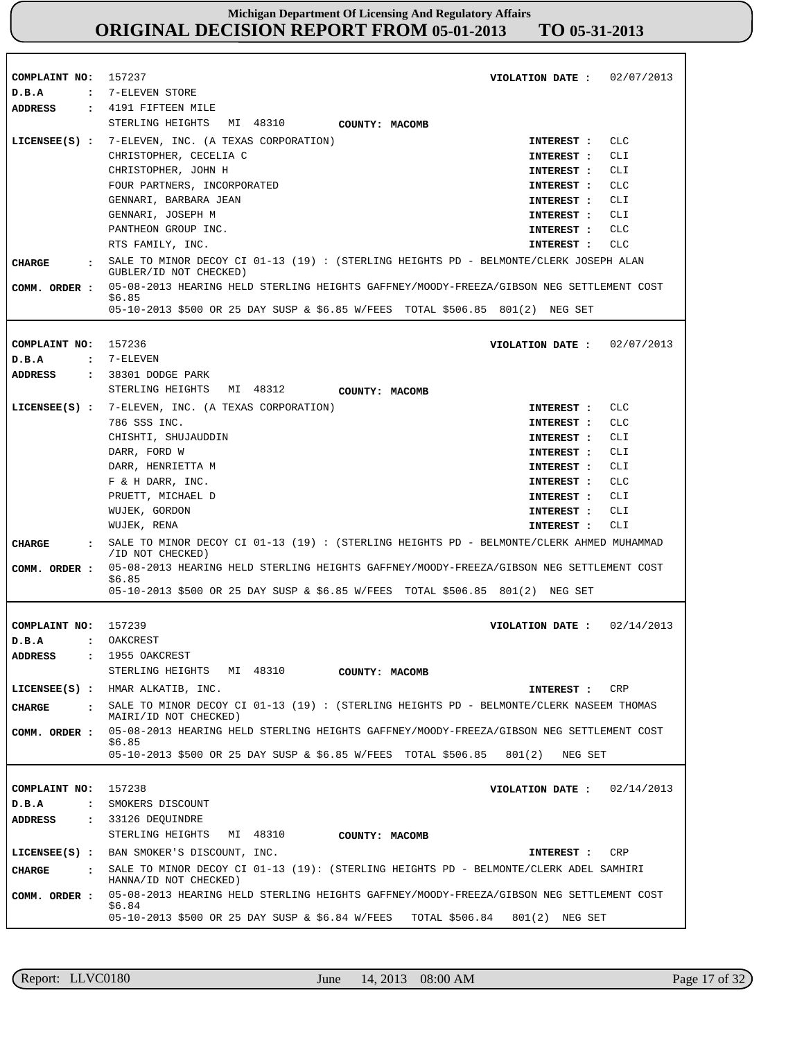| COMPLAINT NO:                         | 157237<br>02/07/2013<br>VIOLATION DATE :                                                                       |
|---------------------------------------|----------------------------------------------------------------------------------------------------------------|
| D.B.A<br>$\ddot{\phantom{a}}$         | 7-ELEVEN STORE                                                                                                 |
| <b>ADDRESS</b>                        | $\,$ : 4191 FIFTEEN MILE                                                                                       |
|                                       | STERLING HEIGHTS MI 48310<br>COUNTY: MACOMB                                                                    |
| $LICENSEE(S)$ :                       | <b>CLC</b><br>7-ELEVEN, INC. (A TEXAS CORPORATION)<br>INTEREST :                                               |
|                                       | CLI<br>CHRISTOPHER, CECELIA C<br>INTEREST :                                                                    |
|                                       | CHRISTOPHER, JOHN H<br>CLI<br>INTEREST :                                                                       |
|                                       | FOUR PARTNERS, INCORPORATED<br><b>CLC</b><br>INTEREST :                                                        |
|                                       | GENNARI, BARBARA JEAN<br>CLI<br>INTEREST:                                                                      |
|                                       | GENNARI, JOSEPH M<br>CLI<br>INTEREST :                                                                         |
|                                       | PANTHEON GROUP INC.<br>CLC<br>INTEREST :                                                                       |
|                                       | RTS FAMILY, INC.<br>CLC<br>INTEREST :                                                                          |
| CHARGE                                | SALE TO MINOR DECOY CI 01-13 (19) : (STERLING HEIGHTS PD - BELMONTE/CLERK JOSEPH ALAN                          |
|                                       | GUBLER/ID NOT CHECKED)                                                                                         |
| COMM. ORDER :                         | 05-08-2013 HEARING HELD STERLING HEIGHTS GAFFNEY/MOODY-FREEZA/GIBSON NEG SETTLEMENT COST<br>\$6.85             |
|                                       | 05-10-2013 \$500 OR 25 DAY SUSP & \$6.85 W/FEES TOTAL \$506.85 801(2) NEG SET                                  |
|                                       |                                                                                                                |
| COMPLAINT NO:                         | 157236<br>VIOLATION DATE :<br>02/07/2013                                                                       |
| D.B.A<br>$\ddot{\cdot}$               | 7-ELEVEN                                                                                                       |
| ADDRESS                               | : 38301 DODGE PARK                                                                                             |
|                                       | STERLING HEIGHTS MI 48312<br>COUNTY: MACOMB                                                                    |
|                                       | LICENSEE(S) : 7-ELEVEN, INC. (A TEXAS CORPORATION)<br><b>CLC</b><br>INTEREST :                                 |
|                                       | 786 SSS INC.<br><b>CLC</b><br>INTEREST :                                                                       |
|                                       | CHISHTI, SHUJAUDDIN<br>CLI<br>INTEREST :                                                                       |
|                                       | DARR, FORD W<br>CLI<br>INTEREST :                                                                              |
|                                       | DARR, HENRIETTA M<br>INTEREST :<br>CLI                                                                         |
|                                       | F & H DARR, INC.<br><b>CLC</b><br>INTEREST :                                                                   |
|                                       | PRUETT, MICHAEL D<br>CLI<br>INTEREST :                                                                         |
|                                       | WUJEK, GORDON<br>CLI<br>INTEREST :                                                                             |
|                                       | WUJEK, RENA<br>CLI<br>INTEREST :                                                                               |
| <b>CHARGE</b>                         | SALE TO MINOR DECOY CI 01-13 (19) : (STERLING HEIGHTS PD - BELMONTE/CLERK AHMED MUHAMMAD<br>/ID NOT CHECKED)   |
| COMM. ORDER :                         | 05-08-2013 HEARING HELD STERLING HEIGHTS GAFFNEY/MOODY-FREEZA/GIBSON NEG SETTLEMENT COST                       |
|                                       | \$6.85<br>05-10-2013 \$500 OR 25 DAY SUSP & \$6.85 W/FEES TOTAL \$506.85 801(2) NEG SET                        |
|                                       |                                                                                                                |
| COMPLAINT NO:                         | 02/14/2013<br>157239<br>VIOLATION DATE :                                                                       |
| D.B.A                                 | OAKCREST<br>$\mathbf{r}$                                                                                       |
| <b>ADDRESS</b><br>$\ddot{\cdot}$      | 1955 OAKCREST                                                                                                  |
|                                       | STERLING HEIGHTS MI 48310<br>COUNTY: MACOMB                                                                    |
|                                       | LICENSEE(S) : HMAR ALKATIB, INC.<br><b>CRP</b><br>INTEREST :                                                   |
| <b>CHARGE</b><br>$\ddot{\phantom{a}}$ | SALE TO MINOR DECOY CI $01-13$ (19) : (STERLING HEIGHTS PD - BELMONTE/CLERK NASEEM THOMAS                      |
|                                       | MAIRI/ID NOT CHECKED)                                                                                          |
| COMM. ORDER :                         | 05-08-2013 HEARING HELD STERLING HEIGHTS GAFFNEY/MOODY-FREEZA/GIBSON NEG SETTLEMENT COST                       |
|                                       | \$6.85<br>05-10-2013 \$500 OR 25 DAY SUSP & \$6.85 W/FEES TOTAL \$506.85<br>801(2)<br>NEG SET                  |
|                                       |                                                                                                                |
| COMPLAINT NO:                         | 157238<br>02/14/2013<br>VIOLATION DATE :                                                                       |
| D.B.A<br>$\ddot{\cdot}$               | SMOKERS DISCOUNT                                                                                               |
| <b>ADDRESS</b><br>$\ddot{\cdot}$      | 33126 DEQUINDRE                                                                                                |
|                                       | STERLING HEIGHTS<br>MI 48310<br>COUNTY: MACOMB                                                                 |
|                                       |                                                                                                                |
| $LICENSEE(S)$ :                       | BAN SMOKER'S DISCOUNT, INC.<br>CRP<br>INTEREST :                                                               |
| <b>CHARGE</b><br>$\ddot{\phantom{a}}$ | SALE TO MINOR DECOY CI 01-13 (19): (STERLING HEIGHTS PD - BELMONTE/CLERK ADEL SAMHIRI<br>HANNA/ID NOT CHECKED) |
| COMM. ORDER :                         | 05-08-2013 HEARING HELD STERLING HEIGHTS GAFFNEY/MOODY-FREEZA/GIBSON NEG SETTLEMENT COST<br>\$6.84             |
|                                       | 05-10-2013 \$500 OR 25 DAY SUSP & \$6.84 W/FEES<br>TOTAL \$506.84<br>801(2)<br>NEG SET                         |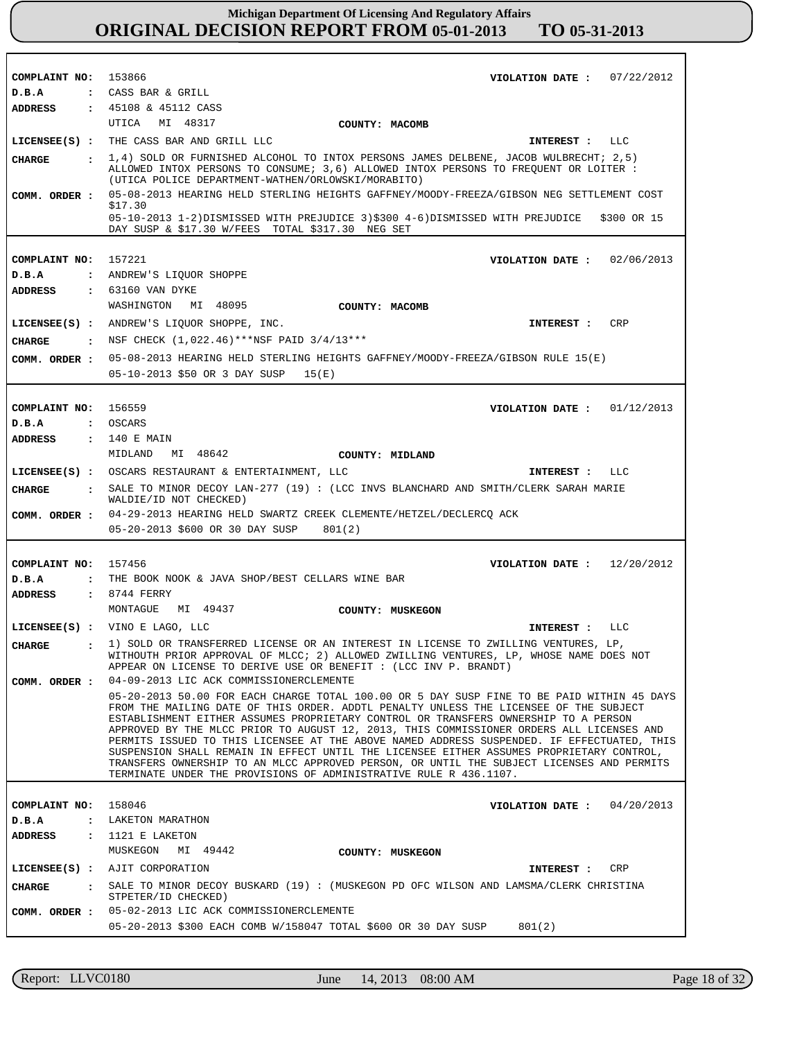| COMPLAINT NO: 153866                                       |                                                                                                                                                                                        |
|------------------------------------------------------------|----------------------------------------------------------------------------------------------------------------------------------------------------------------------------------------|
|                                                            | VIOLATION DATE: $07/22/2012$                                                                                                                                                           |
| D.B.A                                                      | : CASS BAR & GRILL                                                                                                                                                                     |
| <b>ADDRESS</b>                                             | : 45108 & 45112 CASS                                                                                                                                                                   |
|                                                            | UTICA MI 48317<br>COUNTY: MACOMB                                                                                                                                                       |
| $LICENSEE(S)$ :                                            | THE CASS BAR AND GRILL LLC<br>LLC<br>INTEREST :                                                                                                                                        |
| CIIARGE                                                    | 1,4) SOLD OR FURNISHED ALCOHOL TO INTOX PERSONS JAMES DELBENE, JACOB WULBRECHT; 2,5)                                                                                                   |
|                                                            | ALLOWED INTOX PERSONS TO CONSUME; 3,6) ALLOWED INTOX PERSONS TO FREQUENT OR LOITER :<br>(UTICA POLICE DEPARTMENT-WATHEN/ORLOWSKI/MORABITO)                                             |
| COMM. ORDER :                                              | 05-08-2013 HEARING HELD STERLING HEIGHTS GAFFNEY/MOODY-FREEZA/GIBSON NEG SETTLEMENT COST                                                                                               |
|                                                            | \$17.30                                                                                                                                                                                |
|                                                            | 05-10-2013 1-2)DISMISSED WITH PREJUDICE 3)\$300 4-6)DISMISSED WITH PREJUDICE<br>\$300 OR 15<br>DAY SUSP & \$17.30 W/FEES TOTAL \$317.30 NEG SET                                        |
|                                                            |                                                                                                                                                                                        |
| COMPLAINT NO: 157221                                       | VIOLATION DATE :<br>02/06/2013                                                                                                                                                         |
| D.B.A                                                      | : ANDREW'S LIQUOR SHOPPE                                                                                                                                                               |
| <b>ADDRESS</b>                                             | : 63160 VAN DYKE                                                                                                                                                                       |
|                                                            | MI 48095<br>WASHINGTON<br>COUNTY: MACOMB                                                                                                                                               |
|                                                            | LICENSEE(S) : ANDREW'S LIQUOR SHOPPE, INC.<br><b>CRP</b><br>INTEREST :                                                                                                                 |
|                                                            | NSF CHECK (1,022.46)***NSF PAID 3/4/13***                                                                                                                                              |
| <b>CHARGE</b><br>$\sim$ $\sim$ $\sim$ $\sim$ $\sim$ $\sim$ |                                                                                                                                                                                        |
| COMM. ORDER :                                              | 05-08-2013 HEARING HELD STERLING HEIGHTS GAFFNEY/MOODY-FREEZA/GIBSON RULE 15(E)                                                                                                        |
|                                                            | 05-10-2013 \$50 OR 3 DAY SUSP<br>15(E)                                                                                                                                                 |
|                                                            |                                                                                                                                                                                        |
| COMPLAINT NO:                                              | 156559<br>01/12/2013<br>VIOLATION DATE :                                                                                                                                               |
| D.B.A                                                      | : OSCARS                                                                                                                                                                               |
| ADDRESS                                                    | : 140 E MAIN                                                                                                                                                                           |
|                                                            | MIDLAND<br>MI 48642<br>COUNTY: MIDLAND                                                                                                                                                 |
|                                                            | LICENSEE(S) : OSCARS RESTAURANT & ENTERTAINMENT, LLC<br>LLC<br>INTEREST :                                                                                                              |
| <b>CHARGE</b><br>$\sim$ $\sim$                             | SALE TO MINOR DECOY LAN-277 (19) : (LCC INVS BLANCHARD AND SMITH/CLERK SARAH MARIE<br>WALDIE/ID NOT CHECKED)                                                                           |
| COMM. ORDER :                                              | 04-29-2013 HEARING HELD SWARTZ CREEK CLEMENTE/HETZEL/DECLERCQ ACK                                                                                                                      |
|                                                            | 05-20-2013 \$600 OR 30 DAY SUSP<br>801(2)                                                                                                                                              |
|                                                            |                                                                                                                                                                                        |
|                                                            |                                                                                                                                                                                        |
|                                                            |                                                                                                                                                                                        |
| COMPLAINT NO: 157456                                       | 12/20/2012<br>VIOLATION DATE :                                                                                                                                                         |
| D.B.A                                                      | : THE BOOK NOOK & JAVA SHOP/BEST CELLARS WINE BAR                                                                                                                                      |
| ADDRESS                                                    | $: 8744$ FERRY<br>MI 49437<br>MONTAGUE                                                                                                                                                 |
|                                                            | COUNTY: MUSKEGON                                                                                                                                                                       |
|                                                            | LICENSEE(S) : VINO E LAGO, LLC<br>LLC<br>INTEREST :                                                                                                                                    |
| <b>CHARGE</b><br>$\ddot{\cdot}$                            | 1) SOLD OR TRANSFERRED LICENSE OR AN INTEREST IN LICENSE TO ZWILLING VENTURES, LP,<br>WITHOUTH PRIOR APPROVAL OF MLCC; 2) ALLOWED ZWILLING VENTURES, LP, WHOSE NAME DOES NOT           |
|                                                            | APPEAR ON LICENSE TO DERIVE USE OR BENEFIT : (LCC INV P. BRANDT)                                                                                                                       |
| COMM. ORDER :                                              | 04-09-2013 LIC ACK COMMISSIONERCLEMENTE                                                                                                                                                |
|                                                            | 05-20-2013 50.00 FOR EACH CHARGE TOTAL 100.00 OR 5 DAY SUSP FINE TO BE PAID WITHIN 45 DAYS                                                                                             |
|                                                            | FROM THE MAILING DATE OF THIS ORDER. ADDTL PENALTY UNLESS THE LICENSEE OF THE SUBJECT<br>ESTABLISHMENT EITHER ASSUMES PROPRIETARY CONTROL OR TRANSFERS OWNERSHIP TO A PERSON           |
|                                                            | APPROVED BY THE MLCC PRIOR TO AUGUST 12, 2013, THIS COMMISSIONER ORDERS ALL LICENSES AND                                                                                               |
|                                                            | PERMITS ISSUED TO THIS LICENSEE AT THE ABOVE NAMED ADDRESS SUSPENDED. IF EFFECTUATED, THIS<br>SUSPENSION SHALL REMAIN IN EFFECT UNTIL THE LICENSEE EITHER ASSUMES PROPRIETARY CONTROL, |
|                                                            | TRANSFERS OWNERSHIP TO AN MLCC APPROVED PERSON, OR UNTIL THE SUBJECT LICENSES AND PERMITS                                                                                              |
|                                                            | TERMINATE UNDER THE PROVISIONS OF ADMINISTRATIVE RULE R 436.1107.                                                                                                                      |
|                                                            |                                                                                                                                                                                        |
| COMPLAINT NO:<br>$\ddot{\cdot}$                            | 158046<br>VIOLATION DATE :<br>04/20/2013                                                                                                                                               |
| D.B.A<br>$\ddot{\cdot}$                                    | LAKETON MARATHON                                                                                                                                                                       |
| <b>ADDRESS</b>                                             | 1121 E LAKETON<br>MUSKEGON<br>MI 49442                                                                                                                                                 |
|                                                            | COUNTY: MUSKEGON                                                                                                                                                                       |
| $LICENSEE(S)$ :                                            | AJIT CORPORATION<br>CRP<br>INTEREST :                                                                                                                                                  |
| CHARGE<br>$\sim$ 1.                                        | SALE TO MINOR DECOY BUSKARD (19) : (MUSKEGON PD OFC WILSON AND LAMSMA/CLERK CHRISTINA<br>STPETER/ID CHECKED)                                                                           |
| COMM. ORDER :                                              | 05-02-2013 LIC ACK COMMISSIONERCLEMENTE                                                                                                                                                |

Report: LLVC0180 June 14, 2013 08:00 AM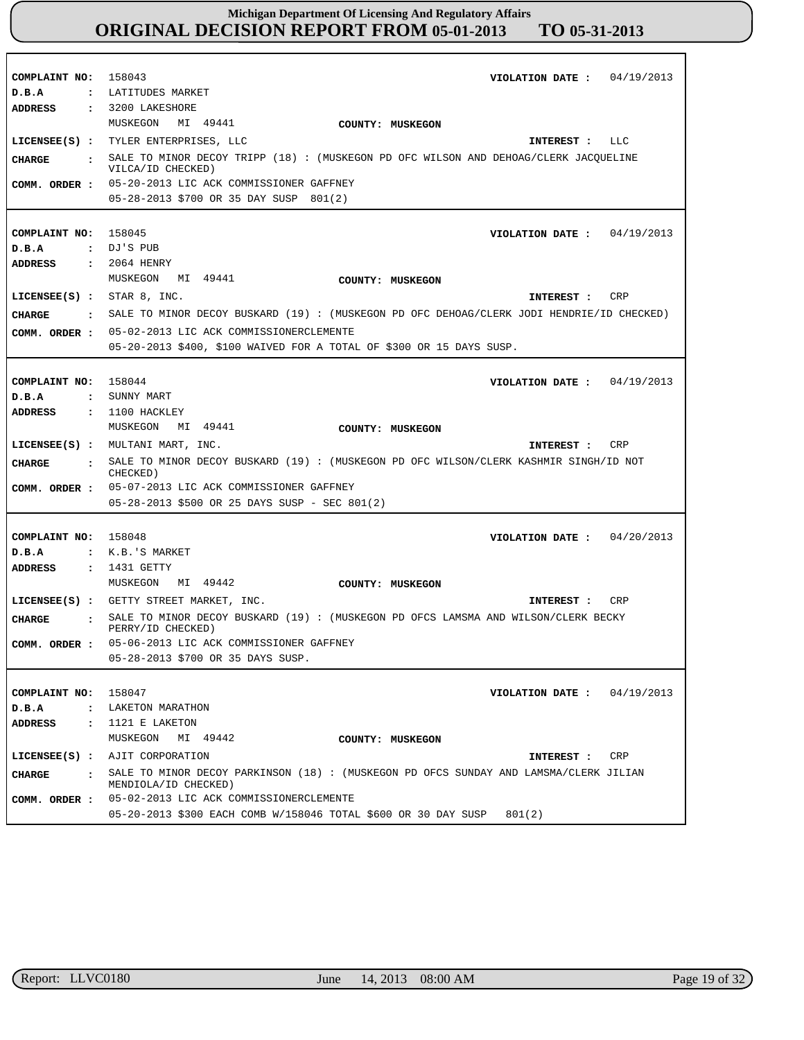| COMPLAINT NO: 158043          | VIOLATION DATE: $04/19/2013$                                                               |
|-------------------------------|--------------------------------------------------------------------------------------------|
| D.B.A                         | : LATITUDES MARKET                                                                         |
| ADDRESS                       | : 3200 LAKESHORE                                                                           |
|                               |                                                                                            |
|                               | MUSKEGON<br>MI 49441<br>COUNTY: MUSKEGON                                                   |
|                               | LICENSEE(S) : TYLER ENTERPRISES, LLC<br>INTEREST : LLC                                     |
| <b>CHARGE</b>                 | : SALE TO MINOR DECOY TRIPP (18) : (MUSKEGON PD OFC WILSON AND DEHOAG/CLERK JACQUELINE     |
|                               | VILCA/ID CHECKED)                                                                          |
|                               | COMM. ORDER : 05-20-2013 LIC ACK COMMISSIONER GAFFNEY                                      |
|                               | 05-28-2013 \$700 OR 35 DAY SUSP 801(2)                                                     |
|                               |                                                                                            |
|                               |                                                                                            |
| COMPLAINT NO: 158045          | VIOLATION DATE: $04/19/2013$                                                               |
| D.B.A                         | : DJ'S PUB                                                                                 |
| ADDRESS                       | : 2064 HENRY                                                                               |
|                               | MUSKEGON<br>MI 49441<br>COUNTY: MUSKEGON                                                   |
|                               |                                                                                            |
| LICENSEE $(S)$ : STAR 8, INC. | INTEREST : CRP                                                                             |
| <b>CHARGE</b>                 | . SALE TO MINOR DECOY BUSKARD (19): (MUSKEGON PD OFC DEHOAG/CLERK JODI HENDRIE/ID CHECKED) |
| COMM. ORDER :                 | 05-02-2013 LIC ACK COMMISSIONERCLEMENTE                                                    |
|                               |                                                                                            |
|                               | 05-20-2013 \$400, \$100 WAIVED FOR A TOTAL OF \$300 OR 15 DAYS SUSP.                       |
|                               |                                                                                            |
| COMPLAINT NO:                 | 158044<br>VIOLATION DATE: $04/19/2013$                                                     |
| D.B.A                         | : SUNNY MART                                                                               |
| <b>ADDRESS</b>                | $: 1100$ HACKLEY                                                                           |
|                               | MUSKEGON MI 49441                                                                          |
|                               | COUNTY: MUSKEGON                                                                           |
|                               | LICENSEE(S) : MULTANI MART, INC.<br>CRP<br>INTEREST :                                      |
|                               |                                                                                            |
| CIIARGE<br>$\mathbf{r}$       | SALE TO MINOR DECOY BUSKARD (19) : (MUSKEGON PD OFC WILSON/CLERK KASHMIR SINGH/ID NOT      |
|                               | CHECKED)                                                                                   |
|                               | COMM. ORDER : 05-07-2013 LIC ACK COMMISSIONER GAFFNEY                                      |
|                               | 05-28-2013 \$500 OR 25 DAYS SUSP - SEC 801(2)                                              |
|                               |                                                                                            |
|                               |                                                                                            |
| COMPLAINT NO: 158048          | VIOLATION DATE: $04/20/2013$                                                               |
| D.B.A                         | $:$ $K.B.$ $S$ MARKET                                                                      |
| <b>ADDRESS</b>                | $: 1431$ GETTY                                                                             |
|                               | MUSKEGON<br>MI 49442<br>COUNTY: MUSKEGON                                                   |
|                               | LICENSEE(S) : GETTY STREET MARKET, INC.<br>CRP<br>INTEREST :                               |
|                               |                                                                                            |
| <b>CHARGE</b>                 | SALE TO MINOR DECOY BUSKARD (19) : (MUSKEGON PD OFCS LAMSMA AND WILSON/CLERK BECKY         |
|                               | PERRY/ID CHECKED)                                                                          |
| COMM. ORDER :                 | 05-06-2013 LIC ACK COMMISSIONER GAFFNEY                                                    |
|                               | 05-28-2013 \$700 OR 35 DAYS SUSP.                                                          |
|                               |                                                                                            |
| COMPLAINT NO:                 | 158047<br>04/19/2013<br>VIOLATION DATE :                                                   |
| D.B.A                         | : LAKETON MARATHON                                                                         |
| ADDRESS                       |                                                                                            |
|                               | $: 1121 E$ LAKETON                                                                         |
|                               | MUSKEGON<br>MI 49442<br>COUNTY: MUSKEGON                                                   |
|                               | LICENSEE(S) : AJIT CORPORATION<br>CRP<br>INTEREST :                                        |
| CHARGE                        | : SALE TO MINOR DECOY PARKINSON (18): (MUSKEGON PD OFCS SUNDAY AND LAMSMA/CLERK JILIAN     |
|                               | MENDIOLA/ID CHECKED)                                                                       |
| COMM. ORDER :                 | 05-02-2013 LIC ACK COMMISSIONERCLEMENTE                                                    |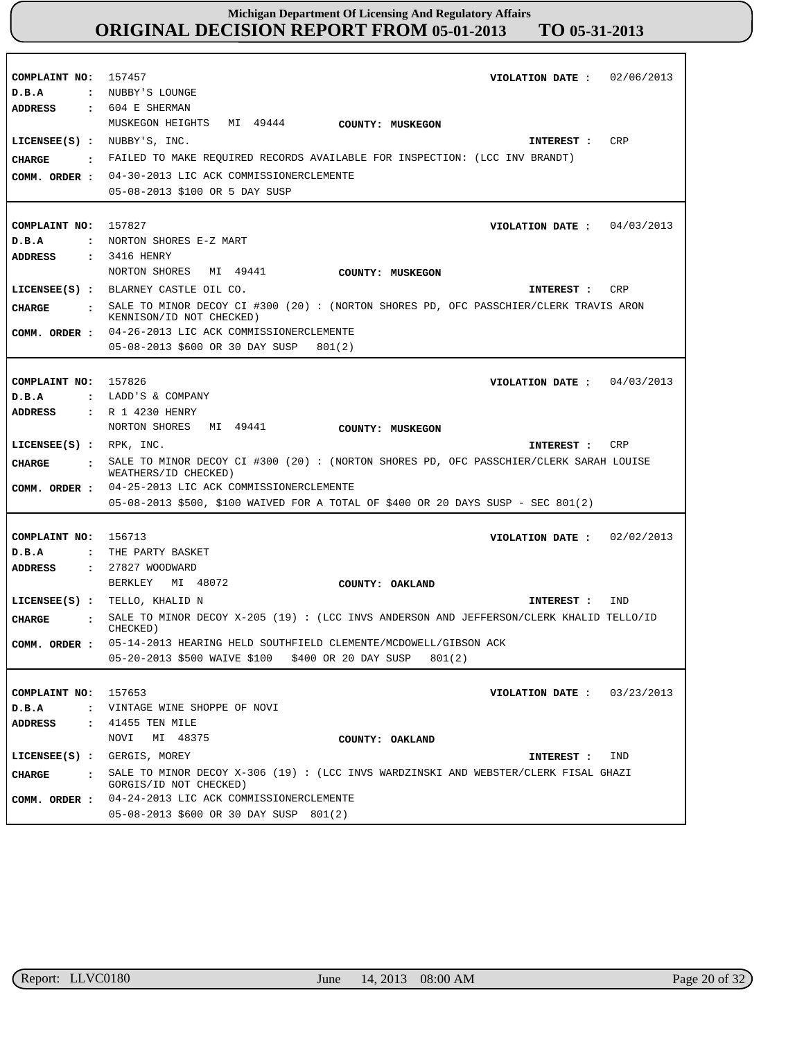| COMPLAINT NO:<br>D.B.A<br><b>ADDRESS</b>                                       | 157457<br>02/06/2013<br>VIOLATION DATE :<br>: NUBBY'S LOUNGE<br>$: 604$ E SHERMAN                                                                                                                                                                                                                      |
|--------------------------------------------------------------------------------|--------------------------------------------------------------------------------------------------------------------------------------------------------------------------------------------------------------------------------------------------------------------------------------------------------|
| LICENSEE(S) : NUBBY'S, INC.<br>CHARGE<br>$\ddot{\phantom{a}}$<br>COMM. ORDER : | MUSKEGON HEIGHTS<br>MI 49444<br>COUNTY: MUSKEGON<br><b>CRP</b><br>INTEREST :<br>FAILED TO MAKE REQUIRED RECORDS AVAILABLE FOR INSPECTION: (LCC INV BRANDT)<br>04-30-2013 LIC ACK COMMISSIONERCLEMENTE<br>05-08-2013 \$100 OR 5 DAY SUSP                                                                |
| COMPLAINT NO:<br>D.B.A<br>ADDRESS                                              | 157827<br>VIOLATION DATE: $04/03/2013$<br>: NORTON SHORES E-Z MART<br>: 3416 HENRY<br>NORTON SHORES MI 49441                                                                                                                                                                                           |
| CHARGE                                                                         | COUNTY: MUSKEGON<br>LICENSEE(S) : BLARNEY CASTLE OIL CO.<br>CRP<br>INTEREST :<br>: SALE TO MINOR DECOY CI #300 (20): (NORTON SHORES PD, OFC PASSCHIER/CLERK TRAVIS ARON<br>KENNISON/ID NOT CHECKED)<br>COMM. ORDER : 04-26-2013 LIC ACK COMMISSIONERCLEMENTE<br>05-08-2013 \$600 OR 30 DAY SUSP 801(2) |
| COMPLAINT NO:<br>D.B.A<br>$\ddot{\phantom{a}}$<br>ADDRESS                      | 157826<br>VIOLATION DATE: $04/03/2013$<br>LADD'S & COMPANY<br>: R 1 4230 HENRY<br>NORTON SHORES<br>MI 49441<br>COUNTY: MUSKEGON                                                                                                                                                                        |
| LICENSEE(S) : RPK, INC.<br>CHARGE                                              | CRP<br>INTEREST :<br>: SALE TO MINOR DECOY CI #300 (20): (NORTON SHORES PD, OFC PASSCHIER/CLERK SARAH LOUISE<br>WEATHERS/ID CHECKED)<br>COMM. ORDER : 04-25-2013 LIC ACK COMMISSIONERCLEMENTE                                                                                                          |
|                                                                                | 05-08-2013 \$500, \$100 WAIVED FOR A TOTAL OF \$400 OR 20 DAYS SUSP - SEC 801(2)                                                                                                                                                                                                                       |
| COMPLAINT NO:<br>D.B.A<br>$\ddot{\phantom{a}}$<br><b>ADDRESS</b>               | 156713<br>02/02/2013<br>VIOLATION DATE :<br>THE PARTY BASKET<br>: 27827 WOODWARD                                                                                                                                                                                                                       |
| $LICENSEE(S)$ :                                                                | MI 48072<br>BERKLEY<br>COUNTY: OAKLAND<br>TELLO, KHALID N<br>IND<br>INTEREST :                                                                                                                                                                                                                         |
| CHARGE<br>$\ddot{\cdot}$<br>COMM. ORDER :                                      | SALE TO MINOR DECOY $X-205$ (19): (LCC INVS ANDERSON AND JEFFERSON/CLERK KHALID TELLO/ID<br>CHECKED)<br>05-14-2013 HEARING HELD SOUTHFIELD CLEMENTE/MCDOWELL/GIBSON ACK<br>05-20-2013 \$500 WAIVE \$100 \$400 OR 20 DAY SUSP<br>801(2)                                                                 |
| COMPLAINT NO:<br>D.B.A<br>$\ddot{\cdot}$<br>ADDRESS<br>$\ddot{\phantom{a}}$    | 157653<br>03/23/2013<br>VIOLATION DATE :<br>VINTAGE WINE SHOPPE OF NOVI<br>41455 TEN MILE                                                                                                                                                                                                              |
| $LICENSEE(S)$ :<br>CHARGE<br>$\ddot{\phantom{a}}$<br>COMM. ORDER :             | NOVI<br>MI 48375<br>COUNTY: OAKLAND<br>GERGIS, MOREY<br>IND<br>INTEREST :<br>SALE TO MINOR DECOY X-306 (19) : (LCC INVS WARDZINSKI AND WEBSTER/CLERK FISAL GHAZI<br>GORGIS/ID NOT CHECKED)<br>04-24-2013 LIC ACK COMMISSIONERCLEMENTE<br>05-08-2013 \$600 OR 30 DAY SUSP 801(2)                        |

r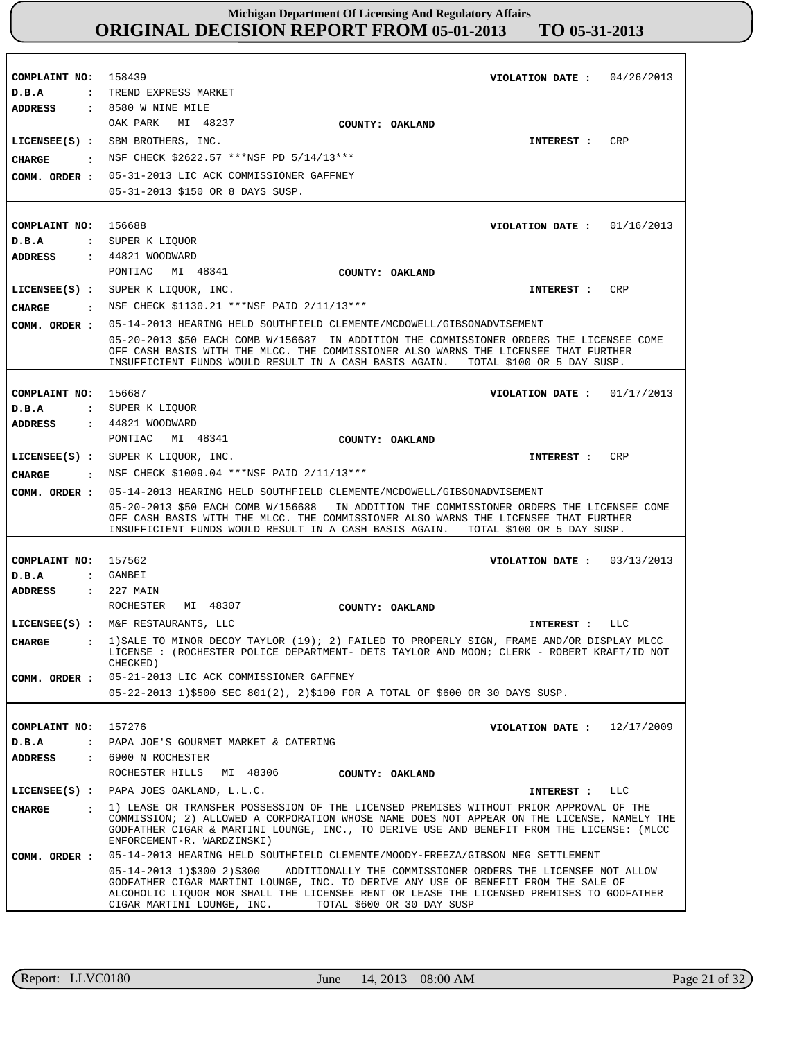**COMPLAINT NO: COMPLAINT NO:** 156688 **COMPLAINT NO:** 156687 **COMPLAINT NO:** 157562 **COMPLAINT NO:** 157276 158439 **VIOLATION DATE : VIOLATION DATE :** 01/16/2013 **VIOLATION DATE :** 01/17/2013 **VIOLATION DATE :** 03/13/2013 **VIOLATION DATE :** 04/26/2013 12/17/2009 **D.B.A : D.B.A : D.B.A : D.B.A : D.B.A :** TREND EXPRESS MARKET SUPER K LIQUOR SUPER K LIQUOR GANBEI PAPA JOE'S GOURMET MARKET & CATERING **ADDRESS : ADDRESS : ADDRESS : ADDRESS : ADDRESS :** 8580 W NINE MILE 44821 WOODWARD 44821 WOODWARD 227 MAIN 6900 N ROCHESTER OAK PARK MI 48237 PONTIAC MI 48341 PONTIAC MI 48341 ROCHESTER MI 48307 ROCHESTER HILLS MI 48306 05-31-2013 LIC ACK COMMISSIONER GAFFNEY 05-31-2013 \$150 OR 8 DAYS SUSP. 05-14-2013 HEARING HELD SOUTHFIELD CLEMENTE/MCDOWELL/GIBSONADVISEMENT 05-20-2013 \$50 EACH COMB W/156687 IN ADDITION THE COMMISSIONER ORDERS THE LICENSEE COME OFF CASH BASIS WITH THE MLCC. THE COMMISSIONER ALSO WARNS THE LICENSEE THAT FURTHER INSUFFICIENT FUNDS WOULD RESULT IN A CASH BASIS AGAIN. TOTAL \$100 OR 5 DAY SUSP. 05-14-2013 HEARING HELD SOUTHFIELD CLEMENTE/MCDOWELL/GIBSONADVISEMENT 05-20-2013 \$50 EACH COMB W/156688 IN ADDITION THE COMMISSIONER ORDERS THE LICENSEE COME OFF CASH BASIS WITH THE MLCC. THE COMMISSIONER ALSO WARNS THE LICENSEE THAT FURTHER INSUFFICIENT FUNDS WOULD RESULT IN A CASH BASIS AGAIN. TOTAL \$100 OR 5 DAY SUSP. 05-21-2013 LIC ACK COMMISSIONER GAFFNEY 05-22-2013 1)\$500 SEC 801(2), 2)\$100 FOR A TOTAL OF \$600 OR 30 DAYS SUSP. 05-14-2013 HEARING HELD SOUTHFIELD CLEMENTE/MOODY-FREEZA/GIBSON NEG SETTLEMENT 05-14-2013 1)\$300 2)\$300 ADDITIONALLY THE COMMISSIONER ORDERS THE LICENSEE NOT ALLOW GODFATHER CIGAR MARTINI LOUNGE, INC. TO DERIVE ANY USE OF BENEFIT FROM THE SALE OF ALCOHOLIC LIQUOR NOR SHALL THE LICENSEE RENT OR LEASE THE LICENSED PREMISES TO GODFATHER CIGAR MARTINI LOUNGE, INC. TOTAL \$600 OR 30 DAY SUSP **LICENSEE(S) : LICENSEE(S) :** SUPER K LIQUOR, INC. **LICENSEE(S) :** SUPER K LIQUOR, INC. **LICENSEE(S) :** M&F RESTAURANTS, LLC **LICENSEE(S) :** PAPA JOES OAKLAND, L.L.C. SBM BROTHERS, INC. CRP CR<sub>P</sub> CRP LLC LLC **CHARGE : CHARGE : CHARGE : CHARGE : CHARGE :** NSF CHECK \$2622.57 \*\*\*NSF PD 5/14/13\*\*\* : NSF CHECK \$1130.21 \*\*\*NSF PAID 2/11/13\*\*\* : NSF CHECK \$1009.04 \*\*\*NSF PAID 2/11/13\*\*\* 1)SALE TO MINOR DECOY TAYLOR (19); 2) FAILED TO PROPERLY SIGN, FRAME AND/OR DISPLAY MLCC LICENSE : (ROCHESTER POLICE DEPARTMENT- DETS TAYLOR AND MOON; CLERK - ROBERT KRAFT/ID NOT CHECKED) 1) LEASE OR TRANSFER POSSESSION OF THE LICENSED PREMISES WITHOUT PRIOR APPROVAL OF THE COMMISSION; 2) ALLOWED A CORPORATION WHOSE NAME DOES NOT APPEAR ON THE LICENSE, NAMELY THE GODFATHER CIGAR & MARTINI LOUNGE, INC., TO DERIVE USE AND BENEFIT FROM THE LICENSE: (MLCC ENFORCEMENT-R. WARDZINSKI) **INTEREST : INTEREST : INTEREST : INTEREST : INTEREST : COMM. ORDER : COMM. ORDER : COMM. ORDER : COMM. ORDER : COMM. ORDER : COUNTY: OAKLAND COUNTY: OAKLAND COUNTY: OAKLAND COUNTY: OAKLAND COUNTY: OAKLAND**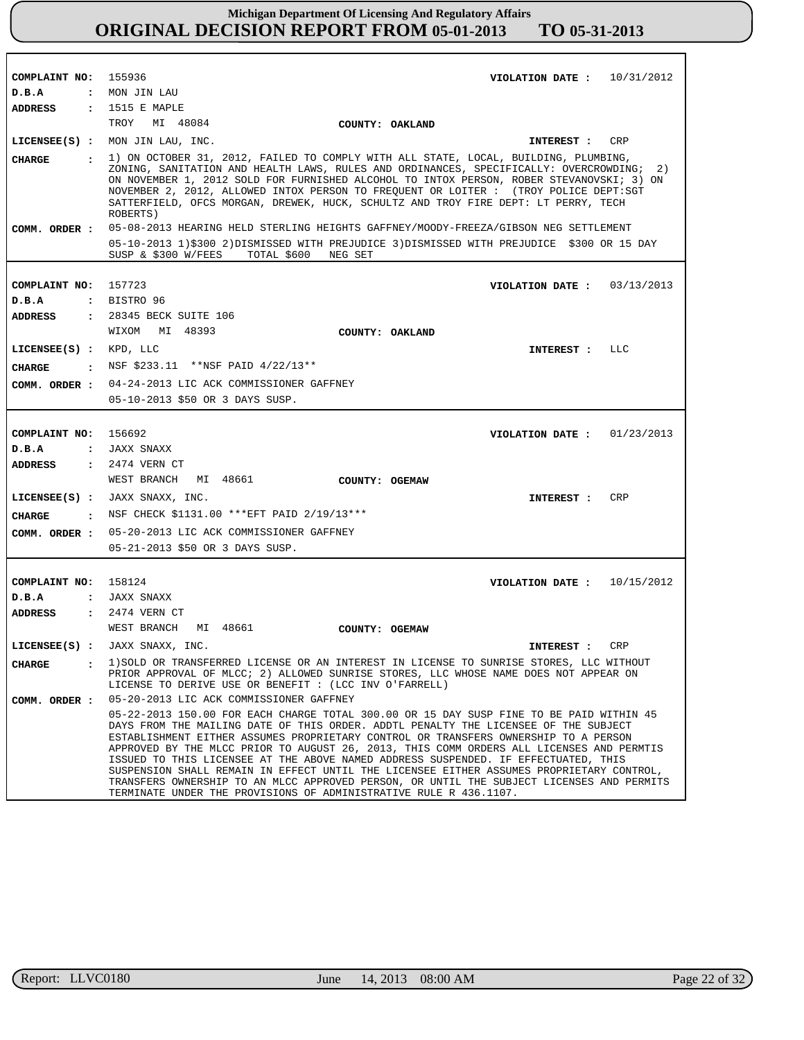| COMPLAINT NO:<br>D.B.A   | 155936<br>VIOLATION DATE: $10/31/2012$<br>: MON JIN LAU                                                                                                                                                                                                                                                                                                                                                                                                                                                                                                                                                                                                                                                               |
|--------------------------|-----------------------------------------------------------------------------------------------------------------------------------------------------------------------------------------------------------------------------------------------------------------------------------------------------------------------------------------------------------------------------------------------------------------------------------------------------------------------------------------------------------------------------------------------------------------------------------------------------------------------------------------------------------------------------------------------------------------------|
| ADDRESS                  | : 1515 E MAPLE                                                                                                                                                                                                                                                                                                                                                                                                                                                                                                                                                                                                                                                                                                        |
|                          | TROY MI 48084                                                                                                                                                                                                                                                                                                                                                                                                                                                                                                                                                                                                                                                                                                         |
|                          | COUNTY: OAKLAND                                                                                                                                                                                                                                                                                                                                                                                                                                                                                                                                                                                                                                                                                                       |
|                          | $LICENSEE(S)$ : MON JIN LAU, INC.<br>INTEREST :<br>CRP                                                                                                                                                                                                                                                                                                                                                                                                                                                                                                                                                                                                                                                                |
| CHARGE                   | . 1) ON OCTOBER 31, 2012, FAILED TO COMPLY WITH ALL STATE, LOCAL, BUILDING, PLUMBING,<br>ZONING, SANITATION AND HEALTH LAWS, RULES AND ORDINANCES, SPECIFICALLY: OVERCROWDING;<br>2)<br>ON NOVEMBER 1, 2012 SOLD FOR FURNISHED ALCOHOL TO INTOX PERSON, ROBER STEVANOVSKI; 3) ON<br>NOVEMBER 2, 2012, ALLOWED INTOX PERSON TO FREQUENT OR LOITER : (TROY POLICE DEPT:SGT<br>SATTERFIELD, OFCS MORGAN, DREWEK, HUCK, SCHULTZ AND TROY FIRE DEPT: LT PERRY, TECH<br>ROBERTS)                                                                                                                                                                                                                                            |
| COMM. ORDER :            | 05-08-2013 HEARING HELD STERLING HEIGHTS GAFFNEY/MOODY-FREEZA/GIBSON NEG SETTLEMENT                                                                                                                                                                                                                                                                                                                                                                                                                                                                                                                                                                                                                                   |
|                          | 05-10-2013 1)\$300 2)DISMISSED WITH PREJUDICE 3)DISMISSED WITH PREJUDICE \$300 OR 15 DAY<br>SUSP & $$300 W/FEES$<br>TOTAL \$600<br>NEG SET                                                                                                                                                                                                                                                                                                                                                                                                                                                                                                                                                                            |
|                          |                                                                                                                                                                                                                                                                                                                                                                                                                                                                                                                                                                                                                                                                                                                       |
| COMPLAINT NO:            | 157723<br>VIOLATION DATE: $03/13/2013$                                                                                                                                                                                                                                                                                                                                                                                                                                                                                                                                                                                                                                                                                |
| D.B.A                    | : BISTRO 96                                                                                                                                                                                                                                                                                                                                                                                                                                                                                                                                                                                                                                                                                                           |
| <b>ADDRESS</b>           | : 28345 BECK SUITE 106                                                                                                                                                                                                                                                                                                                                                                                                                                                                                                                                                                                                                                                                                                |
|                          | MI 48393<br>WIXOM<br>COUNTY: OAKLAND                                                                                                                                                                                                                                                                                                                                                                                                                                                                                                                                                                                                                                                                                  |
| LICENSE (S) : KPD, LLC   | INTEREST : LLC                                                                                                                                                                                                                                                                                                                                                                                                                                                                                                                                                                                                                                                                                                        |
| CIIARGE                  | : NSF \$233.11 **NSF PAID $4/22/13**$                                                                                                                                                                                                                                                                                                                                                                                                                                                                                                                                                                                                                                                                                 |
| COMM. ORDER :            | 04-24-2013 LIC ACK COMMISSIONER GAFFNEY                                                                                                                                                                                                                                                                                                                                                                                                                                                                                                                                                                                                                                                                               |
|                          | 05-10-2013 \$50 OR 3 DAYS SUSP.                                                                                                                                                                                                                                                                                                                                                                                                                                                                                                                                                                                                                                                                                       |
|                          |                                                                                                                                                                                                                                                                                                                                                                                                                                                                                                                                                                                                                                                                                                                       |
| COMPLAINT NO: 156692     | VIOLATION DATE :<br>01/23/2013                                                                                                                                                                                                                                                                                                                                                                                                                                                                                                                                                                                                                                                                                        |
| D.B.A                    | : JAXX SNAXX                                                                                                                                                                                                                                                                                                                                                                                                                                                                                                                                                                                                                                                                                                          |
| <b>ADDRESS</b>           | : 2474 VERN CT                                                                                                                                                                                                                                                                                                                                                                                                                                                                                                                                                                                                                                                                                                        |
|                          | WEST BRANCH<br>MI 48661<br>COUNTY: OGEMAW                                                                                                                                                                                                                                                                                                                                                                                                                                                                                                                                                                                                                                                                             |
|                          | LICENSEE(S) : JAXX SNAXX, INC.<br>CRP<br>INTEREST :                                                                                                                                                                                                                                                                                                                                                                                                                                                                                                                                                                                                                                                                   |
| CIIARGE                  | . NSF CHECK \$1131.00 *** EFT PAID 2/19/13 ***                                                                                                                                                                                                                                                                                                                                                                                                                                                                                                                                                                                                                                                                        |
| COMM. ORDER :            | 05-20-2013 LIC ACK COMMISSIONER GAFFNEY                                                                                                                                                                                                                                                                                                                                                                                                                                                                                                                                                                                                                                                                               |
|                          | 05-21-2013 \$50 OR 3 DAYS SUSP.                                                                                                                                                                                                                                                                                                                                                                                                                                                                                                                                                                                                                                                                                       |
|                          |                                                                                                                                                                                                                                                                                                                                                                                                                                                                                                                                                                                                                                                                                                                       |
| COMPLAINT NO: 158124     | VIOLATION DATE : $10/15/2012$                                                                                                                                                                                                                                                                                                                                                                                                                                                                                                                                                                                                                                                                                         |
| D.B.A                    | : JAXX SNAXX                                                                                                                                                                                                                                                                                                                                                                                                                                                                                                                                                                                                                                                                                                          |
| <b>ADDRESS</b>           | : 2474 VERN CT                                                                                                                                                                                                                                                                                                                                                                                                                                                                                                                                                                                                                                                                                                        |
|                          | WEST BRANCH<br>MI 48661<br>COUNTY: OGEMAW                                                                                                                                                                                                                                                                                                                                                                                                                                                                                                                                                                                                                                                                             |
| $LICENSEE(S)$ :          | JAXX SNAXX, INC.<br><b>CRP</b><br>INTEREST :                                                                                                                                                                                                                                                                                                                                                                                                                                                                                                                                                                                                                                                                          |
| <b>CHARGE</b><br>$\cdot$ | 1) SOLD OR TRANSFERRED LICENSE OR AN INTEREST IN LICENSE TO SUNRISE STORES, LLC WITHOUT<br>PRIOR APPROVAL OF MLCC; 2) ALLOWED SUNRISE STORES, LLC WHOSE NAME DOES NOT APPEAR ON                                                                                                                                                                                                                                                                                                                                                                                                                                                                                                                                       |
| COMM. ORDER :            | LICENSE TO DERIVE USE OR BENEFIT : (LCC INV O'FARRELL)<br>05-20-2013 LIC ACK COMMISSIONER GAFFNEY                                                                                                                                                                                                                                                                                                                                                                                                                                                                                                                                                                                                                     |
|                          | 05-22-2013 150.00 FOR EACH CHARGE TOTAL 300.00 OR 15 DAY SUSP FINE TO BE PAID WITHIN 45<br>DAYS FROM THE MAILING DATE OF THIS ORDER. ADDTL PENALTY THE LICENSEE OF THE SUBJECT<br>ESTABLISHMENT EITHER ASSUMES PROPRIETARY CONTROL OR TRANSFERS OWNERSHIP TO A PERSON<br>APPROVED BY THE MLCC PRIOR TO AUGUST 26, 2013, THIS COMM ORDERS ALL LICENSES AND PERMTIS<br>ISSUED TO THIS LICENSEE AT THE ABOVE NAMED ADDRESS SUSPENDED. IF EFFECTUATED, THIS<br>SUSPENSION SHALL REMAIN IN EFFECT UNTIL THE LICENSEE EITHER ASSUMES PROPRIETARY CONTROL,<br>TRANSFERS OWNERSHIP TO AN MLCC APPROVED PERSON, OR UNTIL THE SUBJECT LICENSES AND PERMITS<br>TERMINATE UNDER THE PROVISIONS OF ADMINISTRATIVE RULE R 436.1107. |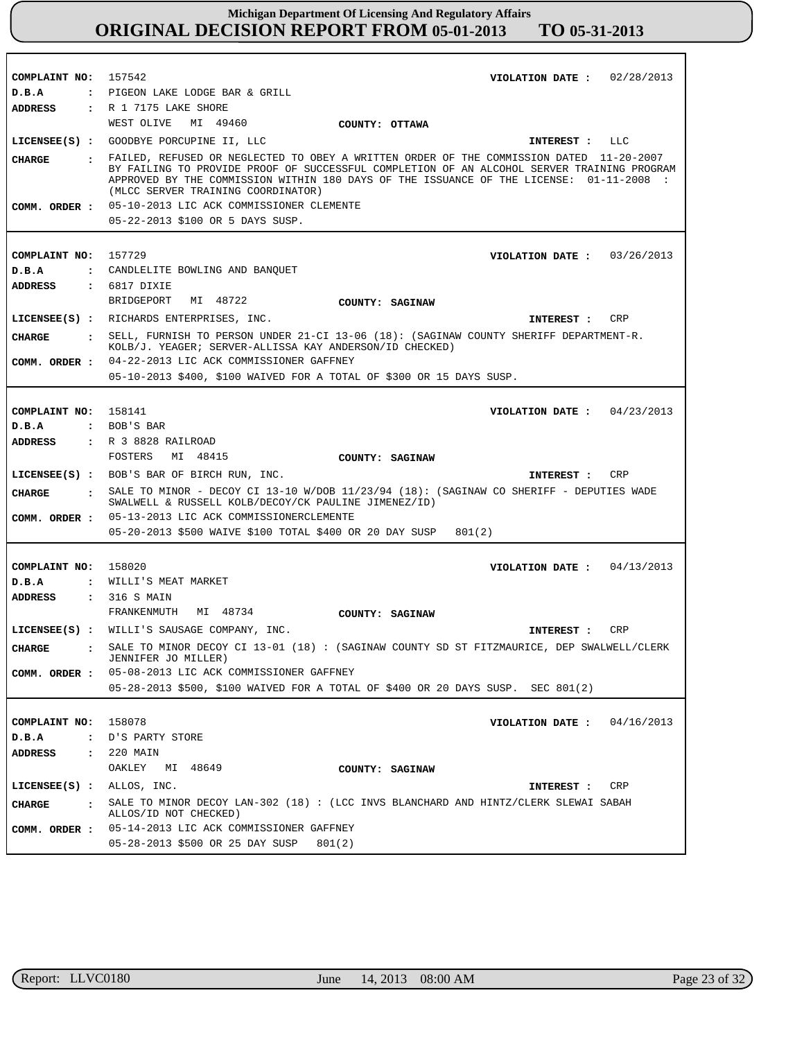| COMPLAINT NO: 157542             |                                                                                            | VIOLATION DATE: $02/28/2013$                                                                                                                                                                                                                                                       |
|----------------------------------|--------------------------------------------------------------------------------------------|------------------------------------------------------------------------------------------------------------------------------------------------------------------------------------------------------------------------------------------------------------------------------------|
| D.B.A                            | : PIGEON LAKE LODGE BAR & GRILL                                                            |                                                                                                                                                                                                                                                                                    |
| <b>ADDRESS</b>                   | : R 1 7175 LAKE SHORE                                                                      |                                                                                                                                                                                                                                                                                    |
|                                  | WEST OLIVE MI 49460                                                                        | COUNTY: OTTAWA                                                                                                                                                                                                                                                                     |
|                                  | LICENSEE(S) : GOODBYE PORCUPINE II, LLC                                                    | INTEREST : LLC                                                                                                                                                                                                                                                                     |
| CIIARGE                          | (MLCC SERVER TRAINING COORDINATOR)                                                         | : FAILED, REFUSED OR NEGLECTED TO OBEY A WRITTEN ORDER OF THE COMMISSION DATED 11-20-2007<br>BY FAILING TO PROVIDE PROOF OF SUCCESSFUL COMPLETION OF AN ALCOHOL SERVER TRAINING PROGRAM<br>APPROVED BY THE COMMISSION WITHIN 180 DAYS OF THE ISSUANCE OF THE LICENSE: 01-11-2008 : |
|                                  | COMM. ORDER : 05-10-2013 LIC ACK COMMISSIONER CLEMENTE<br>05-22-2013 \$100 OR 5 DAYS SUSP. |                                                                                                                                                                                                                                                                                    |
|                                  |                                                                                            |                                                                                                                                                                                                                                                                                    |
| COMPLAINT NO: 157729             |                                                                                            | VIOLATION DATE: $03/26/2013$                                                                                                                                                                                                                                                       |
| D.B.A                            | : CANDLELITE BOWLING AND BANQUET                                                           |                                                                                                                                                                                                                                                                                    |
| ADDRESS                          | $: 6817$ DIXIE                                                                             |                                                                                                                                                                                                                                                                                    |
|                                  | BRIDGEPORT<br>MI 48722                                                                     | COUNTY: SAGINAW                                                                                                                                                                                                                                                                    |
|                                  | LICENSEE(S) : RICHARDS ENTERPRISES, INC.                                                   | CRP<br>INTEREST :                                                                                                                                                                                                                                                                  |
| CHARGE                           | KOLB/J. YEAGER; SERVER-ALLISSA KAY ANDERSON/ID CHECKED)                                    | : SELL, FURNISH TO PERSON UNDER 21-CI 13-06 (18): (SAGINAW COUNTY SHERIFF DEPARTMENT-R.                                                                                                                                                                                            |
|                                  | COMM. ORDER : 04-22-2013 LIC ACK COMMISSIONER GAFFNEY                                      |                                                                                                                                                                                                                                                                                    |
|                                  | 05-10-2013 \$400, \$100 WAIVED FOR A TOTAL OF \$300 OR 15 DAYS SUSP.                       |                                                                                                                                                                                                                                                                                    |
|                                  |                                                                                            |                                                                                                                                                                                                                                                                                    |
| COMPLAINT NO: 158141             |                                                                                            | VIOLATION DATE: $04/23/2013$                                                                                                                                                                                                                                                       |
| D.B.A                            | : BOB'S BAR                                                                                |                                                                                                                                                                                                                                                                                    |
| ADDRESS                          | : R 3 8828 RAILROAD                                                                        |                                                                                                                                                                                                                                                                                    |
|                                  | FOSTERS MI 48415                                                                           | COUNTY: SAGINAW                                                                                                                                                                                                                                                                    |
|                                  | LICENSEE(S) : BOB'S BAR OF BIRCH RUN, INC.                                                 | CRP<br>INTEREST :                                                                                                                                                                                                                                                                  |
|                                  |                                                                                            |                                                                                                                                                                                                                                                                                    |
|                                  |                                                                                            |                                                                                                                                                                                                                                                                                    |
| CHARGE                           | SWALWELL & RUSSELL KOLB/DECOY/CK PAULINE JIMENEZ/ID)                                       | . SALE TO MINOR - DECOY CI 13-10 W/DOB 11/23/94 (18): (SAGINAW CO SHERIFF - DEPUTIES WADE                                                                                                                                                                                          |
|                                  | COMM. ORDER: 05-13-2013 LIC ACK COMMISSIONERCLEMENTE                                       |                                                                                                                                                                                                                                                                                    |
|                                  | 05-20-2013 \$500 WAIVE \$100 TOTAL \$400 OR 20 DAY SUSP                                    | 801(2)                                                                                                                                                                                                                                                                             |
|                                  |                                                                                            |                                                                                                                                                                                                                                                                                    |
| COMPLAINT NO: 158020             |                                                                                            | VIOLATION DATE: $04/13/2013$                                                                                                                                                                                                                                                       |
| D.B.A                            | : WILLI'S MEAT MARKET                                                                      |                                                                                                                                                                                                                                                                                    |
| ADDRESS : 316 S MAIN             |                                                                                            |                                                                                                                                                                                                                                                                                    |
|                                  | FRANKENMUTH MI 48734                                                                       | COUNTY: SAGINAW                                                                                                                                                                                                                                                                    |
|                                  | LICENSEE(S) : WILLI'S SAUSAGE COMPANY, INC.                                                | INTEREST : CRP                                                                                                                                                                                                                                                                     |
| CHARGE                           | JENNIFER JO MILLER)                                                                        | SALE TO MINOR DECOY CI 13-01 (18) : (SAGINAW COUNTY SD ST FITZMAURICE, DEP SWALWELL/CLERK                                                                                                                                                                                          |
| COMM. ORDER :                    | 05-08-2013 LIC ACK COMMISSIONER GAFFNEY                                                    |                                                                                                                                                                                                                                                                                    |
|                                  |                                                                                            | 05-28-2013 \$500, \$100 WAIVED FOR A TOTAL OF \$400 OR 20 DAYS SUSP. SEC 801(2)                                                                                                                                                                                                    |
|                                  |                                                                                            |                                                                                                                                                                                                                                                                                    |
| COMPLAINT NO:                    | 158078                                                                                     | VIOLATION DATE: $04/16/2013$                                                                                                                                                                                                                                                       |
| D.B.A                            | : D'S PARTY STORE                                                                          |                                                                                                                                                                                                                                                                                    |
| <b>ADDRESS</b>                   | $: 220$ MAIN                                                                               |                                                                                                                                                                                                                                                                                    |
|                                  | OAKLEY<br>MI 48649                                                                         | COUNTY: SAGINAW                                                                                                                                                                                                                                                                    |
| $LICENSEE(S)$ : $ALLOS$ , $INC.$ |                                                                                            | CRP<br>INTEREST :                                                                                                                                                                                                                                                                  |
| <b>CHARGE</b><br>$\mathbf{r}$    |                                                                                            | SALE TO MINOR DECOY LAN-302 (18) : (LCC INVS BLANCHARD AND HINTZ/CLERK SLEWAI SABAH                                                                                                                                                                                                |
|                                  | ALLOS/ID NOT CHECKED)<br>COMM. ORDER : 05-14-2013 LIC ACK COMMISSIONER GAFFNEY             |                                                                                                                                                                                                                                                                                    |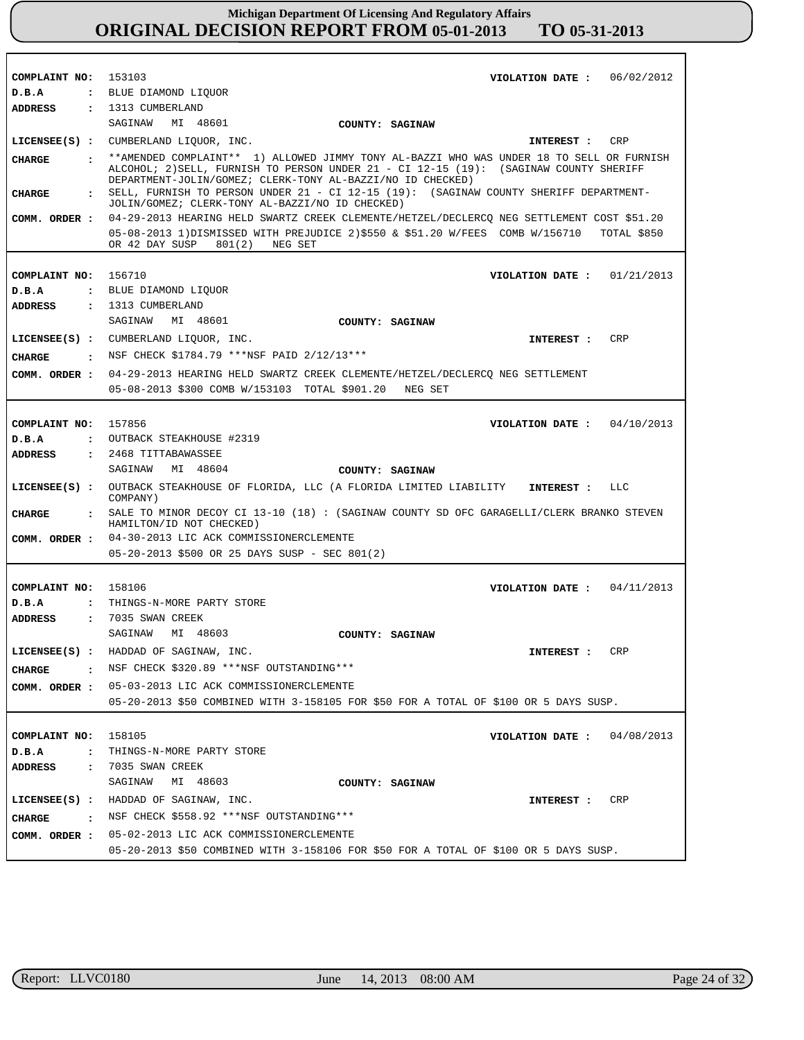| COMPLAINT NO:                 | 153103<br>VIOLATION DATE: $06/02/2012$                                                                                                              |
|-------------------------------|-----------------------------------------------------------------------------------------------------------------------------------------------------|
| D.B.A                         | : BLUE DIAMOND LIQUOR                                                                                                                               |
| ADDRESS                       | : 1313 CUMBERLAND                                                                                                                                   |
|                               | SAGINAW MI 48601<br>COUNTY: SAGINAW                                                                                                                 |
|                               | LICENSEE(S) : CUMBERLAND LIQUOR, INC.<br>INTEREST : CRP                                                                                             |
| <b>CHARGE</b>                 | : ** AMENDED COMPLAINT** 1) ALLOWED JIMMY TONY AL-BAZZI WHO WAS UNDER 18 TO SELL OR FURNISH                                                         |
|                               | ALCOHOL; 2) SELL, FURNISH TO PERSON UNDER 21 - CI 12-15 (19): (SAGINAW COUNTY SHERIFF<br>DEPARTMENT-JOLIN/GOMEZ; CLERK-TONY AL-BAZZI/NO ID CHECKED) |
| <b>CHARGE</b><br>$\mathbf{r}$ | SELL, FURNISH TO PERSON UNDER 21 - CI 12-15 (19): (SAGINAW COUNTY SHERIFF DEPARTMENT-                                                               |
|                               | JOLIN/GOMEZ; CLERK-TONY AL-BAZZI/NO ID CHECKED)                                                                                                     |
| COMM. ORDER :                 | 04-29-2013 HEARING HELD SWARTZ CREEK CLEMENTE/HETZEL/DECLERCQ NEG SETTLEMENT COST \$51.20                                                           |
|                               | 05-08-2013 1) DISMISSED WITH PREJUDICE 2) \$550 & \$51.20 W/FEES COMB W/156710<br>TOTAL \$850                                                       |
|                               | OR 42 DAY SUSP<br>801(2)<br>NEG SET                                                                                                                 |
|                               |                                                                                                                                                     |
| COMPLAINT NO:                 | 156710<br>VIOLATION DATE: $01/21/2013$                                                                                                              |
| D.B.A                         | : BLUE DIAMOND LIQUOR                                                                                                                               |
| ADDRESS                       | : 1313 CUMBERLAND                                                                                                                                   |
|                               | SAGINAW MI 48601<br>COUNTY: SAGINAW                                                                                                                 |
|                               | LICENSEE(S) : CUMBERLAND LIQUOR, INC.<br><b>CRP</b><br>INTEREST :                                                                                   |
| CHARGE                        | . NSF CHECK \$1784.79 ***NSF PAID 2/12/13***                                                                                                        |
|                               | COMM. ORDER: 04-29-2013 HEARING HELD SWARTZ CREEK CLEMENTE/HETZEL/DECLERCQ NEG SETTLEMENT                                                           |
|                               | 05-08-2013 \$300 COMB W/153103 TOTAL \$901.20 NEG SET                                                                                               |
|                               |                                                                                                                                                     |
| COMPLAINT NO: 157856          | VIOLATION DATE: $04/10/2013$                                                                                                                        |
| D.B.A                         | : OUTBACK STEAKHOUSE #2319                                                                                                                          |
| ADDRESS                       | : 2468 TITTABAWASSEE                                                                                                                                |
|                               | SAGINAW<br>MI 48604<br>COUNTY: SAGINAW                                                                                                              |
|                               |                                                                                                                                                     |
|                               |                                                                                                                                                     |
|                               | LICENSEE(S) : OUTBACK STEAKHOUSE OF FLORIDA, LLC (A FLORIDA LIMITED LIABILITY<br>LLC<br>INTEREST :                                                  |
|                               | COMPANY)                                                                                                                                            |
| <b>CHARGE</b>                 | : SALE TO MINOR DECOY CI 13-10 (18) : (SAGINAW COUNTY SD OFC GARAGELLI/CLERK BRANKO STEVEN<br>HAMILTON/ID NOT CHECKED)                              |
|                               | COMM. ORDER : 04-30-2013 LIC ACK COMMISSIONERCLEMENTE                                                                                               |
|                               | 05-20-2013 \$500 OR 25 DAYS SUSP - SEC 801(2)                                                                                                       |
|                               |                                                                                                                                                     |
| COMPLAINT NO:                 | 158106<br>04/11/2013<br>VIOLATION DATE :                                                                                                            |
| D.B.A<br>$\ddot{\phantom{a}}$ | THINGS-N-MORE PARTY STORE                                                                                                                           |
| <b>ADDRESS</b>                | $: 7035$ SWAN CREEK                                                                                                                                 |
|                               | SAGINAW<br>MI 48603<br>COUNTY: SAGINAW                                                                                                              |
|                               | LICENSEE(S) : HADDAD OF SAGINAW, INC.<br>CRP                                                                                                        |
|                               | <b>INTEREST :</b>                                                                                                                                   |
| CHARGE                        | : NSF CHECK \$320.89 *** NSF OUTSTANDING***                                                                                                         |
|                               | COMM. ORDER : 05-03-2013 LIC ACK COMMISSIONERCLEMENTE                                                                                               |
|                               | 05-20-2013 \$50 COMBINED WITH 3-158105 FOR \$50 FOR A TOTAL OF \$100 OR 5 DAYS SUSP.                                                                |
|                               |                                                                                                                                                     |
| COMPLAINT NO:                 | 158105<br>04/08/2013<br>VIOLATION DATE :                                                                                                            |
| D.B.A<br>$\mathbf{r}$         | THINGS-N-MORE PARTY STORE                                                                                                                           |
| ADDRESS                       | : 7035 SWAN CREEK                                                                                                                                   |
|                               | SAGINAW MI 48603<br>COUNTY: SAGINAW                                                                                                                 |
|                               | LICENSEE(S) : HADDAD OF SAGINAW, INC.<br>CRP<br>INTEREST :                                                                                          |
| <b>CHARGE</b>                 | : NSF CHECK \$558.92 ***NSF OUTSTANDING***                                                                                                          |
|                               | COMM. ORDER : 05-02-2013 LIC ACK COMMISSIONERCLEMENTE                                                                                               |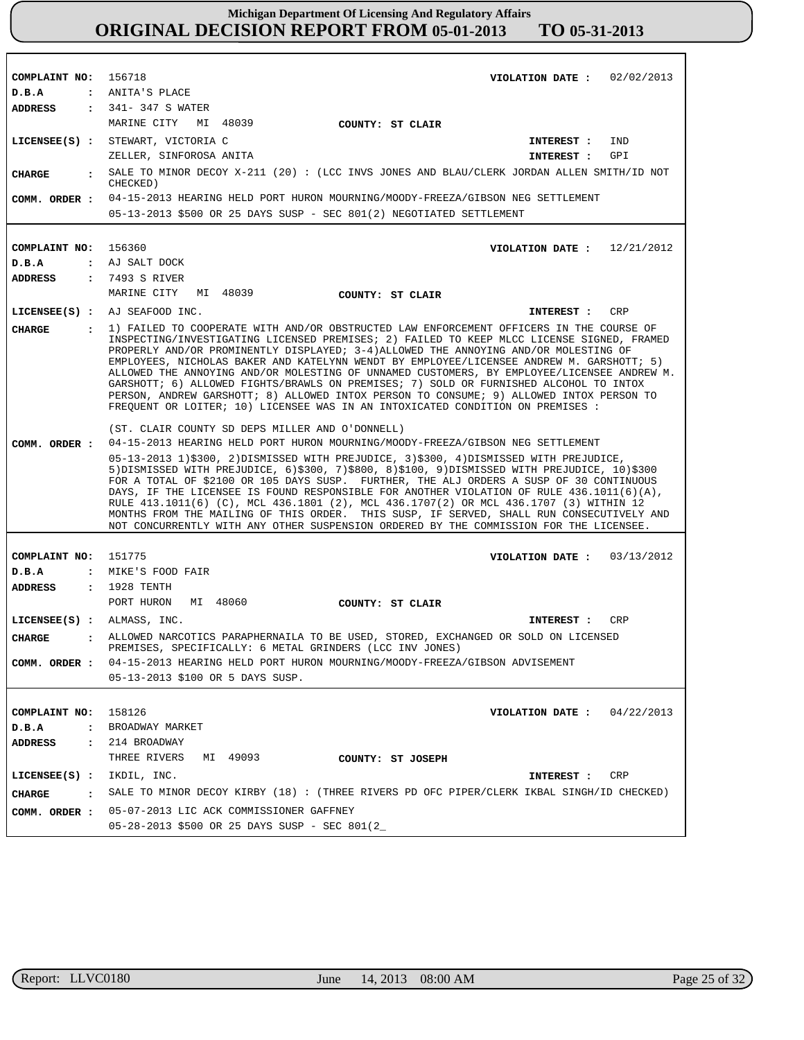| COMPLAINT NO:                 | 156718<br>VIOLATION DATE: $02/02/2013$                                                                                                                                                                                                                                                                                                                                                                                                                                                                                                                                                                                                                                                                                                      |
|-------------------------------|---------------------------------------------------------------------------------------------------------------------------------------------------------------------------------------------------------------------------------------------------------------------------------------------------------------------------------------------------------------------------------------------------------------------------------------------------------------------------------------------------------------------------------------------------------------------------------------------------------------------------------------------------------------------------------------------------------------------------------------------|
| D.B.A                         | : ANITA'S PLACE                                                                                                                                                                                                                                                                                                                                                                                                                                                                                                                                                                                                                                                                                                                             |
| ADDRESS                       | : 341-347 S WATER                                                                                                                                                                                                                                                                                                                                                                                                                                                                                                                                                                                                                                                                                                                           |
|                               | MARINE CITY<br>MI 48039<br>COUNTY: ST CLAIR                                                                                                                                                                                                                                                                                                                                                                                                                                                                                                                                                                                                                                                                                                 |
|                               | LICENSEE(S) : STEWART, VICTORIA C<br>IND<br>INTEREST :                                                                                                                                                                                                                                                                                                                                                                                                                                                                                                                                                                                                                                                                                      |
|                               | ZELLER, SINFOROSA ANITA<br>GPI<br>INTEREST :                                                                                                                                                                                                                                                                                                                                                                                                                                                                                                                                                                                                                                                                                                |
| <b>CHARGE</b><br>$\mathbf{r}$ | SALE TO MINOR DECOY X-211 (20): (LCC INVS JONES AND BLAU/CLERK JORDAN ALLEN SMITH/ID NOT                                                                                                                                                                                                                                                                                                                                                                                                                                                                                                                                                                                                                                                    |
|                               | CHECKED)<br>04-15-2013 HEARING HELD PORT HURON MOURNING/MOODY-FREEZA/GIBSON NEG SETTLEMENT                                                                                                                                                                                                                                                                                                                                                                                                                                                                                                                                                                                                                                                  |
| COMM. ORDER :                 | 05-13-2013 \$500 OR 25 DAYS SUSP - SEC 801(2) NEGOTIATED SETTLEMENT                                                                                                                                                                                                                                                                                                                                                                                                                                                                                                                                                                                                                                                                         |
|                               |                                                                                                                                                                                                                                                                                                                                                                                                                                                                                                                                                                                                                                                                                                                                             |
|                               |                                                                                                                                                                                                                                                                                                                                                                                                                                                                                                                                                                                                                                                                                                                                             |
| COMPLAINT NO:                 | 156360<br>VIOLATION DATE: $12/21/2012$                                                                                                                                                                                                                                                                                                                                                                                                                                                                                                                                                                                                                                                                                                      |
| D.B.A                         | : AJ SALT DOCK                                                                                                                                                                                                                                                                                                                                                                                                                                                                                                                                                                                                                                                                                                                              |
| <b>ADDRESS</b>                | : 7493 S RIVER                                                                                                                                                                                                                                                                                                                                                                                                                                                                                                                                                                                                                                                                                                                              |
|                               | MARINE CITY<br>MI 48039<br>COUNTY: ST CLAIR                                                                                                                                                                                                                                                                                                                                                                                                                                                                                                                                                                                                                                                                                                 |
|                               | LICENSEE(S) : AJ SEAFOOD INC.<br><b>CRP</b><br>INTEREST :                                                                                                                                                                                                                                                                                                                                                                                                                                                                                                                                                                                                                                                                                   |
| <b>CHARGE</b>                 | 1) FAILED TO COOPERATE WITH AND/OR OBSTRUCTED LAW ENFORCEMENT OFFICERS IN THE COURSE OF<br>INSPECTING/INVESTIGATING LICENSED PREMISES; 2) FAILED TO KEEP MLCC LICENSE SIGNED, FRAMED<br>PROPERLY AND/OR PROMINENTLY DISPLAYED; 3-4)ALLOWED THE ANNOYING AND/OR MOLESTING OF<br>EMPLOYEES, NICHOLAS BAKER AND KATELYNN WENDT BY EMPLOYEE/LICENSEE ANDREW M. GARSHOTT; 5)<br>ALLOWED THE ANNOYING AND/OR MOLESTING OF UNNAMED CUSTOMERS, BY EMPLOYEE/LICENSEE ANDREW M.<br>GARSHOTT; 6) ALLOWED FIGHTS/BRAWLS ON PREMISES; 7) SOLD OR FURNISHED ALCOHOL TO INTOX<br>PERSON, ANDREW GARSHOTT; 8) ALLOWED INTOX PERSON TO CONSUME; 9) ALLOWED INTOX PERSON TO<br>FREQUENT OR LOITER; 10) LICENSEE WAS IN AN INTOXICATED CONDITION ON PREMISES : |
|                               | (ST. CLAIR COUNTY SD DEPS MILLER AND O'DONNELL)                                                                                                                                                                                                                                                                                                                                                                                                                                                                                                                                                                                                                                                                                             |
| COMM. ORDER :                 | 04-15-2013 HEARING HELD PORT HURON MOURNING/MOODY-FREEZA/GIBSON NEG SETTLEMENT                                                                                                                                                                                                                                                                                                                                                                                                                                                                                                                                                                                                                                                              |
|                               | 05-13-2013 1)\$300, 2)DISMISSED WITH PREJUDICE, 3)\$300, 4)DISMISSED WITH PREJUDICE,<br>$5$ )DISMISSED WITH PREJUDICE, $6$ )\$300, 7)\$800, 8)\$100, 9)DISMISSED WITH PREJUDICE, 10)\$300<br>FOR A TOTAL OF \$2100 OR 105 DAYS SUSP. FURTHER, THE ALJ ORDERS A SUSP OF 30 CONTINUOUS<br>DAYS, IF THE LICENSEE IS FOUND RESPONSIBLE FOR ANOTHER VIOLATION OF RULE 436.1011(6)(A),<br>RULE 413.1011(6) (C), MCL 436.1801 (2), MCL 436.1707(2) OR MCL 436.1707 (3) WITHIN 12<br>MONTHS FROM THE MAILING OF THIS ORDER. THIS SUSP, IF SERVED, SHALL RUN CONSECUTIVELY AND<br>NOT CONCURRENTLY WITH ANY OTHER SUSPENSION ORDERED BY THE COMMISSION FOR THE LICENSEE.                                                                             |
|                               |                                                                                                                                                                                                                                                                                                                                                                                                                                                                                                                                                                                                                                                                                                                                             |
| COMPLAINT NO:                 | 151775<br>VIOLATION DATE : $03/13/2012$                                                                                                                                                                                                                                                                                                                                                                                                                                                                                                                                                                                                                                                                                                     |
| D.B.A                         | : MIKE'S FOOD FAIR                                                                                                                                                                                                                                                                                                                                                                                                                                                                                                                                                                                                                                                                                                                          |
| ADDRESS                       | : 1928 TENTH                                                                                                                                                                                                                                                                                                                                                                                                                                                                                                                                                                                                                                                                                                                                |
|                               | PORT HURON<br>MI 48060<br>COUNTY: ST CLAIR                                                                                                                                                                                                                                                                                                                                                                                                                                                                                                                                                                                                                                                                                                  |
| LICENSEE(S) : ALMASS, INC.    | CRP<br>INTEREST :                                                                                                                                                                                                                                                                                                                                                                                                                                                                                                                                                                                                                                                                                                                           |
| <b>CHARGE</b>                 | . ALLOWED NARCOTICS PARAPHERNAILA TO BE USED, STORED, EXCHANGED OR SOLD ON LICENSED<br>PREMISES, SPECIFICALLY: 6 METAL GRINDERS (LCC INV JONES)                                                                                                                                                                                                                                                                                                                                                                                                                                                                                                                                                                                             |
| COMM. ORDER :                 | 04-15-2013 HEARING HELD PORT HURON MOURNING/MOODY-FREEZA/GIBSON ADVISEMENT                                                                                                                                                                                                                                                                                                                                                                                                                                                                                                                                                                                                                                                                  |
|                               | 05-13-2013 \$100 OR 5 DAYS SUSP.                                                                                                                                                                                                                                                                                                                                                                                                                                                                                                                                                                                                                                                                                                            |
|                               |                                                                                                                                                                                                                                                                                                                                                                                                                                                                                                                                                                                                                                                                                                                                             |
| COMPLAINT NO:                 | 158126<br>04/22/2013<br>VIOLATION DATE :                                                                                                                                                                                                                                                                                                                                                                                                                                                                                                                                                                                                                                                                                                    |
| D.B.A                         | : BROADWAY MARKET                                                                                                                                                                                                                                                                                                                                                                                                                                                                                                                                                                                                                                                                                                                           |
| ADDRESS                       | : 214 BROADWAY                                                                                                                                                                                                                                                                                                                                                                                                                                                                                                                                                                                                                                                                                                                              |
|                               | THREE RIVERS<br>MI 49093<br>COUNTY: ST JOSEPH                                                                                                                                                                                                                                                                                                                                                                                                                                                                                                                                                                                                                                                                                               |
| LICENSEE(S) :                 | IKDIL, INC.<br>CRP<br>INTEREST :                                                                                                                                                                                                                                                                                                                                                                                                                                                                                                                                                                                                                                                                                                            |
| <b>CHARGE</b><br>$\mathbf{r}$ | SALE TO MINOR DECOY KIRBY (18): (THREE RIVERS PD OFC PIPER/CLERK IKBAL SINGH/ID CHECKED)                                                                                                                                                                                                                                                                                                                                                                                                                                                                                                                                                                                                                                                    |
| COMM. ORDER :                 | 05-07-2013 LIC ACK COMMISSIONER GAFFNEY                                                                                                                                                                                                                                                                                                                                                                                                                                                                                                                                                                                                                                                                                                     |
|                               | 05-28-2013 \$500 OR 25 DAYS SUSP - SEC 801(2_                                                                                                                                                                                                                                                                                                                                                                                                                                                                                                                                                                                                                                                                                               |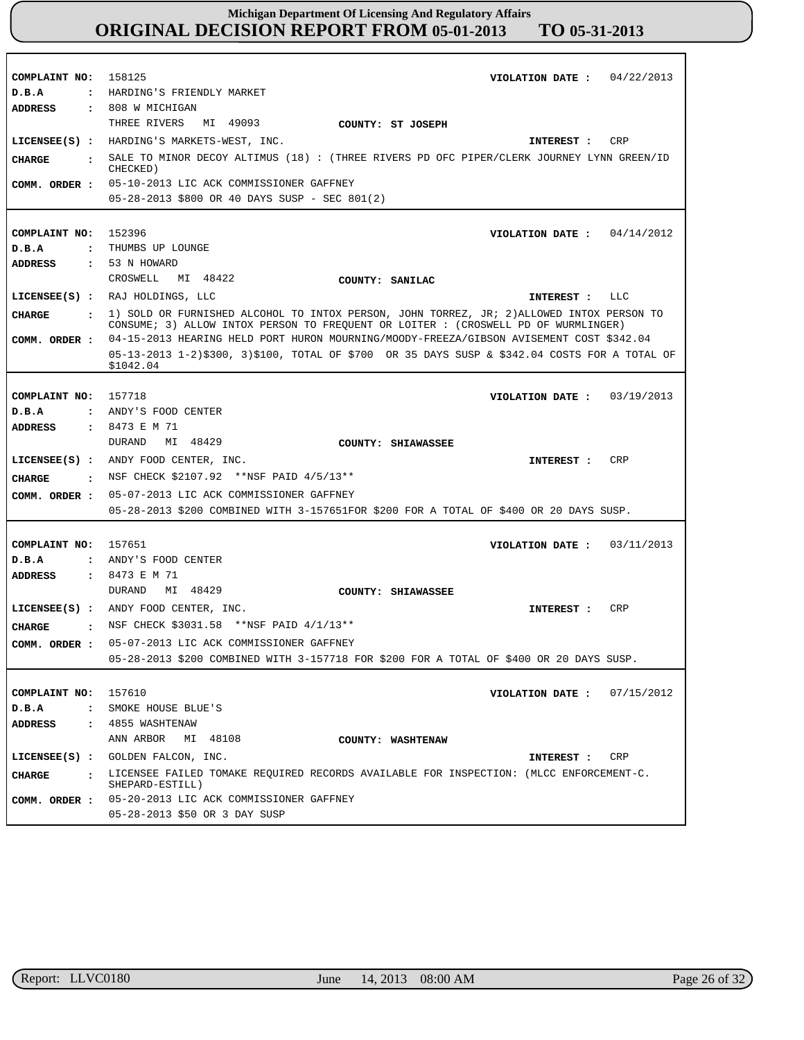| COMPLAINT NO:                 | 158125<br>04/22/2013<br>VIOLATION DATE :                                                                                                                                          |
|-------------------------------|-----------------------------------------------------------------------------------------------------------------------------------------------------------------------------------|
| D.B.A<br>$\ddot{\cdot}$       | HARDING'S FRIENDLY MARKET                                                                                                                                                         |
| <b>ADDRESS</b>                | : 808 W MICHIGAN                                                                                                                                                                  |
|                               | THREE RIVERS<br>MI 49093<br>COUNTY: ST JOSEPH                                                                                                                                     |
|                               | LICENSEE(S) : HARDING'S MARKETS-WEST, INC.<br><b>CRP</b><br>INTEREST :                                                                                                            |
| <b>CHARGE</b><br>$\mathbf{r}$ | SALE TO MINOR DECOY ALTIMUS (18) : (THREE RIVERS PD OFC PIPER/CLERK JOURNEY LYNN GREEN/ID<br>CHECKED)                                                                             |
|                               | COMM. ORDER : 05-10-2013 LIC ACK COMMISSIONER GAFFNEY                                                                                                                             |
|                               | 05-28-2013 \$800 OR 40 DAYS SUSP - SEC 801(2)                                                                                                                                     |
|                               |                                                                                                                                                                                   |
|                               |                                                                                                                                                                                   |
| COMPLAINT NO:                 | 152396<br>VIOLATION DATE: $04/14/2012$                                                                                                                                            |
| D.B.A                         | : THUMBS UP LOUNGE                                                                                                                                                                |
| <b>ADDRESS</b>                | : 53 N HOWARD                                                                                                                                                                     |
|                               | CROSWELL<br>MI 48422<br>COUNTY: SANILAC                                                                                                                                           |
|                               | LICENSEE(S) : RAJ HOLDINGS, LLC<br>INTEREST : LLC                                                                                                                                 |
| <b>CHARGE</b>                 | : 1) SOLD OR FURNISHED ALCOHOL TO INTOX PERSON, JOHN TORREZ, JR; 2) ALLOWED INTOX PERSON TO<br>CONSUME; 3) ALLOW INTOX PERSON TO FREQUENT OR LOITER : (CROSWELL PD OF WURMLINGER) |
| COMM. ORDER :                 | 04-15-2013 HEARING HELD PORT HURON MOURNING/MOODY-FREEZA/GIBSON AVISEMENT COST \$342.04                                                                                           |
|                               | 05-13-2013 1-2)\$300, 3)\$100, TOTAL OF \$700 OR 35 DAYS SUSP & \$342.04 COSTS FOR A TOTAL OF                                                                                     |
|                               | \$1042.04                                                                                                                                                                         |
|                               |                                                                                                                                                                                   |
| COMPLAINT NO:                 | 157718<br>03/19/2013<br>VIOLATION DATE :                                                                                                                                          |
| D.B.A                         | : ANDY'S FOOD CENTER                                                                                                                                                              |
| <b>ADDRESS</b>                | : 8473 E M 71                                                                                                                                                                     |
|                               | MI 48429<br>DURAND<br>COUNTY: SHIAWASSEE                                                                                                                                          |
|                               | LICENSEE(S) : ANDY FOOD CENTER, INC.<br>CRP<br>INTEREST :                                                                                                                         |
| CHARGE<br>$\mathbf{r}$        | NSF CHECK \$2107.92 ** NSF PAID 4/5/13**                                                                                                                                          |
| COMM. ORDER :                 | 05-07-2013 LIC ACK COMMISSIONER GAFFNEY                                                                                                                                           |
|                               | 05-28-2013 \$200 COMBINED WITH 3-157651FOR \$200 FOR A TOTAL OF \$400 OR 20 DAYS SUSP.                                                                                            |
|                               |                                                                                                                                                                                   |
| COMPLAINT NO:                 | 157651<br>VIOLATION DATE: $03/11/2013$                                                                                                                                            |
|                               | : ANDY'S FOOD CENTER                                                                                                                                                              |
| D.B.A<br><b>ADDRESS</b>       |                                                                                                                                                                                   |
|                               | : 8473 E M 71<br>DURAND                                                                                                                                                           |
|                               | MI 48429<br>COUNTY: SHIAWASSEE                                                                                                                                                    |
|                               | LICENSEE(S) : ANDY FOOD CENTER, INC.<br>CRP<br>INTEREST :                                                                                                                         |
| CHARGE                        | : NSF CHECK \$3031.58 ** NSF PAID 4/1/13**                                                                                                                                        |
| COMM. ORDER :                 | 05-07-2013 LIC ACK COMMISSIONER GAFFNEY                                                                                                                                           |
|                               | 05-28-2013 \$200 COMBINED WITH 3-157718 FOR \$200 FOR A TOTAL OF \$400 OR 20 DAYS SUSP.                                                                                           |
|                               |                                                                                                                                                                                   |
| COMPLAINT NO:                 | 157610<br>07/15/2012<br>VIOLATION DATE :                                                                                                                                          |
| D.B.A<br>$\mathbf{r}$         | SMOKE HOUSE BLUE'S                                                                                                                                                                |
| ADDRESS                       | : 4855 WASHTENAW                                                                                                                                                                  |
|                               | ANN ARBOR MI 48108<br>COUNTY: WASHTENAW                                                                                                                                           |
|                               | LICENSEE(S) : GOLDEN FALCON, INC.<br>CRP                                                                                                                                          |
|                               | <b>INTEREST :</b>                                                                                                                                                                 |
| CHARGE                        | : LICENSEE FAILED TOMAKE REQUIRED RECORDS AVAILABLE FOR INSPECTION: (MLCC ENFORCEMENT-C.<br>SHEPARD-ESTILL)                                                                       |
|                               | COMM. ORDER : 05-20-2013 LIC ACK COMMISSIONER GAFFNEY                                                                                                                             |
|                               | 05-28-2013 \$50 OR 3 DAY SUSP                                                                                                                                                     |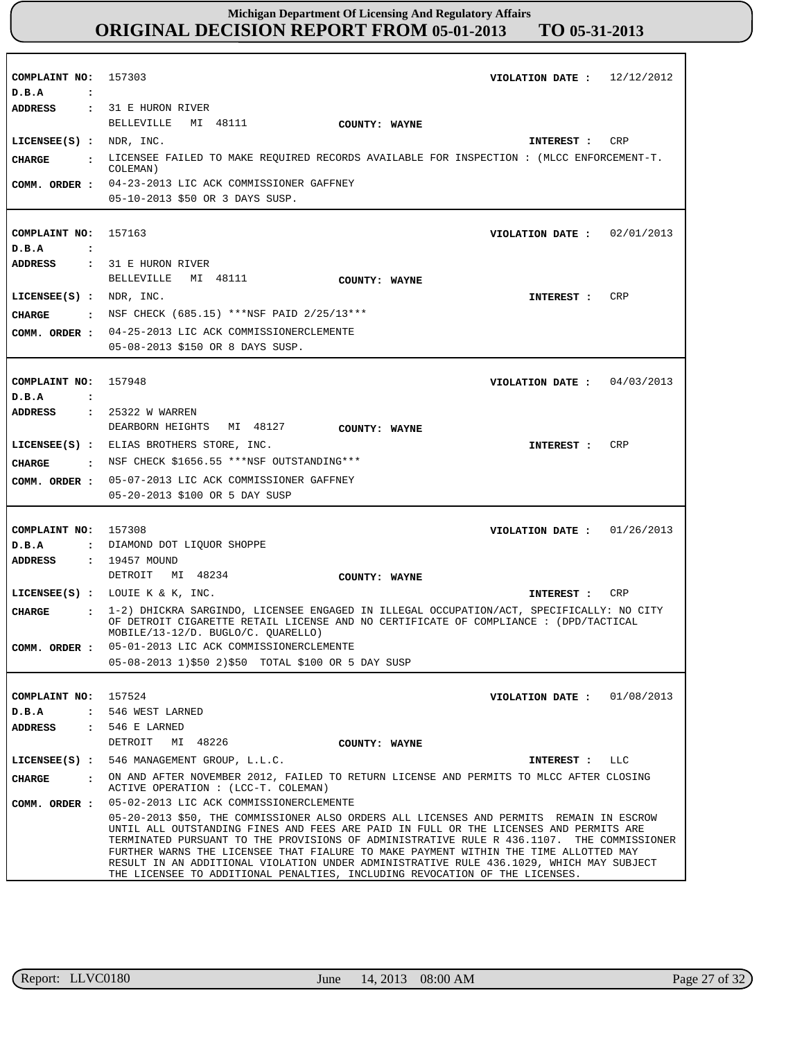| COMPLAINT NO: 157303      | VIOLATION DATE : $12/12/2012$                                                                                                                                                                                                                                                                                                                                                                                                                                                                                                                   |
|---------------------------|-------------------------------------------------------------------------------------------------------------------------------------------------------------------------------------------------------------------------------------------------------------------------------------------------------------------------------------------------------------------------------------------------------------------------------------------------------------------------------------------------------------------------------------------------|
| D.B.A<br>$\ddot{\cdot}$   |                                                                                                                                                                                                                                                                                                                                                                                                                                                                                                                                                 |
|                           | ADDRESS : 31 E HURON RIVER                                                                                                                                                                                                                                                                                                                                                                                                                                                                                                                      |
|                           | MI 48111<br>BELLEVILLE<br>COUNTY: WAYNE                                                                                                                                                                                                                                                                                                                                                                                                                                                                                                         |
| $LICENSEE(S)$ : NDR, INC. | INTEREST : CRP                                                                                                                                                                                                                                                                                                                                                                                                                                                                                                                                  |
|                           | . LICENSEE FAILED TO MAKE REQUIRED RECORDS AVAILABLE FOR INSPECTION : (MLCC ENFORCEMENT-T.                                                                                                                                                                                                                                                                                                                                                                                                                                                      |
| <b>CHARGE</b>             | COLEMAN)                                                                                                                                                                                                                                                                                                                                                                                                                                                                                                                                        |
|                           | COMM. ORDER : 04-23-2013 LIC ACK COMMISSIONER GAFFNEY                                                                                                                                                                                                                                                                                                                                                                                                                                                                                           |
|                           | 05-10-2013 \$50 OR 3 DAYS SUSP.                                                                                                                                                                                                                                                                                                                                                                                                                                                                                                                 |
|                           |                                                                                                                                                                                                                                                                                                                                                                                                                                                                                                                                                 |
| COMPLAINT NO: 157163      | VIOLATION DATE: $02/01/2013$                                                                                                                                                                                                                                                                                                                                                                                                                                                                                                                    |
| D.B.A<br>$\ddot{\cdot}$   |                                                                                                                                                                                                                                                                                                                                                                                                                                                                                                                                                 |
| ADDRESS                   | : 31 E HURON RIVER                                                                                                                                                                                                                                                                                                                                                                                                                                                                                                                              |
|                           | BELLEVILLE MI 48111<br>COUNTY: WAYNE                                                                                                                                                                                                                                                                                                                                                                                                                                                                                                            |
| LICENSEE(S) : NDR, INC.   | INTEREST : CRP                                                                                                                                                                                                                                                                                                                                                                                                                                                                                                                                  |
|                           | : NSF CHECK $(685.15)$ ***NSF PAID 2/25/13***                                                                                                                                                                                                                                                                                                                                                                                                                                                                                                   |
| CHARGE                    |                                                                                                                                                                                                                                                                                                                                                                                                                                                                                                                                                 |
|                           | COMM. ORDER : 04-25-2013 LIC ACK COMMISSIONERCLEMENTE                                                                                                                                                                                                                                                                                                                                                                                                                                                                                           |
|                           | 05-08-2013 \$150 OR 8 DAYS SUSP.                                                                                                                                                                                                                                                                                                                                                                                                                                                                                                                |
|                           |                                                                                                                                                                                                                                                                                                                                                                                                                                                                                                                                                 |
| COMPLAINT NO:             | 157948<br>VIOLATION DATE: $04/03/2013$                                                                                                                                                                                                                                                                                                                                                                                                                                                                                                          |
| D.B.A<br>$\ddot{\cdot}$   |                                                                                                                                                                                                                                                                                                                                                                                                                                                                                                                                                 |
| ADDRESS                   | $: 25322$ W WARREN                                                                                                                                                                                                                                                                                                                                                                                                                                                                                                                              |
|                           | DEARBORN HEIGHTS MI 48127<br><b>COUNTY: WAYNE</b>                                                                                                                                                                                                                                                                                                                                                                                                                                                                                               |
|                           | INTEREST : CRP<br>LICENSEE(S) : ELIAS BROTHERS STORE, INC.                                                                                                                                                                                                                                                                                                                                                                                                                                                                                      |
| <b>CHARGE</b>             | $:$ NSF CHECK \$1656.55 ***NSF OUTSTANDING***                                                                                                                                                                                                                                                                                                                                                                                                                                                                                                   |
|                           | COMM. ORDER : 05-07-2013 LIC ACK COMMISSIONER GAFFNEY                                                                                                                                                                                                                                                                                                                                                                                                                                                                                           |
|                           | 05-20-2013 \$100 OR 5 DAY SUSP                                                                                                                                                                                                                                                                                                                                                                                                                                                                                                                  |
|                           |                                                                                                                                                                                                                                                                                                                                                                                                                                                                                                                                                 |
| COMPLAINT NO: 157308      | VIOLATION DATE : $01/26/2013$                                                                                                                                                                                                                                                                                                                                                                                                                                                                                                                   |
| D.B.A                     | : DIAMOND DOT LIQUOR SHOPPE                                                                                                                                                                                                                                                                                                                                                                                                                                                                                                                     |
| <b>ADDRESS</b>            | : 19457 MOUND                                                                                                                                                                                                                                                                                                                                                                                                                                                                                                                                   |
|                           | DETROIT MI 48234<br>COUNTY: WAYNE                                                                                                                                                                                                                                                                                                                                                                                                                                                                                                               |
|                           | LICENSEE(S) : LOUIE $K & K$ , INC.<br>INTEREST : CRP                                                                                                                                                                                                                                                                                                                                                                                                                                                                                            |
|                           |                                                                                                                                                                                                                                                                                                                                                                                                                                                                                                                                                 |
| CHARGE                    | . 1-2) DHICKRA SARGINDO, LICENSEE ENGAGED IN ILLEGAL OCCUPATION/ACT, SPECIFICALLY: NO CITY<br>OF DETROIT CIGARETTE RETAIL LICENSE AND NO CERTIFICATE OF COMPLIANCE : (DPD/TACTICAL                                                                                                                                                                                                                                                                                                                                                              |
|                           | MOBILE/13-12/D. BUGLO/C. QUARELLO)                                                                                                                                                                                                                                                                                                                                                                                                                                                                                                              |
| COMM. ORDER :             | 05-01-2013 LIC ACK COMMISSIONERCLEMENTE                                                                                                                                                                                                                                                                                                                                                                                                                                                                                                         |
|                           | 05-08-2013 1)\$50 2)\$50 TOTAL \$100 OR 5 DAY SUSP                                                                                                                                                                                                                                                                                                                                                                                                                                                                                              |
|                           |                                                                                                                                                                                                                                                                                                                                                                                                                                                                                                                                                 |
| COMPLAINT NO: 157524      | VIOLATION DATE : $01/08/2013$                                                                                                                                                                                                                                                                                                                                                                                                                                                                                                                   |
| D.B.A                     | : 546 WEST LARNED                                                                                                                                                                                                                                                                                                                                                                                                                                                                                                                               |
| ADDRESS                   | $: 546 E$ LARNED                                                                                                                                                                                                                                                                                                                                                                                                                                                                                                                                |
|                           | DETROIT<br>MI 48226<br>COUNTY: WAYNE                                                                                                                                                                                                                                                                                                                                                                                                                                                                                                            |
|                           | LICENSEE(S) : 546 MANAGEMENT GROUP, L.L.C.<br>INTEREST : LLC                                                                                                                                                                                                                                                                                                                                                                                                                                                                                    |
| CHARGE                    | : ON AND AFTER NOVEMBER 2012, FAILED TO RETURN LICENSE AND PERMITS TO MLCC AFTER CLOSING<br>ACTIVE OPERATION : (LCC-T. COLEMAN)                                                                                                                                                                                                                                                                                                                                                                                                                 |
|                           | COMM. ORDER : 05-02-2013 LIC ACK COMMISSIONERCLEMENTE                                                                                                                                                                                                                                                                                                                                                                                                                                                                                           |
|                           | 05-20-2013 \$50, THE COMMISSIONER ALSO ORDERS ALL LICENSES AND PERMITS REMAIN IN ESCROW<br>UNTIL ALL OUTSTANDING FINES AND FEES ARE PAID IN FULL OR THE LICENSES AND PERMITS ARE<br>TERMINATED PURSUANT TO THE PROVISIONS OF ADMINISTRATIVE RULE R 436.1107. THE COMMISSIONER<br>FURTHER WARNS THE LICENSEE THAT FIALURE TO MAKE PAYMENT WITHIN THE TIME ALLOTTED MAY<br>RESULT IN AN ADDITIONAL VIOLATION UNDER ADMINISTRATIVE RULE 436.1029, WHICH MAY SUBJECT<br>THE LICENSEE TO ADDITIONAL PENALTIES, INCLUDING REVOCATION OF THE LICENSES. |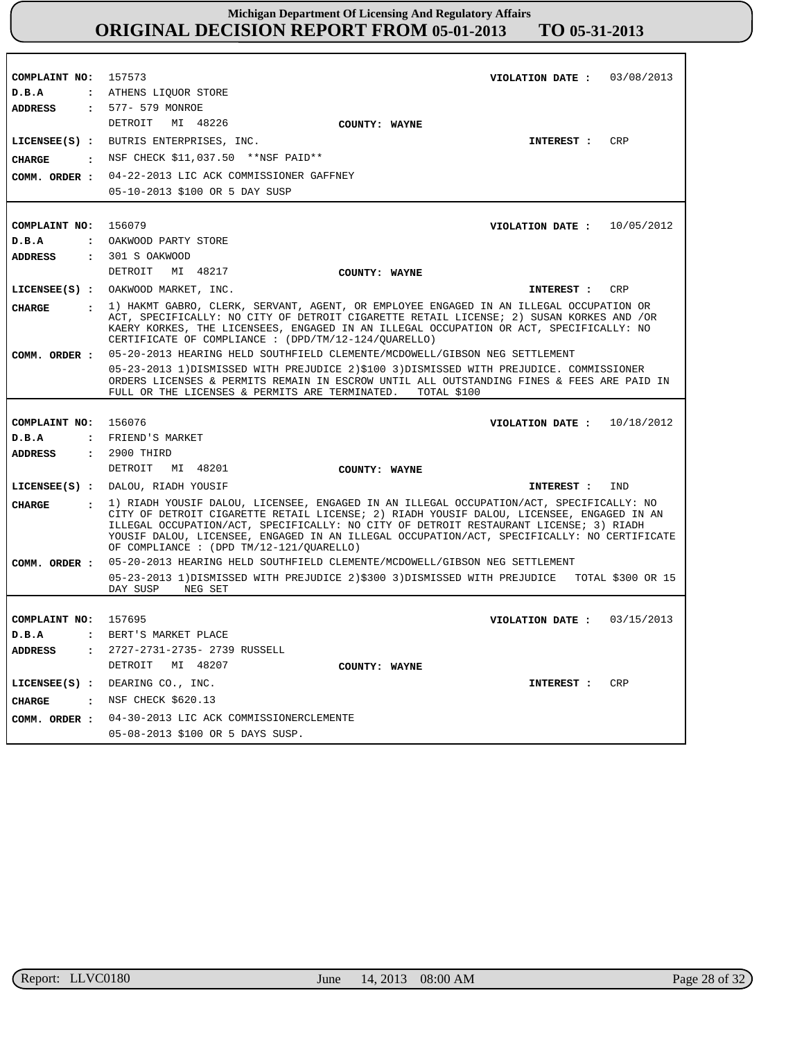**COMPLAINT NO: COMPLAINT NO:** 156079 **COMPLAINT NO: COMPLAINT NO:** 157573 156076 157695 **VIOLATION DATE : VIOLATION DATE :** 10/05/2012 **VIOLATION DATE :** 10/18/2012 **VIOLATION DATE :** 03/08/2013 03/15/2013 **D.B.A : D.B.A : D.B.A : D.B.A :** ATHENS LIQUOR STORE OAKWOOD PARTY STORE **FRIEND'S MARKET** BERT'S MARKET PLACE **ADDRESS : ADDRESS : ADDRESS : ADDRESS :** 577- 579 MONROE 301 S OAKWOOD 2900 THIRD 2727-2731-2735- 2739 RUSSELL DETROIT MI 48226 DETROIT MI 48217 DETROIT MI 48201 DETROIT MI 48207 04-22-2013 LIC ACK COMMISSIONER GAFFNEY 05-10-2013 \$100 OR 5 DAY SUSP 05-20-2013 HEARING HELD SOUTHFIELD CLEMENTE/MCDOWELL/GIBSON NEG SETTLEMENT 05-23-2013 1)DISMISSED WITH PREJUDICE 2)\$100 3)DISMISSED WITH PREJUDICE. COMMISSIONER ORDERS LICENSES & PERMITS REMAIN IN ESCROW UNTIL ALL OUTSTANDING FINES & FEES ARE PAID IN FULL OR THE LICENSES & PERMITS ARE TERMINATED. TOTAL \$100 FULL OR THE LICENSES & PERMITS ARE TERMINATED. 05-20-2013 HEARING HELD SOUTHFIELD CLEMENTE/MCDOWELL/GIBSON NEG SETTLEMENT 05-23-2013 1)DISMISSED WITH PREJUDICE 2)\$300 3)DISMISSED WITH PREJUDICE TOTAL \$300 OR 15 DAY SUSP NEG SET 04-30-2013 LIC ACK COMMISSIONERCLEMENTE **COMM. ORDER :** 05-08-2013 \$100 OR 5 DAYS SUSP. **LICENSEE(S) : LICENSEE(S) :** OAKWOOD MARKET, INC. **LICENSEE(S) :** DALOU, RIADH YOUSIF **LICENSEE(S) :** DEARING CO., INC. BUTRIS ENTERPRISES, INC. CRP CR<sub>P</sub> IND CRP **CHARGE : CHARGE : CHARGE : CHARGE :** NSF CHECK \$11,037.50 \*\*NSF PAID\*\* 1) HAKMT GABRO, CLERK, SERVANT, AGENT, OR EMPLOYEE ENGAGED IN AN ILLEGAL OCCUPATION OR ACT, SPECIFICALLY: NO CITY OF DETROIT CIGARETTE RETAIL LICENSE; 2) SUSAN KORKES AND /OR KAERY KORKES, THE LICENSEES, ENGAGED IN AN ILLEGAL OCCUPATION OR ACT, SPECIFICALLY: NO CERTIFICATE OF COMPLIANCE : (DPD/TM/12-124/QUARELLO) 1) RIADH YOUSIF DALOU, LICENSEE, ENGAGED IN AN ILLEGAL OCCUPATION/ACT, SPECIFICALLY: NO CITY OF DETROIT CIGARETTE RETAIL LICENSE; 2) RIADH YOUSIF DALOU, LICENSEE, ENGAGED IN AN ILLEGAL OCCUPATION/ACT, SPECIFICALLY: NO CITY OF DETROIT RESTAURANT LICENSE; 3) RIADH YOUSIF DALOU, LICENSEE, ENGAGED IN AN ILLEGAL OCCUPATION/ACT, SPECIFICALLY: NO CERTIFICATE OF COMPLIANCE : (DPD TM/12-121/QUARELLO) : NSF CHECK \$620.13 **INTEREST : INTEREST : INTEREST : INTEREST : COMM. ORDER : COMM. ORDER : COMM. ORDER : COUNTY: WAYNE COUNTY: WAYNE COUNTY: WAYNE COUNTY: WAYNE**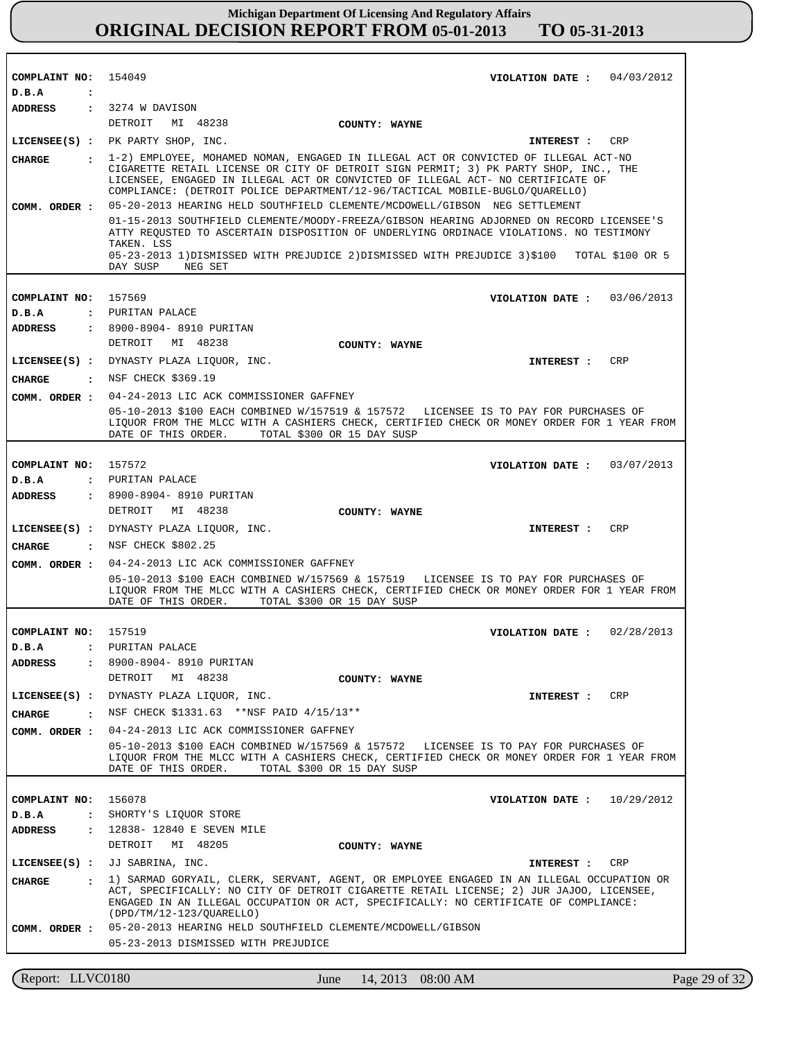| COMPLAINT NO:        |                | 154049<br>VIOLATION DATE: $04/03/2012$                                                                                                                                                                                                                                                                                                           |
|----------------------|----------------|--------------------------------------------------------------------------------------------------------------------------------------------------------------------------------------------------------------------------------------------------------------------------------------------------------------------------------------------------|
| D.B.A                | $\ddot{\cdot}$ |                                                                                                                                                                                                                                                                                                                                                  |
| <b>ADDRESS</b>       |                | : 3274 W DAVISON                                                                                                                                                                                                                                                                                                                                 |
|                      |                | DETROIT MI 48238<br>COUNTY: WAYNE                                                                                                                                                                                                                                                                                                                |
|                      |                | LICENSEE(S) : PK PARTY SHOP, INC.<br><b>CRP</b><br>INTEREST :                                                                                                                                                                                                                                                                                    |
| CHARGE               |                | : 1-2) EMPLOYEE, MOHAMED NOMAN, ENGAGED IN ILLEGAL ACT OR CONVICTED OF ILLEGAL ACT-NO<br>CIGARETTE RETAIL LICENSE OR CITY OF DETROIT SIGN PERMIT; 3) PK PARTY SHOP, INC., THE<br>LICENSEE, ENGAGED IN ILLEGAL ACT OR CONVICTED OF ILLEGAL ACT- NO CERTIFICATE OF<br>COMPLIANCE: (DETROIT POLICE DEPARTMENT/12-96/TACTICAL MOBILE-BUGLO/QUARELLO) |
|                      |                | COMM. ORDER: 05-20-2013 HEARING HELD SOUTHFIELD CLEMENTE/MCDOWELL/GIBSON NEG SETTLEMENT                                                                                                                                                                                                                                                          |
|                      |                | 01-15-2013 SOUTHFIELD CLEMENTE/MOODY-FREEZA/GIBSON HEARING ADJORNED ON RECORD LICENSEE'S<br>ATTY REOUSTED TO ASCERTAIN DISPOSITION OF UNDERLYING ORDINACE VIOLATIONS. NO TESTIMONY<br>TAKEN. LSS<br>05-23-2013 1)DISMISSED WITH PREJUDICE 2)DISMISSED WITH PREJUDICE 3)\$100 TOTAL \$100 OR 5<br>DAY SUSP<br>NEG SET                             |
|                      |                |                                                                                                                                                                                                                                                                                                                                                  |
| COMPLAINT NO:        |                | 157569<br>VIOLATION DATE: 03/06/2013                                                                                                                                                                                                                                                                                                             |
| D.B.A                |                | : PURITAN PALACE                                                                                                                                                                                                                                                                                                                                 |
| <b>ADDRESS</b>       |                | : 8900-8904- 8910 PURITAN                                                                                                                                                                                                                                                                                                                        |
|                      |                | DETROIT MI 48238<br>COUNTY: WAYNE                                                                                                                                                                                                                                                                                                                |
|                      |                | LICENSEE(S) : DYNASTY PLAZA LIQUOR, INC.<br><b>CRP</b><br>INTEREST :                                                                                                                                                                                                                                                                             |
| <b>CHARGE</b>        |                | : NSF CHECK \$369.19                                                                                                                                                                                                                                                                                                                             |
| COMM. ORDER :        |                | 04-24-2013 LIC ACK COMMISSIONER GAFFNEY                                                                                                                                                                                                                                                                                                          |
|                      |                | 05-10-2013 \$100 EACH COMBINED W/157519 & 157572 LICENSEE IS TO PAY FOR PURCHASES OF<br>LIQUOR FROM THE MLCC WITH A CASHIERS CHECK, CERTIFIED CHECK OR MONEY ORDER FOR 1 YEAR FROM<br>DATE OF THIS ORDER. TOTAL \$300 OR 15 DAY SUSP                                                                                                             |
|                      |                |                                                                                                                                                                                                                                                                                                                                                  |
| COMPLAINT NO: 157572 |                | 03/07/2013<br>VIOLATION DATE :                                                                                                                                                                                                                                                                                                                   |
| D.B.A                |                | : PURITAN PALACE                                                                                                                                                                                                                                                                                                                                 |
| <b>ADDRESS</b>       |                | : 8900-8904- 8910 PURITAN                                                                                                                                                                                                                                                                                                                        |
|                      |                | DETROIT MI 48238<br>COUNTY: WAYNE                                                                                                                                                                                                                                                                                                                |
|                      |                | LICENSEE(S) : DYNASTY PLAZA LIQUOR, INC.<br><b>CRP</b><br><b>INTEREST :</b>                                                                                                                                                                                                                                                                      |
|                      |                | CHARGE : NSF CHECK \$802.25                                                                                                                                                                                                                                                                                                                      |
| COMM. ORDER :        |                | 04-24-2013 LIC ACK COMMISSIONER GAFFNEY                                                                                                                                                                                                                                                                                                          |
|                      |                | 05-10-2013 \$100 EACH COMBINED W/157569 & 157519 LICENSEE IS TO PAY FOR PURCHASES OF<br>LIQUOR FROM THE MLCC WITH A CASHIERS CHECK, CERTIFIED CHECK OR MONEY ORDER FOR 1 YEAR FROM<br>TOTAL \$300 OR 15 DAY SUSP<br>DATE OF THIS ORDER.                                                                                                          |
|                      |                |                                                                                                                                                                                                                                                                                                                                                  |
| COMPLAINT NO:        |                | 157519<br>02/28/2013<br>VIOLATION DATE :<br>D.B.A : PURITAN PALACE                                                                                                                                                                                                                                                                               |
| <b>ADDRESS</b>       | $\mathbf{z}$   | 8900-8904- 8910 PURITAN                                                                                                                                                                                                                                                                                                                          |
|                      |                | DETROIT MI 48238<br>COUNTY: WAYNE                                                                                                                                                                                                                                                                                                                |
|                      |                | LICENSEE(S) : DYNASTY PLAZA LIQUOR, INC.<br>CRP<br><b>INTEREST :</b>                                                                                                                                                                                                                                                                             |
|                      |                | : NSF CHECK \$1331.63 **NSF PAID $4/15/13**$                                                                                                                                                                                                                                                                                                     |
| CHARGE               |                | COMM. ORDER : 04-24-2013 LIC ACK COMMISSIONER GAFFNEY                                                                                                                                                                                                                                                                                            |
|                      |                | 05-10-2013 \$100 EACH COMBINED W/157569 & 157572 LICENSEE IS TO PAY FOR PURCHASES OF<br>LIQUOR FROM THE MLCC WITH A CASHIERS CHECK, CERTIFIED CHECK OR MONEY ORDER FOR 1 YEAR FROM<br>DATE OF THIS ORDER.<br>TOTAL \$300 OR 15 DAY SUSP                                                                                                          |
|                      |                |                                                                                                                                                                                                                                                                                                                                                  |
| COMPLAINT NO:        |                | 156078<br>VIOLATION DATE : $10/29/2012$<br>: SHORTY'S LIQUOR STORE                                                                                                                                                                                                                                                                               |
| D.B.A                |                | : 12838-12840 E SEVEN MILE                                                                                                                                                                                                                                                                                                                       |
| ADDRESS              |                | DETROIT MI 48205<br>COUNTY: WAYNE                                                                                                                                                                                                                                                                                                                |
|                      |                | LICENSEE(S) : JJ SABRINA, INC.<br>CRP<br><b>INTEREST :</b>                                                                                                                                                                                                                                                                                       |
| <b>CHARGE</b>        |                | : 1) SARMAD GORYAIL, CLERK, SERVANT, AGENT, OR EMPLOYEE ENGAGED IN AN ILLEGAL OCCUPATION OR                                                                                                                                                                                                                                                      |
| COMM. ORDER :        |                | ACT, SPECIFICALLY: NO CITY OF DETROIT CIGARETTE RETAIL LICENSE; 2) JUR JAJOO, LICENSEE,<br>ENGAGED IN AN ILLEGAL OCCUPATION OR ACT, SPECIFICALLY: NO CERTIFICATE OF COMPLIANCE:<br>$(DPD/TM/12-123/QUARELLO)$<br>05-20-2013 HEARING HELD SOUTHFIELD CLEMENTE/MCDOWELL/GIBSON                                                                     |
|                      |                | 05-23-2013 DISMISSED WITH PREJUDICE                                                                                                                                                                                                                                                                                                              |
|                      |                |                                                                                                                                                                                                                                                                                                                                                  |

r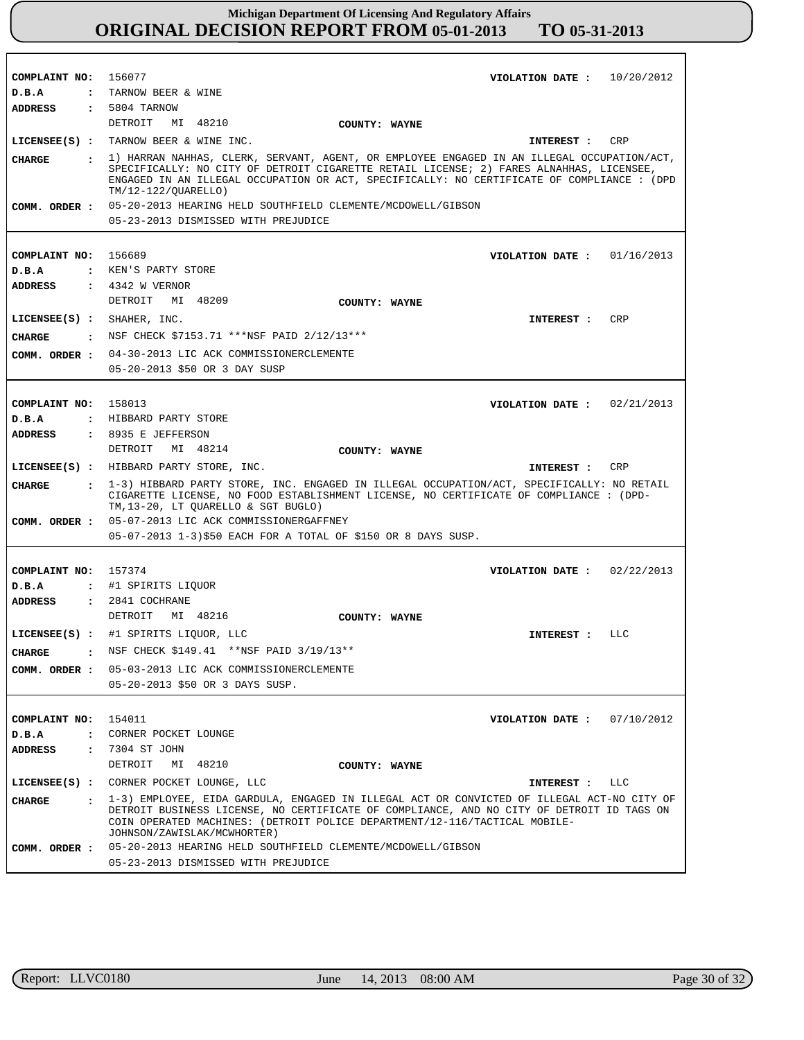| COMPLAINT NO: 156077                  | VIOLATION DATE: $10/20/2012$                                                                                                                                                                                                                                                                           |
|---------------------------------------|--------------------------------------------------------------------------------------------------------------------------------------------------------------------------------------------------------------------------------------------------------------------------------------------------------|
| D.B.A                                 | : TARNOW BEER & WINE                                                                                                                                                                                                                                                                                   |
| <b>ADDRESS</b>                        | $: 5804$ TARNOW                                                                                                                                                                                                                                                                                        |
|                                       | DETROIT MI 48210<br>COUNTY: WAYNE                                                                                                                                                                                                                                                                      |
|                                       | LICENSEE(S) : TARNOW BEER & WINE INC.<br>INTEREST : CRP                                                                                                                                                                                                                                                |
| CIIARGE                               | : 1) HARRAN NAHHAS, CLERK, SERVANT, AGENT, OR EMPLOYEE ENGAGED IN AN ILLEGAL OCCUPATION/ACT,<br>SPECIFICALLY: NO CITY OF DETROIT CIGARETTE RETAIL LICENSE; 2) FARES ALNAHHAS, LICENSEE,<br>ENGAGED IN AN ILLEGAL OCCUPATION OR ACT, SPECIFICALLY: NO CERTIFICATE OF COMPLIANCE : (DPD                  |
|                                       | TM/12-122/OUARELLO)                                                                                                                                                                                                                                                                                    |
|                                       | COMM. ORDER : 05-20-2013 HEARING HELD SOUTHFIELD CLEMENTE/MCDOWELL/GIBSON                                                                                                                                                                                                                              |
|                                       | 05-23-2013 DISMISSED WITH PREJUDICE                                                                                                                                                                                                                                                                    |
|                                       |                                                                                                                                                                                                                                                                                                        |
| COMPLAINT NO: 156689                  |                                                                                                                                                                                                                                                                                                        |
|                                       | VIOLATION DATE: $01/16/2013$                                                                                                                                                                                                                                                                           |
| D.B.A                                 | : KEN'S PARTY STORE                                                                                                                                                                                                                                                                                    |
| ADDRESS                               | $: 4342$ W VERNOR                                                                                                                                                                                                                                                                                      |
|                                       | DETROIT MI 48209<br>COUNTY: WAYNE                                                                                                                                                                                                                                                                      |
|                                       | LICENSEE(S) : SHAHER, INC.<br>CRP<br>INTEREST :                                                                                                                                                                                                                                                        |
| <b>CHARGE</b>                         | : NSF CHECK \$7153.71 ***NSF PAID 2/12/13***                                                                                                                                                                                                                                                           |
|                                       | COMM. ORDER : 04-30-2013 LIC ACK COMMISSIONERCLEMENTE                                                                                                                                                                                                                                                  |
|                                       | 05-20-2013 \$50 OR 3 DAY SUSP                                                                                                                                                                                                                                                                          |
|                                       |                                                                                                                                                                                                                                                                                                        |
|                                       |                                                                                                                                                                                                                                                                                                        |
| COMPLAINT NO: 158013                  | VIOLATION DATE: $02/21/2013$                                                                                                                                                                                                                                                                           |
| D.B.A                                 | : HIBBARD PARTY STORE                                                                                                                                                                                                                                                                                  |
| ADDRESS                               | $: 8935$ E JEFFERSON                                                                                                                                                                                                                                                                                   |
|                                       | DETROIT MI 48214<br>COUNTY: WAYNE                                                                                                                                                                                                                                                                      |
|                                       | LICENSEE(S) : HIBBARD PARTY STORE, INC.<br>INTEREST : CRP                                                                                                                                                                                                                                              |
|                                       |                                                                                                                                                                                                                                                                                                        |
| CIIARGE                               |                                                                                                                                                                                                                                                                                                        |
|                                       | : 1-3) HIBBARD PARTY STORE, INC. ENGAGED IN ILLEGAL OCCUPATION/ACT, SPECIFICALLY: NO RETAIL<br>CIGARETTE LICENSE, NO FOOD ESTABLISHMENT LICENSE, NO CERTIFICATE OF COMPLIANCE : (DPD-<br>TM, 13-20, LT QUARELLO & SGT BUGLO)                                                                           |
|                                       | COMM. ORDER : 05-07-2013 LIC ACK COMMISSIONERGAFFNEY                                                                                                                                                                                                                                                   |
|                                       | 05-07-2013 1-3)\$50 EACH FOR A TOTAL OF \$150 OR 8 DAYS SUSP.                                                                                                                                                                                                                                          |
|                                       |                                                                                                                                                                                                                                                                                                        |
| COMPLAINT NO: 157374                  | VIOLATION DATE: $02/22/2013$                                                                                                                                                                                                                                                                           |
|                                       | D.B.A : #1 SPIRITS LIQUOR                                                                                                                                                                                                                                                                              |
|                                       |                                                                                                                                                                                                                                                                                                        |
| ADDRESS                               | $: 2841$ COCHRANE                                                                                                                                                                                                                                                                                      |
|                                       | DETROIT MI 48216<br>COUNTY: WAYNE                                                                                                                                                                                                                                                                      |
|                                       | LICENSEE(S) : #1 SPIRITS LIQUOR, LLC<br>INTEREST : LLC                                                                                                                                                                                                                                                 |
| <b>CHARGE</b><br>$\ddot{\phantom{a}}$ | NSF CHECK \$149.41 **NSF PAID 3/19/13**                                                                                                                                                                                                                                                                |
| COMM. ORDER :                         | 05-03-2013 LIC ACK COMMISSIONERCLEMENTE                                                                                                                                                                                                                                                                |
|                                       | 05-20-2013 \$50 OR 3 DAYS SUSP.                                                                                                                                                                                                                                                                        |
|                                       |                                                                                                                                                                                                                                                                                                        |
|                                       |                                                                                                                                                                                                                                                                                                        |
| COMPLAINT NO: 154011                  | VIOLATION DATE: $07/10/2012$                                                                                                                                                                                                                                                                           |
| D.B.A                                 | : CORNER POCKET LOUNGE                                                                                                                                                                                                                                                                                 |
| ADDRESS                               | : 7304 ST JOHN                                                                                                                                                                                                                                                                                         |
|                                       | DETROIT<br>MI 48210<br>COUNTY: WAYNE                                                                                                                                                                                                                                                                   |
|                                       | LICENSEE(S) : CORNER POCKET LOUNGE, LLC<br>INTEREST : LLC                                                                                                                                                                                                                                              |
| <b>CHARGE</b>                         | : 1-3) EMPLOYEE, EIDA GARDULA, ENGAGED IN ILLEGAL ACT OR CONVICTED OF ILLEGAL ACT-NO CITY OF<br>DETROIT BUSINESS LICENSE, NO CERTIFICATE OF COMPLIANCE, AND NO CITY OF DETROIT ID TAGS ON<br>COIN OPERATED MACHINES: (DETROIT POLICE DEPARTMENT/12-116/TACTICAL MOBILE-<br>JOHNSON/ZAWISLAK/MCWHORTER) |
|                                       | COMM. ORDER : 05-20-2013 HEARING HELD SOUTHFIELD CLEMENTE/MCDOWELL/GIBSON                                                                                                                                                                                                                              |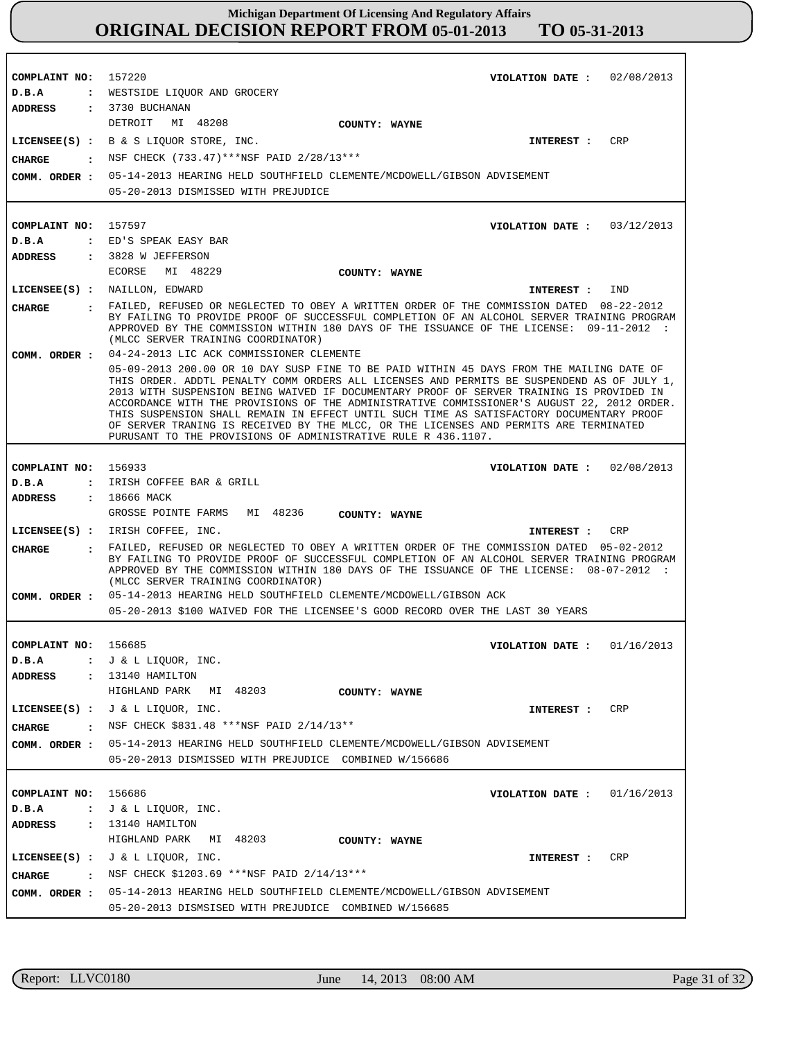**COMPLAINT NO: COMPLAINT NO:** 157597 **COMPLAINT NO: COMPLAINT NO:** 156685 **COMPLAINT NO:** 156686 157220 156933 **VIOLATION DATE : VIOLATION DATE : VIOLATION DATE : VIOLATION DATE : VIOLATION DATE :** 02/08/2013 03/12/2013 02/08/2013 01/16/2013 01/16/2013 **D.B.A : D.B.A : D.B.A : D.B.A : D.B.A :** WESTSIDE LIQUOR AND GROCERY ED'S SPEAK EASY BAR IRISH COFFEE BAR & GRILL J & L LIQUOR, INC. J & L LIQUOR, INC. **ADDRESS : ADDRESS : ADDRESS : ADDRESS : ADDRESS :** 3730 BUCHANAN 3828 W JEFFERSON 18666 MACK 13140 HAMILTON 13140 HAMILTON DETROIT MI 48208 ECORSE MI 48229 GROSSE POINTE FARMS MI 48236 HIGHLAND PARK MI 48203 HIGHLAND PARK MI 48203 05-14-2013 HEARING HELD SOUTHFIELD CLEMENTE/MCDOWELL/GIBSON ADVISEMENT 05-20-2013 DISMISSED WITH PREJUDICE 04-24-2013 LIC ACK COMMISSIONER CLEMENTE 05-09-2013 200.00 OR 10 DAY SUSP FINE TO BE PAID WITHIN 45 DAYS FROM THE MAILING DATE OF THIS ORDER. ADDTL PENALTY COMM ORDERS ALL LICENSES AND PERMITS BE SUSPENDEND AS OF JULY 1, 2013 WITH SUSPENSION BEING WAIVED IF DOCUMENTARY PROOF OF SERVER TRAINING IS PROVIDED IN ACCORDANCE WITH THE PROVISIONS OF THE ADMINISTRATIVE COMMISSIONER'S AUGUST 22, 2012 ORDER. THIS SUSPENSION SHALL REMAIN IN EFFECT UNTIL SUCH TIME AS SATISFACTORY DOCUMENTARY PROOF OF SERVER TRANING IS RECEIVED BY THE MLCC, OR THE LICENSES AND PERMITS ARE TERMINATED PURUSANT TO THE PROVISIONS OF ADMINISTRATIVE RULE R 436.1107. 05-14-2013 HEARING HELD SOUTHFIELD CLEMENTE/MCDOWELL/GIBSON ACK 05-20-2013 \$100 WAIVED FOR THE LICENSEE'S GOOD RECORD OVER THE LAST 30 YEARS 05-14-2013 HEARING HELD SOUTHFIELD CLEMENTE/MCDOWELL/GIBSON ADVISEMENT **COMM. ORDER :** 05-20-2013 DISMISSED WITH PREJUDICE COMBINED W/156686 05-14-2013 HEARING HELD SOUTHFIELD CLEMENTE/MCDOWELL/GIBSON ADVISEMENT **COMM. ORDER :** 05-20-2013 DISMSISED WITH PREJUDICE COMBINED W/156685 **LICENSEE(S) :** B & S LIQUOR STORE, INC. **LICENSEE(S) :** NAILLON, EDWARD **LICENSEE(S) :** IRISH COFFEE, INC. **LICENSEE(S) :** J & L LIQUOR, INC. **LICENSEE(S) :** J & L LIQUOR, INC. CRP **TND** CRP CRP **CRP CHARGE : CHARGE : CHARGE : CHARGE : CHARGE :** NSF CHECK (733.47)\*\*\*NSF PAID 2/28/13\*\*\* FAILED, REFUSED OR NEGLECTED TO OBEY A WRITTEN ORDER OF THE COMMISSION DATED 08-22-2012 BY FAILING TO PROVIDE PROOF OF SUCCESSFUL COMPLETION OF AN ALCOHOL SERVER TRAINING PROGRAM APPROVED BY THE COMMISSION WITHIN 180 DAYS OF THE ISSUANCE OF THE LICENSE: 09-11-2012 : (MLCC SERVER TRAINING COORDINATOR) FAILED, REFUSED OR NEGLECTED TO OBEY A WRITTEN ORDER OF THE COMMISSION DATED 05-02-2012 BY FAILING TO PROVIDE PROOF OF SUCCESSFUL COMPLETION OF AN ALCOHOL SERVER TRAINING PROGRAM APPROVED BY THE COMMISSION WITHIN 180 DAYS OF THE ISSUANCE OF THE LICENSE: 08-07-2012 : (MLCC SERVER TRAINING COORDINATOR) NSF CHECK \$831.48 \*\*\*NSF PAID 2/14/13\*\* : NSF CHECK \$1203.69 \*\*\* NSF PAID 2/14/13 \*\*\* **INTEREST : INTEREST : INTEREST : INTEREST : INTEREST : COMM. ORDER : COMM. ORDER : COMM. ORDER : COUNTY: WAYNE COUNTY: WAYNE COUNTY: WAYNE COUNTY: WAYNE COUNTY: WAYNE**